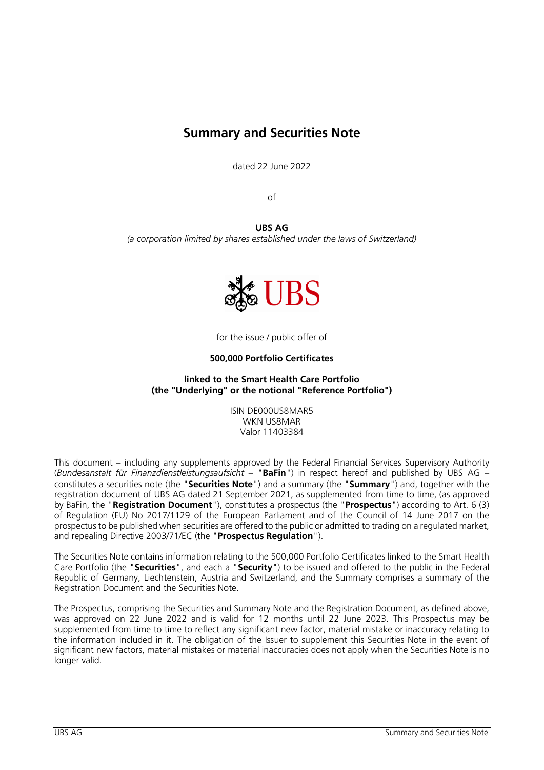# **Summary and Securities Note**

dated 22 June 2022

of

**UBS AG** *(a corporation limited by shares established under the laws of Switzerland)*



for the issue / public offer of

## **500,000 Portfolio Certificates**

## **linked to the Smart Health Care Portfolio (the "Underlying" or the notional "Reference Portfolio")**

ISIN DE000US8MAR5 WKN US8MAR Valor 11403384

This document – including any supplements approved by the Federal Financial Services Supervisory Authority (*Bundesanstalt für Finanzdienstleistungsaufsicht* – "**BaFin**") in respect hereof and published by UBS AG – constitutes a securities note (the "**Securities Note**") and a summary (the "**Summary**") and, together with the registration document of UBS AG dated 21 September 2021, as supplemented from time to time, (as approved by BaFin, the "**Registration Document**"), constitutes a prospectus (the "**Prospectus**") according to Art. 6 (3) of Regulation (EU) No 2017/1129 of the European Parliament and of the Council of 14 June 2017 on the prospectus to be published when securities are offered to the public or admitted to trading on a regulated market, and repealing Directive 2003/71/EC (the "**Prospectus Regulation**").

The Securities Note contains information relating to the 500,000 Portfolio Certificates linked to the Smart Health Care Portfolio (the "**Securities**", and each a "**Security**") to be issued and offered to the public in the Federal Republic of Germany, Liechtenstein, Austria and Switzerland, and the Summary comprises a summary of the Registration Document and the Securities Note.

The Prospectus, comprising the Securities and Summary Note and the Registration Document, as defined above, was approved on 22 June 2022 and is valid for 12 months until 22 June 2023. This Prospectus may be supplemented from time to time to reflect any significant new factor, material mistake or inaccuracy relating to the information included in it. The obligation of the Issuer to supplement this Securities Note in the event of significant new factors, material mistakes or material inaccuracies does not apply when the Securities Note is no longer valid.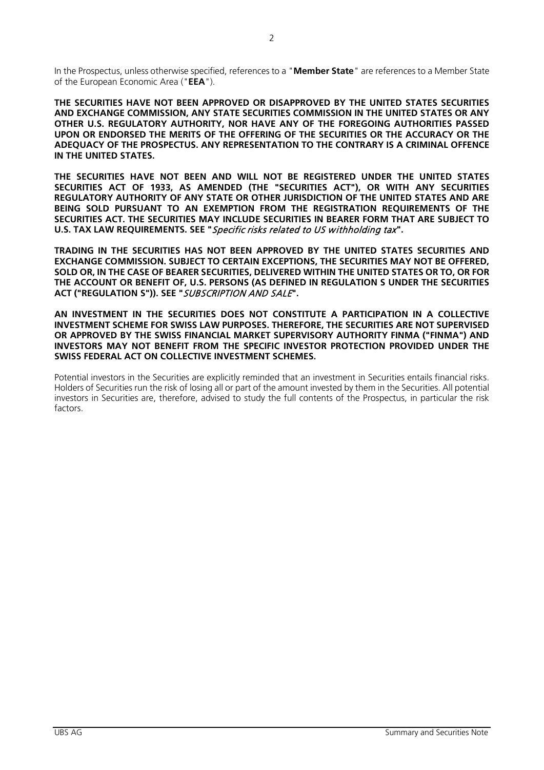**THE SECURITIES HAVE NOT BEEN APPROVED OR DISAPPROVED BY THE UNITED STATES SECURITIES AND EXCHANGE COMMISSION, ANY STATE SECURITIES COMMISSION IN THE UNITED STATES OR ANY OTHER U.S. REGULATORY AUTHORITY, NOR HAVE ANY OF THE FOREGOING AUTHORITIES PASSED UPON OR ENDORSED THE MERITS OF THE OFFERING OF THE SECURITIES OR THE ACCURACY OR THE ADEQUACY OF THE PROSPECTUS. ANY REPRESENTATION TO THE CONTRARY IS A CRIMINAL OFFENCE IN THE UNITED STATES.**

**THE SECURITIES HAVE NOT BEEN AND WILL NOT BE REGISTERED UNDER THE UNITED STATES SECURITIES ACT OF 1933, AS AMENDED (THE "SECURITIES ACT"), OR WITH ANY SECURITIES REGULATORY AUTHORITY OF ANY STATE OR OTHER JURISDICTION OF THE UNITED STATES AND ARE BEING SOLD PURSUANT TO AN EXEMPTION FROM THE REGISTRATION REQUIREMENTS OF THE SECURITIES ACT. THE SECURITIES MAY INCLUDE SECURITIES IN BEARER FORM THAT ARE SUBJECT TO U.S. TAX LAW REQUIREMENTS. SEE "**Specific risks related to US withholding tax**".**

**TRADING IN THE SECURITIES HAS NOT BEEN APPROVED BY THE UNITED STATES SECURITIES AND EXCHANGE COMMISSION. SUBJECT TO CERTAIN EXCEPTIONS, THE SECURITIES MAY NOT BE OFFERED, SOLD OR, IN THE CASE OF BEARER SECURITIES, DELIVERED WITHIN THE UNITED STATES OR TO, OR FOR THE ACCOUNT OR BENEFIT OF, U.S. PERSONS (AS DEFINED IN REGULATION S UNDER THE SECURITIES ACT ("REGULATION S")). SEE "**SUBSCRIPTION AND SALE**".**

**AN INVESTMENT IN THE SECURITIES DOES NOT CONSTITUTE A PARTICIPATION IN A COLLECTIVE INVESTMENT SCHEME FOR SWISS LAW PURPOSES. THEREFORE, THE SECURITIES ARE NOT SUPERVISED OR APPROVED BY THE SWISS FINANCIAL MARKET SUPERVISORY AUTHORITY FINMA ("FINMA") AND INVESTORS MAY NOT BENEFIT FROM THE SPECIFIC INVESTOR PROTECTION PROVIDED UNDER THE SWISS FEDERAL ACT ON COLLECTIVE INVESTMENT SCHEMES.**

Potential investors in the Securities are explicitly reminded that an investment in Securities entails financial risks. Holders of Securities run the risk of losing all or part of the amount invested by them in the Securities. All potential investors in Securities are, therefore, advised to study the full contents of the Prospectus, in particular the risk factors.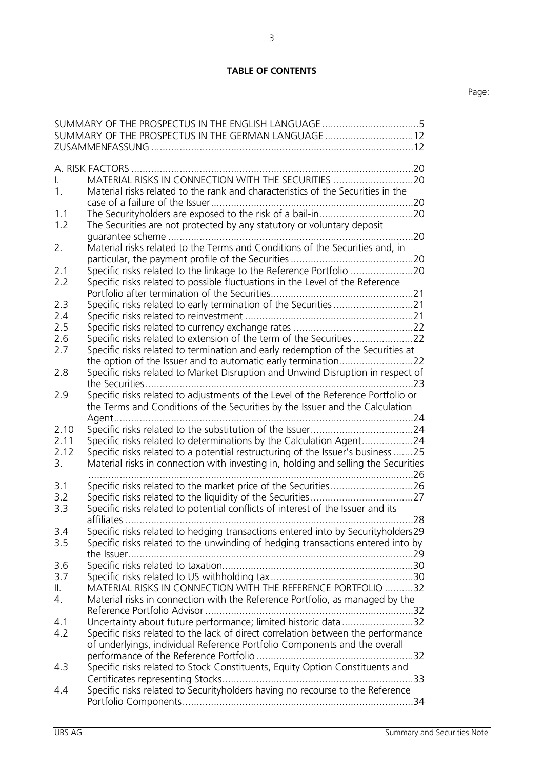## **TABLE OF CONTENTS**

|               | SUMMARY OF THE PROSPECTUS IN THE ENGLISH LANGUAGE5<br>SUMMARY OF THE PROSPECTUS IN THE GERMAN LANGUAGE 12                                             |
|---------------|-------------------------------------------------------------------------------------------------------------------------------------------------------|
|               |                                                                                                                                                       |
|               | A. RISK FACTORS                                                                                                                                       |
| L.            | MATERIAL RISKS IN CONNECTION WITH THE SECURITIES 20                                                                                                   |
| $1_{-}$       | Material risks related to the rank and characteristics of the Securities in the                                                                       |
|               |                                                                                                                                                       |
| 1.1<br>1.2    | The Securities are not protected by any statutory or voluntary deposit                                                                                |
|               |                                                                                                                                                       |
| 2.            | Material risks related to the Terms and Conditions of the Securities and, in                                                                          |
|               |                                                                                                                                                       |
| 2.1           |                                                                                                                                                       |
| 2.2           | Specific risks related to possible fluctuations in the Level of the Reference                                                                         |
| 2.3           | Specific risks related to early termination of the Securities 21                                                                                      |
| 2.4           |                                                                                                                                                       |
| 2.5           |                                                                                                                                                       |
| 2.6           | Specific risks related to extension of the term of the Securities                                                                                     |
| 2.7           | Specific risks related to termination and early redemption of the Securities at                                                                       |
|               |                                                                                                                                                       |
| 2.8           | Specific risks related to Market Disruption and Unwind Disruption in respect of                                                                       |
| 2.9           | Specific risks related to adjustments of the Level of the Reference Portfolio or                                                                      |
|               | the Terms and Conditions of the Securities by the Issuer and the Calculation                                                                          |
|               |                                                                                                                                                       |
| 2.10<br>2.11  |                                                                                                                                                       |
| 2.12          | Specific risks related to determinations by the Calculation Agent24<br>Specific risks related to a potential restructuring of the Issuer's business25 |
| 3.            | Material risks in connection with investing in, holding and selling the Securities                                                                    |
|               |                                                                                                                                                       |
| 3.1           |                                                                                                                                                       |
| 3.2           |                                                                                                                                                       |
| 3.3           | Specific risks related to potential conflicts of interest of the Issuer and its                                                                       |
| 3.4           | Specific risks related to hedging transactions entered into by Securityholders29                                                                      |
| 3.5           | Specific risks related to the unwinding of hedging transactions entered into by                                                                       |
|               |                                                                                                                                                       |
| 3.6           |                                                                                                                                                       |
| 3.7           |                                                                                                                                                       |
| $\parallel$ . | MATERIAL RISKS IN CONNECTION WITH THE REFERENCE PORTFOLIO 32                                                                                          |
| 4.            | Material risks in connection with the Reference Portfolio, as managed by the                                                                          |
| 4.1           | Uncertainty about future performance; limited historic data32                                                                                         |
| 4.2           | Specific risks related to the lack of direct correlation between the performance                                                                      |
|               | of underlyings, individual Reference Portfolio Components and the overall                                                                             |
|               |                                                                                                                                                       |
| 4.3           | Specific risks related to Stock Constituents, Equity Option Constituents and                                                                          |
|               |                                                                                                                                                       |
| 4.4           | Specific risks related to Securityholders having no recourse to the Reference                                                                         |
|               |                                                                                                                                                       |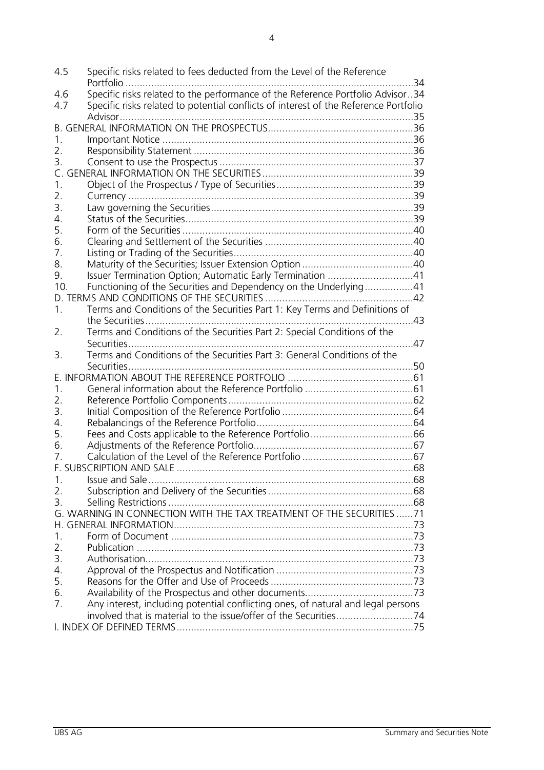4.5 [Specific risks related to fees deducted from the Level of the Reference](#page-33-1)  Portfolio [.....................................................................................................34](#page-33-1) 4.6 [Specific risks related to the performance of the Reference Portfolio Advisor..34](#page-33-2)<br>4.7 Specific risks related to potential conflicts of interest of the Reference Portfolio Specific risks related to potential conflicts of interest of the Reference Portfolio [Advisor.......................................................................................................35](#page-34-0) [B. GENERAL INFORMATION ON THE PROSPECTUS...................................................36](#page-35-0) 1. Important Notice [........................................................................................36](#page-35-1) 2. Responsibility Statement [.............................................................................36](#page-35-2) 3. Consent to use the Prospectus [....................................................................37](#page-36-0) [C. GENERAL INFORMATION ON THE SECURITIES.....................................................39](#page-38-0) 1. [Object of the Prospectus / Type of Securities................................................39](#page-38-1) 2. Currency [....................................................................................................39](#page-38-2) 3. [Law governing the Securities.......................................................................39](#page-38-3) 4. [Status of the Securities................................................................................39](#page-38-4) 5. [Form of the Securities.................................................................................40](#page-39-0) 6. [Clearing and Settlement of the Securities](#page-39-1) ....................................................40 7. [Listing or Trading of the Securities...............................................................40](#page-39-2) 8. [Maturity of the Securities; Issuer Extension Option](#page-39-3) .......................................40 9. [Issuer Termination Option; Automatic Early Termination](#page-40-0) ..............................41 10. [Functioning of the Securities and Dependency on the Underlying.................41](#page-40-1) [D. TERMS AND CONDITIONS OF THE SECURITIES](#page-41-0) ....................................................42 1. [Terms and Conditions of the Securities Part](#page-42-0) 1: Key Terms and Definitions of [the Securities..............................................................................................43](#page-42-0) 2. [Terms and Conditions of the Securities Part](#page-46-0) 2: Special Conditions of the [Securities....................................................................................................47](#page-46-0) 3. [Terms and Conditions of the Securities Part](#page-49-0) 3: General Conditions of the [Securities....................................................................................................50](#page-49-0) [E. INFORMATION ABOUT THE REFERENCE PORTFOLIO](#page-60-0) ............................................61 1. [General information about the Reference Portfolio](#page-60-1) ......................................61 2. [Reference Portfolio Components.................................................................62](#page-61-0) 3. [Initial Composition of the Reference Portfolio](#page-63-0) ..............................................64 4. [Rebalancings of the Reference Portfolio.......................................................64](#page-63-1) 5. [Fees and Costs applicable to the Reference Portfolio....................................66](#page-65-0) 6. [Adjustments of the Reference Portfolio........................................................67](#page-66-0) 7. [Calculation of the Level of the Reference Portfolio](#page-66-1) .......................................67 F. SUBSCRIPTION AND SALE [...................................................................................68](#page-67-0) 1. [Issue and Sale.............................................................................................68](#page-67-1) 2. [Subscription and Delivery of the Securities...................................................68](#page-67-2) 3. [Selling Restrictions......................................................................................68](#page-67-3) [G. WARNING IN CONNECTION WITH THE TAX TREATMENT OF THE SECURITIES](#page-70-0) ......71 [H. GENERAL INFORMATION....................................................................................73](#page-72-0) 1. Form of Document [.....................................................................................73](#page-72-1) 2. Publication [.................................................................................................73](#page-72-2) 3. [Authorisation..............................................................................................73](#page-72-3) 4. [Approval of the Prospectus and Notification](#page-72-4) ................................................73 5. [Reasons for the Offer and Use of Proceeds..................................................73](#page-72-5) 6. [Availability of the Prospectus and other documents......................................73](#page-72-6) 7. [Any interest, including potential conflicting ones, of natural and legal persons](#page-73-0)  [involved that is material to the issue/offer of the Securities...........................74](#page-73-0) [I. INDEX OF DEFINED TERMS...................................................................................75](#page-74-0)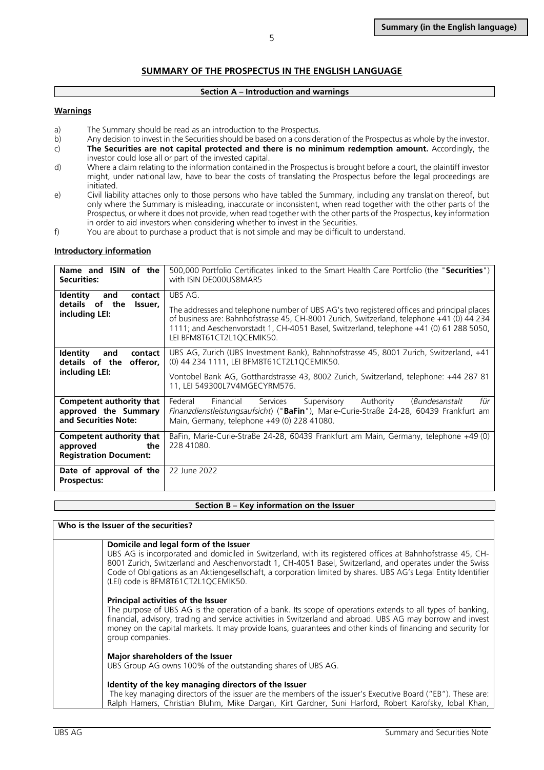## **SUMMARY OF THE PROSPECTUS IN THE ENGLISH LANGUAGE**

#### **Section A – Introduction and warnings**

#### <span id="page-4-0"></span>**Warnings**

- a) The Summary should be read as an introduction to the Prospectus.<br>b) Any decision to invest in the Securities should be based on a conside
- b) Any decision to invest in the Securities should be based on a consideration of the Prospectus as whole by the investor.<br>
The Securities are not capital protected and there is no minimum redemption amount. Accordingly, t
- The Securities are not capital protected and there is no minimum redemption amount. Accordingly, the investor could lose all or part of the invested capital.
- d) Where a claim relating to the information contained in the Prospectus is brought before a court, the plaintiff investor might, under national law, have to bear the costs of translating the Prospectus before the legal proceedings are initiated.
- e) Civil liability attaches only to those persons who have tabled the Summary, including any translation thereof, but only where the Summary is misleading, inaccurate or inconsistent, when read together with the other parts of the Prospectus, or where it does not provide, when read together with the other parts of the Prospectus, key information in order to aid investors when considering whether to invest in the Securities.
- f) You are about to purchase a product that is not simple and may be difficult to understand.

#### **Introductory information**

| Name and ISIN of the<br><b>Securities:</b>                                        | 500,000 Portfolio Certificates linked to the Smart Health Care Portfolio (the "Securities")<br>with ISIN DE000US8MAR5                                                                                                                                                                                                      |  |  |  |  |  |
|-----------------------------------------------------------------------------------|----------------------------------------------------------------------------------------------------------------------------------------------------------------------------------------------------------------------------------------------------------------------------------------------------------------------------|--|--|--|--|--|
| <b>Identity</b><br>and<br>contact<br>details of the<br>Issuer,<br>including LEI:  | UBS AG.<br>The addresses and telephone number of UBS AG's two registered offices and principal places<br>of business are: Bahnhofstrasse 45, CH-8001 Zurich, Switzerland, telephone +41 (0) 44 234<br>1111; and Aeschenvorstadt 1, CH-4051 Basel, Switzerland, telephone +41 (0) 61 288 5050,<br>LEI BFM8T61CT2L1OCEMIK50. |  |  |  |  |  |
| <b>Identity</b><br>contact<br>and<br>details of the<br>offeror,<br>including LEI: | UBS AG, Zurich (UBS Investment Bank), Bahnhofstrasse 45, 8001 Zurich, Switzerland, +41<br>(0) 44 234 1111, LEI BFM8T61CT2L1QCEMIK50.<br>Vontobel Bank AG, Gotthardstrasse 43, 8002 Zurich, Switzerland, telephone: +44 287 81<br>11, LEI 549300L7V4MGECYRM576.                                                             |  |  |  |  |  |
| Competent authority that<br>approved the Summary<br>and Securities Note:          | Federal<br>für<br>Financial<br>Services<br>Supervisory<br>Authority<br>(Bundesanstalt<br><i>Finanzdienstleistungsaufsicht</i> ) (" <b>BaFin</b> "), Marie-Curie-Straße 24-28, 60439 Frankfurt am<br>Main, Germany, telephone +49 (0) 228 41080.                                                                            |  |  |  |  |  |
| Competent authority that<br>approved<br>the<br><b>Registration Document:</b>      | BaFin, Marie-Curie-Straße 24-28, 60439 Frankfurt am Main, Germany, telephone +49 (0)<br>228 41080.                                                                                                                                                                                                                         |  |  |  |  |  |
| Date of approval of the<br>Prospectus:                                            | 22 June 2022                                                                                                                                                                                                                                                                                                               |  |  |  |  |  |

#### **Section B – Key information on the Issuer**

#### **Who is the Issuer of the securities?**

#### **Domicile and legal form of the Issuer**

UBS AG is incorporated and domiciled in Switzerland, with its registered offices at Bahnhofstrasse 45, CH-8001 Zurich, Switzerland and Aeschenvorstadt 1, CH-4051 Basel, Switzerland, and operates under the Swiss Code of Obligations as an Aktiengesellschaft, a corporation limited by shares. UBS AG's Legal Entity Identifier (LEI) code is BFM8T61CT2L1QCEMIK50.

#### **Principal activities of the Issuer**

The purpose of UBS AG is the operation of a bank. Its scope of operations extends to all types of banking, financial, advisory, trading and service activities in Switzerland and abroad. UBS AG may borrow and invest money on the capital markets. It may provide loans, guarantees and other kinds of financing and security for group companies.

#### **Major shareholders of the Issuer**

UBS Group AG owns 100% of the outstanding shares of UBS AG.

#### **Identity of the key managing directors of the Issuer**

The key managing directors of the issuer are the members of the issuer's Executive Board ("EB"). These are: Ralph Hamers, Christian Bluhm, Mike Dargan, Kirt Gardner, Suni Harford, Robert Karofsky, Iqbal Khan,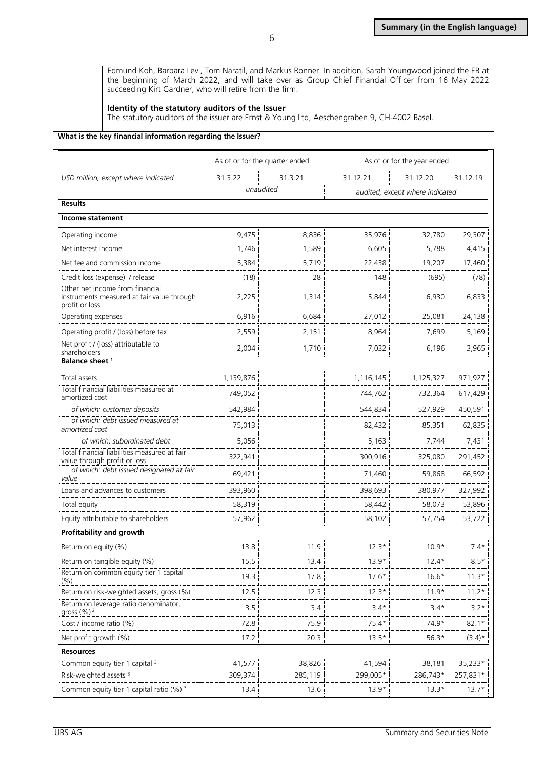Edmund Koh, Barbara Levi, Tom Naratil, and Markus Ronner. In addition, Sarah Youngwood joined the EB at the beginning of March 2022, and will take over as Group Chief Financial Officer from 16 May 2022 succeeding Kirt Gardner, who will retire from the firm.

#### **Identity of the statutory auditors of the Issuer**

The statutory auditors of the issuer are Ernst & Young Ltd, Aeschengraben 9, CH-4002 Basel.

#### **What is the key financial information regarding the Issuer?**

|                                                                                                 | As of or for the quarter ended |         | As of or for the year ended     |           |           |
|-------------------------------------------------------------------------------------------------|--------------------------------|---------|---------------------------------|-----------|-----------|
| USD million, except where indicated                                                             | 31.3.22                        | 31.3.21 | 31.12.21                        | 31.12.20  | 31.12.19  |
|                                                                                                 | unaudited                      |         | audited, except where indicated |           |           |
| <b>Results</b>                                                                                  |                                |         |                                 |           |           |
| Income statement                                                                                |                                |         |                                 |           |           |
| Operating income                                                                                | 9,475                          | 8,836   | 35,976                          | 32,780    | 29,307    |
| Net interest income                                                                             | 1,746                          | 1,589   | 6,605                           | 5,788     | 4,415     |
| Net fee and commission income                                                                   | 5,384                          | 5,719   | 22,438                          | 19,207    | 17,460    |
| Credit loss (expense) / release                                                                 | (18)                           | 28      | 148                             | (695)     | (78)      |
| Other net income from financial<br>instruments measured at fair value through<br>profit or loss | 2,225                          | 1,314   | 5,844                           | 6,930     | 6,833     |
| Operating expenses                                                                              | 6,916                          | 6,684   | 27,012                          | 25,081    | 24,138    |
| Operating profit / (loss) before tax                                                            | 2,559                          | 2,151   | 8,964                           | 7,699     | 5,169     |
| Net profit / (loss) attributable to<br>shareholders                                             | 2,004                          | 1,710   | 7,032                           | 6,196     | 3,965     |
| Balance sheet <sup>1</sup>                                                                      |                                |         |                                 |           |           |
| Total assets                                                                                    | 1,139,876                      |         | 1,116,145                       | 1,125,327 | 971,927   |
| Total financial liabilities measured at<br>amortized cost                                       | 749,052                        |         | 744,762                         | 732,364   | 617,429   |
| of which: customer deposits                                                                     | 542,984                        |         | 544,834                         | 527,929   | 450,591   |
| of which: debt issued measured at<br>amortized cost                                             | 75,013                         |         | 82,432                          | 85,351    | 62,835    |
| of which: subordinated debt                                                                     | 5,056                          |         | 5,163                           | 7,744     | 7,431     |
| Total financial liabilities measured at fair<br>value through profit or loss                    | 322,941                        |         | 300,916                         | 325,080   | 291,452   |
| of which: debt issued designated at fair<br>value                                               | 69,421                         |         | 71,460                          | 59,868    | 66,592    |
| Loans and advances to customers                                                                 | 393,960                        |         | 398,693                         | 380,977   | 327,992   |
| Total equity                                                                                    | 58,319                         |         | 58,442                          | 58,073    | 53,896    |
| Equity attributable to shareholders                                                             | 57,962                         |         | 58,102                          | 57,754    | 53,722    |
| Profitability and growth                                                                        |                                |         |                                 |           |           |
| Return on equity (%)                                                                            | 13.8                           | 11.9    | $12.3*$                         | $10.9*$   | $7.4*$    |
| Return on tangible equity (%)                                                                   | 15.5                           | 13.4    | $13.9*$                         | $12.4*$   | $8.5*$    |
| Return on common equity tier 1 capital<br>(% )                                                  | 19.3                           | 17.8    | $17.6*$                         | $16.6*$   | $11.3*$   |
| Return on risk-weighted assets, gross (%)                                                       | 12.5                           | 12.3    | $12.3*$                         | $11.9*$   | $11.2*$   |
| Return on leverage ratio denominator,<br>gross (%) <sup>2</sup>                                 | 3.5                            | 3.4     | $3.4*$                          | $3.4*$    | $3.2*$    |
| Cost / income ratio (%)                                                                         | 72.8                           | 75.9    | $75.4*$                         | 74.9*     | $82.1*$   |
| Net profit growth (%)                                                                           | 17.2                           | 20.3    | $13.5*$                         | $56.3*$   | $(3.4)^*$ |
| <b>Resources</b>                                                                                |                                |         |                                 |           |           |
| Common equity tier 1 capital <sup>3</sup>                                                       | 41,577                         | 38,826  | 41,594                          | 38,181    | 35,233*   |
| Risk-weighted assets <sup>3</sup>                                                               | 309,374                        | 285,119 | 299,005*                        | 286,743*  | 257,831*  |
| Common equity tier 1 capital ratio (%) 3                                                        | 13.4                           | 13.6    | $13.9*$                         | $13.3*$   | $13.7*$   |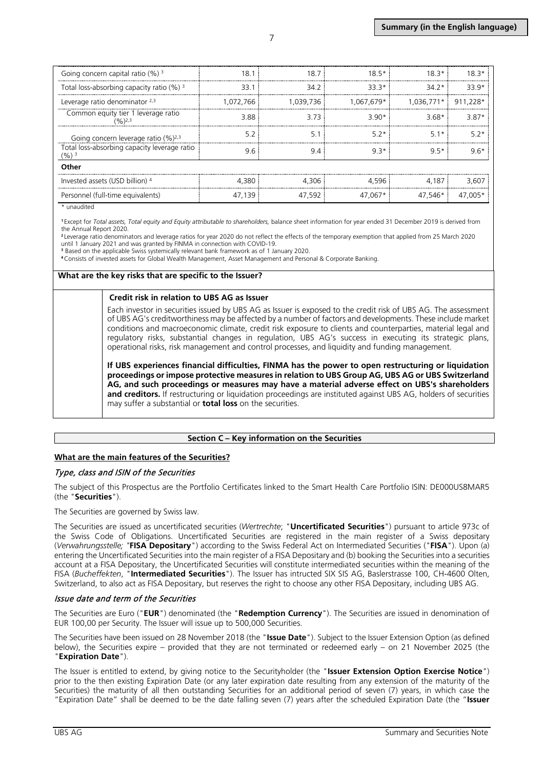| Going concern capital ratio $(\%)$ <sup>3</sup>                      | 18        | 18 7      | $18.5*$                  | 18 3*   | $18.3*$  |  |
|----------------------------------------------------------------------|-----------|-----------|--------------------------|---------|----------|--|
| Total loss-absorbing capacity ratio $(\%)$ <sup>3</sup>              | 33.1      | 34 2      | 33.3*                    | 34 2*   | $339*$   |  |
| Leverage ratio denominator $2,3$                                     | 1,072,766 | 1.039.736 | 1,067,679*!  1,036,771*! |         | 911.228* |  |
| Common equity tier 1 leverage ratio<br>$(96)$ <sup>2,3</sup>         | 3.88      | 3 73      | ⊰ 9∩*                    | 3.68*   | $3.87*$  |  |
| Going concern leverage ratio $(%)^{2,3}$                             |           | 5.        | 5.2*                     | 5.1*    | 57*      |  |
| Total loss-absorbing capacity leverage ratio<br>$(9/6)$ <sup>3</sup> |           |           | $9.3*$                   | $9.5*$  |          |  |
| Other                                                                |           |           |                          |         |          |  |
| Invested assets (USD billion) 4                                      | 4380      | 4306      | 4596                     | 4.187   | 3.607    |  |
| Personnel (full-time equivalents)                                    | 47.139    | 47.592    | 47.067*                  | 47.546* | 47.005*  |  |

\* unaudited

**<sup>1</sup>**Except for *Total assets, Total equity and Equity attributable to shareholders,* balance sheet information for year ended 31 December 2019 is derived from the Annual Report 2020.

**<sup>2</sup>**Leverage ratio denominators and leverage ratios for year 2020 do not reflect the effects of the temporary exemption that applied from 25 March 2020 until 1 January 2021 and was granted by FINMA in connection with COVID-19.

**<sup>3</sup>**Based on the applicable Swiss systemically relevant bank framework as of 1 January 2020.

**<sup>4</sup>**Consists of invested assets for Global Wealth Management, Asset Management and Personal & Corporate Banking.

#### **What are the key risks that are specific to the Issuer?**

#### **Credit risk in relation to UBS AG as Issuer**

Each investor in securities issued by UBS AG as Issuer is exposed to the credit risk of UBS AG. The assessment of UBS AG's creditworthiness may be affected by a number of factors and developments. These include market conditions and macroeconomic climate, credit risk exposure to clients and counterparties, material legal and regulatory risks, substantial changes in regulation, UBS AG's success in executing its strategic plans, operational risks, risk management and control processes, and liquidity and funding management.

**If UBS experiences financial difficulties, FINMA has the power to open restructuring or liquidation proceedings or impose protective measures in relation to UBS Group AG, UBS AG or UBS Switzerland AG, and such proceedings or measures may have a material adverse effect on UBS's shareholders and creditors.** If restructuring or liquidation proceedings are instituted against UBS AG, holders of securities may suffer a substantial or **total loss** on the securities.

### **Section C – Key information on the Securities**

### **What are the main features of the Securities?**

### Type, class and ISIN of the Securities

The subject of this Prospectus are the Portfolio Certificates linked to the Smart Health Care Portfolio ISIN: DE000US8MAR5 (the "**Securities**").

The Securities are governed by Swiss law.

The Securities are issued as uncertificated securities (*Wertrechte*; "**Uncertificated Securities**") pursuant to article 973c of the Swiss Code of Obligations. Uncertificated Securities are registered in the main register of a Swiss depositary (*Verwahrungsstelle; "***FISA Depositary**") according to the Swiss Federal Act on Intermediated Securities ("**FISA**"). Upon (a) entering the Uncertificated Securities into the main register of a FISA Depositary and (b) booking the Securities into a securities account at a FISA Depositary, the Uncertificated Securities will constitute intermediated securities within the meaning of the FISA (*Bucheffekten*, "**Intermediated Securities**"). The Issuer has intructed SIX SIS AG, Baslerstrasse 100, CH-4600 Olten, Switzerland, to also act as FISA Depositary, but reserves the right to choose any other FISA Depositary, including UBS AG.

### Issue date and term of the Securities

The Securities are Euro ("**EUR**") denominated (the "**Redemption Currency**"). The Securities are issued in denomination of EUR 100,00 per Security. The Issuer will issue up to 500,000 Securities.

The Securities have been issued on 28 November 2018 (the "**Issue Date**"). Subject to the Issuer Extension Option (as defined below), the Securities expire – provided that they are not terminated or redeemed early – on 21 November 2025 (the "**Expiration Date**").

The Issuer is entitled to extend, by giving notice to the Securityholder (the "**Issuer Extension Option Exercise Notice**") prior to the then existing Expiration Date (or any later expiration date resulting from any extension of the maturity of the Securities) the maturity of all then outstanding Securities for an additional period of seven (7) years, in which case the "Expiration Date" shall be deemed to be the date falling seven (7) years after the scheduled Expiration Date (the "**Issuer**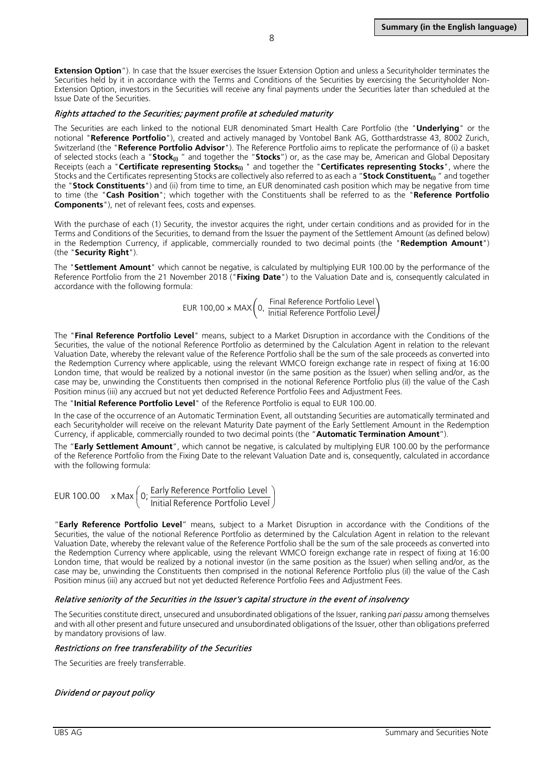**Extension Option**"). In case that the Issuer exercises the Issuer Extension Option and unless a Securityholder terminates the Securities held by it in accordance with the Terms and Conditions of the Securities by exercising the Securityholder Non-Extension Option, investors in the Securities will receive any final payments under the Securities later than scheduled at the Issue Date of the Securities.

#### Rights attached to the Securities; payment profile at scheduled maturity

The Securities are each linked to the notional EUR denominated Smart Health Care Portfolio (the "**Underlying**" or the notional "**Reference Portfolio**"), created and actively managed by Vontobel Bank AG, Gotthardstrasse 43, 8002 Zurich, Switzerland (the "**Reference Portfolio Advisor**"). The Reference Portfolio aims to replicate the performance of (i) a basket of selected stocks (each a "**Stock**<sub>(in</sub>" and together the "**Stocks**") or, as the case may be, American and Global Depositary Receipts (each a "**Certificate representing Stocks**<sup>n"</sup> and together the "**Certificates representing Stocks**", where the Stocks and the Certificates representing Stocks are collectively also referred to as each a "**Stock Constituent**<sub>(i)</sub> " and together the "**Stock Constituents**") and (ii) from time to time, an EUR denominated cash position which may be negative from time to time (the "**Cash Position**"; which together with the Constituents shall be referred to as the "**Reference Portfolio Components**"), net of relevant fees, costs and expenses.

With the purchase of each (1) Security, the investor acquires the right, under certain conditions and as provided for in the Terms and Conditions of the Securities, to demand from the Issuer the payment of the Settlement Amount (as defined below) in the Redemption Currency, if applicable, commercially rounded to two decimal points (the "**Redemption Amount**") (the "**Security Right**").

The "**Settlement Amount**" which cannot be negative, is calculated by multiplying EUR 100.00 by the performance of the Reference Portfolio from the 21 November 2018 ("**Fixing Date**") to the Valuation Date and is, consequently calculated in accordance with the following formula:

> $EUR 100,00 \times MAX\left( 0, \frac{Final \ Reference \ Portfolio \ Level} {Initial \ Reference \ Portfolio \ Level}$ Initial Reference Portfolio Level

The "**Final Reference Portfolio Level**" means, subject to a Market Disruption in accordance with the Conditions of the Securities, the value of the notional Reference Portfolio as determined by the Calculation Agent in relation to the relevant Valuation Date, whereby the relevant value of the Reference Portfolio shall be the sum of the sale proceeds as converted into the Redemption Currency where applicable, using the relevant WMCO foreign exchange rate in respect of fixing at 16:00 London time, that would be realized by a notional investor (in the same position as the Issuer) when selling and/or, as the case may be, unwinding the Constituents then comprised in the notional Reference Portfolio plus (iI) the value of the Cash Position minus (iii) any accrued but not yet deducted Reference Portfolio Fees and Adjustment Fees.

The "**Initial Reference Portfolio Level**" of the Reference Portfolio is equal to EUR 100.00.

In the case of the occurrence of an Automatic Termination Event, all outstanding Securities are automatically terminated and each Securityholder will receive on the relevant Maturity Date payment of the Early Settlement Amount in the Redemption Currency, if applicable, commercially rounded to two decimal points (the "**Automatic Termination Amount**").

The "**Early Settlement Amount**", which cannot be negative, is calculated by multiplying EUR 100.00 by the performance of the Reference Portfolio from the Fixing Date to the relevant Valuation Date and is, consequently, calculated in accordance with the following formula:

EUR 100.00 
$$
x \text{ Max} \left( 0; \frac{\text{Early Reference Portfolio Level}}{\text{Initial Reference Portfolio Level}} \right)
$$

"**Early Reference Portfolio Level**" means, subject to a Market Disruption in accordance with the Conditions of the Securities, the value of the notional Reference Portfolio as determined by the Calculation Agent in relation to the relevant Valuation Date, whereby the relevant value of the Reference Portfolio shall be the sum of the sale proceeds as converted into the Redemption Currency where applicable, using the relevant WMCO foreign exchange rate in respect of fixing at 16:00 London time, that would be realized by a notional investor (in the same position as the Issuer) when selling and/or, as the case may be, unwinding the Constituents then comprised in the notional Reference Portfolio plus (iI) the value of the Cash Position minus (iii) any accrued but not yet deducted Reference Portfolio Fees and Adjustment Fees.

### Relative seniority of the Securities in the Issuer's capital structure in the event of insolvency

The Securities constitute direct, unsecured and unsubordinated obligations of the Issuer, ranking *pari passu* among themselves and with all other present and future unsecured and unsubordinated obligations of the Issuer, other than obligations preferred by mandatory provisions of law.

### Restrictions on free transferability of the Securities

The Securities are freely transferrable.

## Dividend or payout policy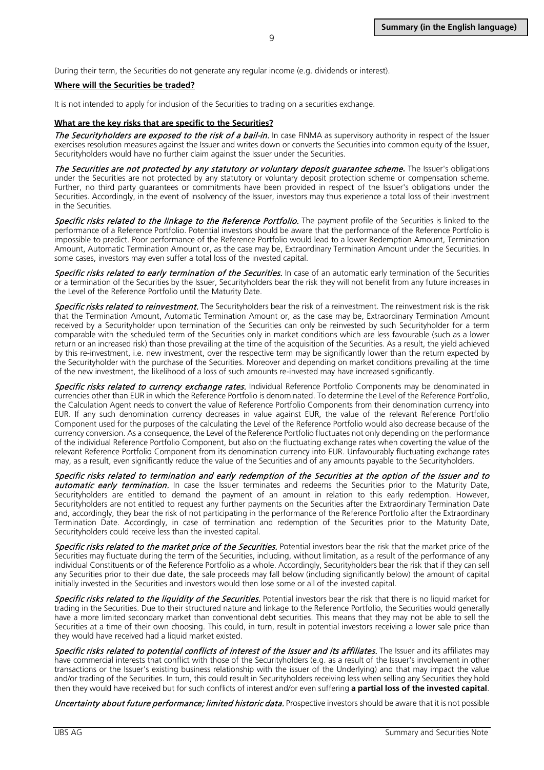#### **Where will the Securities be traded?**

It is not intended to apply for inclusion of the Securities to trading on a securities exchange.

#### **What are the key risks that are specific to the Securities?**

The Securityholders are exposed to the risk of a bail-in. In case FINMA as supervisory authority in respect of the Issuer exercises resolution measures against the Issuer and writes down or converts the Securities into common equity of the Issuer, Securityholders would have no further claim against the Issuer under the Securities.

The Securities are not protected by any statutory or voluntary deposit guarantee scheme**.** The Issuer's obligations under the Securities are not protected by any statutory or voluntary deposit protection scheme or compensation scheme. Further, no third party guarantees or commitments have been provided in respect of the Issuer's obligations under the Securities. Accordingly, in the event of insolvency of the Issuer, investors may thus experience a total loss of their investment in the Securities.

Specific risks related to the linkage to the Reference Portfolio. The payment profile of the Securities is linked to the performance of a Reference Portfolio. Potential investors should be aware that the performance of the Reference Portfolio is impossible to predict. Poor performance of the Reference Portfolio would lead to a lower Redemption Amount, Termination Amount, Automatic Termination Amount or, as the case may be, Extraordinary Termination Amount under the Securities. In some cases, investors may even suffer a total loss of the invested capital.

Specific risks related to early termination of the Securities. In case of an automatic early termination of the Securities or a termination of the Securities by the Issuer, Securityholders bear the risk they will not benefit from any future increases in the Level of the Reference Portfolio until the Maturity Date.

Specific risks related to reinvestment. The Securityholders bear the risk of a reinvestment. The reinvestment risk is the risk that the Termination Amount, Automatic Termination Amount or, as the case may be, Extraordinary Termination Amount received by a Securityholder upon termination of the Securities can only be reinvested by such Securityholder for a term comparable with the scheduled term of the Securities only in market conditions which are less favourable (such as a lower return or an increased risk) than those prevailing at the time of the acquisition of the Securities. As a result, the yield achieved by this re-investment, i.e. new investment, over the respective term may be significantly lower than the return expected by the Securityholder with the purchase of the Securities. Moreover and depending on market conditions prevailing at the time of the new investment, the likelihood of a loss of such amounts re-invested may have increased significantly.

Specific risks related to currency exchange rates. Individual Reference Portfolio Components may be denominated in currencies other than EUR in which the Reference Portfolio is denominated. To determine the Level of the Reference Portfolio, the Calculation Agent needs to convert the value of Reference Portfolio Components from their denomination currency into EUR. If any such denomination currency decreases in value against EUR, the value of the relevant Reference Portfolio Component used for the purposes of the calculating the Level of the Reference Portfolio would also decrease because of the currency conversion. As a consequence, the Level of the Reference Portfolio fluctuates not only depending on the performance of the individual Reference Portfolio Component, but also on the fluctuating exchange rates when coverting the value of the relevant Reference Portfolio Component from its denomination currency into EUR. Unfavourably fluctuating exchange rates may, as a result, even significantly reduce the value of the Securities and of any amounts payable to the Securityholders.

Specific risks related to termination and early redemption of the Securities at the option of the Issuer and to automatic early termination. In case the Issuer terminates and redeems the Securities prior to the Maturity Date, Securityholders are entitled to demand the payment of an amount in relation to this early redemption. However, Securityholders are not entitled to request any further payments on the Securities after the Extraordinary Termination Date and, accordingly, they bear the risk of not participating in the performance of the Reference Portfolio after the Extraordinary Termination Date. Accordingly, in case of termination and redemption of the Securities prior to the Maturity Date, Securityholders could receive less than the invested capital.

Specific risks related to the market price of the Securities. Potential investors bear the risk that the market price of the Securities may fluctuate during the term of the Securities, including, without limitation, as a result of the performance of any individual Constituents or of the Reference Portfolio as a whole. Accordingly, Securityholders bear the risk that if they can sell any Securities prior to their due date, the sale proceeds may fall below (including significantly below) the amount of capital initially invested in the Securities and investors would then lose some or all of the invested capital.

Specific risks related to the liquidity of the Securities. Potential investors bear the risk that there is no liquid market for trading in the Securities. Due to their structured nature and linkage to the Reference Portfolio, the Securities would generally have a more limited secondary market than conventional debt securities. This means that they may not be able to sell the Securities at a time of their own choosing. This could, in turn, result in potential investors receiving a lower sale price than they would have received had a liquid market existed.

Specific risks related to potential conflicts of interest of the Issuer and its affiliates. The Issuer and its affiliates may have commercial interests that conflict with those of the Securityholders (e.g. as a result of the Issuer's involvement in other transactions or the Issuer's existing business relationship with the issuer of the Underlying) and that may impact the value and/or trading of the Securities. In turn, this could result in Securityholders receiving less when selling any Securities they hold then they would have received but for such conflicts of interest and/or even suffering **a partial loss of the invested capital**.

Uncertainty about future performance; limited historic data. Prospective investors should be aware that it is not possible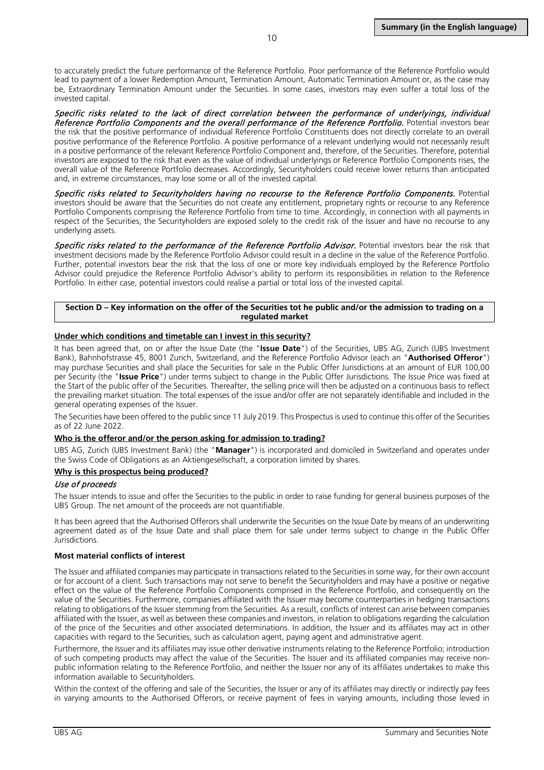to accurately predict the future performance of the Reference Portfolio. Poor performance of the Reference Portfolio would lead to payment of a lower Redemption Amount, Termination Amount, Automatic Termination Amount or, as the case may be, Extraordinary Termination Amount under the Securities. In some cases, investors may even suffer a total loss of the invested capital.

Specific risks related to the lack of direct correlation between the performance of underlyings, individual Reference Portfolio Components and the overall performance of the Reference Portfolio. Potential investors bear the risk that the positive performance of individual Reference Portfolio Constituents does not directly correlate to an overall positive performance of the Reference Portfolio. A positive performance of a relevant underlying would not necessarily result in a positive performance of the relevant Reference Portfolio Component and, therefore, of the Securities. Therefore, potential investors are exposed to the risk that even as the value of individual underlyings or Reference Portfolio Components rises, the overall value of the Reference Portfolio decreases. Accordingly, Securityholders could receive lower returns than anticipated and, in extreme circumstances, may lose some or all of the invested capital.

Specific risks related to Securityholders having no recourse to the Reference Portfolio Components. Potential investors should be aware that the Securities do not create any entitlement, proprietary rights or recourse to any Reference Portfolio Components comprising the Reference Portfolio from time to time. Accordingly, in connection with all payments in respect of the Securities, the Securityholders are exposed solely to the credit risk of the Issuer and have no recourse to any underlying assets.

Specific risks related to the performance of the Reference Portfolio Advisor. Potential investors bear the risk that investment decisions made by the Reference Portfolio Advisor could result in a decline in the value of the Reference Portfolio. Further, potential investors bear the risk that the loss of one or more key individuals employed by the Reference Portfolio Advisor could prejudice the Reference Portfolio Advisor's ability to perform its responsibilities in relation to the Reference Portfolio. In either case, potential investors could realise a partial or total loss of the invested capital.

#### **Section D – Key information on the offer of the Securities tot he public and/or the admission to trading on a regulated market**

#### **Under which conditions and timetable can I invest in this security?**

It has been agreed that, on or after the Issue Date (the "**Issue Date**") of the Securities, UBS AG, Zurich (UBS Investment Bank), Bahnhofstrasse 45, 8001 Zurich, Switzerland, and the Reference Portfolio Advisor (each an "**Authorised Offeror**") may purchase Securities and shall place the Securities for sale in the Public Offer Jurisdictions at an amount of EUR 100,00 per Security (the "**Issue Price**") under terms subject to change in the Public Offer Jurisdictions. The Issue Price was fixed at the Start of the public offer of the Securities. Thereafter, the selling price will then be adjusted on a continuous basis to reflect the prevailing market situation. The total expenses of the issue and/or offer are not separately identifiable and included in the general operating expenses of the Issuer.

The Securities have been offered to the public since 11 July 2019. This Prospectus is used to continue this offer of the Securities as of 22 June 2022.

#### **Who is the offeror and/or the person asking for admission to trading?**

UBS AG, Zurich (UBS Investment Bank) (the "**Manager**") is incorporated and domiciled in Switzerland and operates under the Swiss Code of Obligations as an Aktiengesellschaft, a corporation limited by shares.

#### **Why is this prospectus being produced?**

#### Use of proceeds

The Issuer intends to issue and offer the Securities to the public in order to raise funding for general business purposes of the UBS Group. The net amount of the proceeds are not quantifiable.

It has been agreed that the Authorised Offerors shall underwrite the Securities on the Issue Date by means of an underwriting agreement dated as of the Issue Date and shall place them for sale under terms subject to change in the Public Offer Jurisdictions.

#### **Most material conflicts of interest**

The Issuer and affiliated companies may participate in transactions related to the Securities in some way, for their own account or for account of a client. Such transactions may not serve to benefit the Securityholders and may have a positive or negative effect on the value of the Reference Portfolio Components comprised in the Reference Portfolio, and consequently on the value of the Securities. Furthermore, companies affiliated with the Issuer may become counterparties in hedging transactions relating to obligations of the Issuer stemming from the Securities. As a result, conflicts of interest can arise between companies affiliated with the Issuer, as well as between these companies and investors, in relation to obligations regarding the calculation of the price of the Securities and other associated determinations. In addition, the Issuer and its affiliates may act in other capacities with regard to the Securities, such as calculation agent, paying agent and administrative agent.

Furthermore, the Issuer and its affiliates may issue other derivative instruments relating to the Reference Portfolio; introduction of such competing products may affect the value of the Securities. The Issuer and its affiliated companies may receive nonpublic information relating to the Reference Portfolio, and neither the Issuer nor any of its affiliates undertakes to make this information available to Securityholders.

Within the context of the offering and sale of the Securities, the Issuer or any of its affiliates may directly or indirectly pay fees in varying amounts to the Authorised Offerors, or receive payment of fees in varying amounts, including those levied in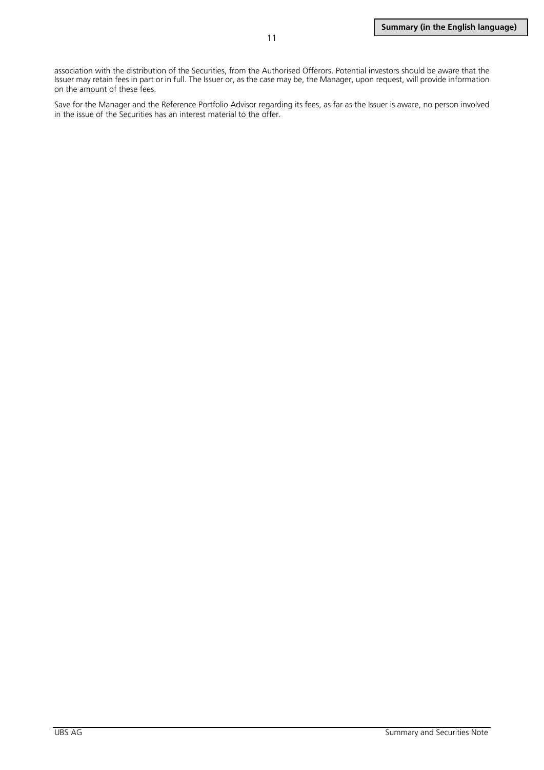association with the distribution of the Securities, from the Authorised Offerors. Potential investors should be aware that the Issuer may retain fees in part or in full. The Issuer or, as the case may be, the Manager, upon request, will provide information on the amount of these fees.

Save for the Manager and the Reference Portfolio Advisor regarding its fees, as far as the Issuer is aware, no person involved in the issue of the Securities has an interest material to the offer.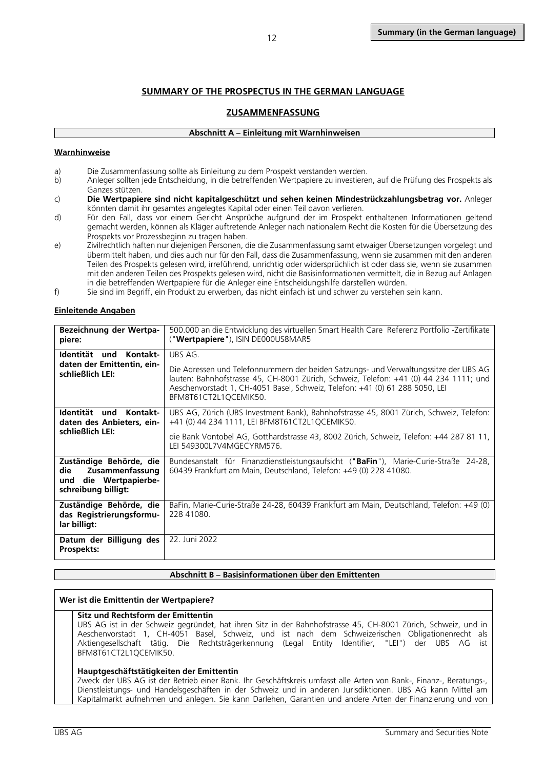## **SUMMARY OF THE PROSPECTUS IN THE GERMAN LANGUAGE**

## **ZUSAMMENFASSUNG**

## **Abschnitt A – Einleitung mit Warnhinweisen**

## <span id="page-11-1"></span><span id="page-11-0"></span>**Warnhinweise**

- a) Die Zusammenfassung sollte als Einleitung zu dem Prospekt verstanden werden.<br>b) Anleger sollten jede Entscheidung, in die betreffenden Wertpapiere zu investiere
- b) Anleger sollten jede Entscheidung, in die betreffenden Wertpapiere zu investieren, auf die Prüfung des Prospekts als Ganzes stützen.
- c) **Die Wertpapiere sind nicht kapitalgeschützt und sehen keinen Mindestrückzahlungsbetrag vor.** Anleger könnten damit ihr gesamtes angelegtes Kapital oder einen Teil davon verlieren.
- d) Für den Fall, dass vor einem Gericht Ansprüche aufgrund der im Prospekt enthaltenen Informationen geltend gemacht werden, können als Kläger auftretende Anleger nach nationalem Recht die Kosten für die Übersetzung des Prospekts vor Prozessbeginn zu tragen haben.
- e) Zivilrechtlich haften nur diejenigen Personen, die die Zusammenfassung samt etwaiger Übersetzungen vorgelegt und übermittelt haben, und dies auch nur für den Fall, dass die Zusammenfassung, wenn sie zusammen mit den anderen Teilen des Prospekts gelesen wird, irreführend, unrichtig oder widersprüchlich ist oder dass sie, wenn sie zusammen mit den anderen Teilen des Prospekts gelesen wird, nicht die Basisinformationen vermittelt, die in Bezug auf Anlagen in die betreffenden Wertpapiere für die Anleger eine Entscheidungshilfe darstellen würden.
- f) Sie sind im Begriff, ein Produkt zu erwerben, das nicht einfach ist und schwer zu verstehen sein kann.

## **Einleitende Angaben**

| Bezeichnung der Wertpa-<br>piere:                                                                    | 500.000 an die Entwicklung des virtuellen Smart Health Care Referenz Portfolio -Zertifikate<br>(" <b>Wertpapiere</b> "), ISIN DE000US8MAR5                                                                                                                                                        |
|------------------------------------------------------------------------------------------------------|---------------------------------------------------------------------------------------------------------------------------------------------------------------------------------------------------------------------------------------------------------------------------------------------------|
| Identität und Kontakt-<br>daten der Emittentin, ein-<br>schließlich LEI:                             | UBS AG.<br>Die Adressen und Telefonnummern der beiden Satzungs- und Verwaltungssitze der UBS AG<br>lauten: Bahnhofstrasse 45, CH-8001 Zürich, Schweiz, Telefon: +41 (0) 44 234 1111; und<br>Aeschenvorstadt 1, CH-4051 Basel, Schweiz, Telefon: +41 (0) 61 288 5050, LEI<br>BFM8T61CT2L1QCEMIK50. |
| ldentität<br>und Kontakt-<br>daten des Anbieters, ein-<br>schließlich LEI:                           | UBS AG, Zürich (UBS Investment Bank), Bahnhofstrasse 45, 8001 Zürich, Schweiz, Telefon:<br>+41 (0) 44 234 1111, LEI BFM8T61CT2L1QCEMIK50.<br>die Bank Vontobel AG, Gotthardstrasse 43, 8002 Zürich, Schweiz, Telefon: +44 287 81 11,<br>LEI 549300L7V4MGECYRM576.                                 |
| Zuständige Behörde, die<br>die<br>Zusammenfassung<br>die Wertpapierbe-<br>und<br>schreibung billigt: | Bundesanstalt für Finanzdienstleistungsaufsicht ("BaFin"), Marie-Curie-Straße 24-28,<br>60439 Frankfurt am Main, Deutschland, Telefon: +49 (0) 228 41080.                                                                                                                                         |
| Zuständige Behörde, die<br>das Registrierungsformu-<br>lar billigt:                                  | BaFin, Marie-Curie-Straße 24-28, 60439 Frankfurt am Main, Deutschland, Telefon: +49 (0)<br>228 41080.                                                                                                                                                                                             |
| Datum der Billigung des<br>Prospekts:                                                                | 22. Juni 2022                                                                                                                                                                                                                                                                                     |

#### **Abschnitt B – Basisinformationen über den Emittenten**

#### **Wer ist die Emittentin der Wertpapiere?**

#### **Sitz und Rechtsform der Emittentin**

UBS AG ist in der Schweiz gegründet, hat ihren Sitz in der Bahnhofstrasse 45, CH-8001 Zürich, Schweiz, und in Aeschenvorstadt 1, CH-4051 Basel, Schweiz, und ist nach dem Schweizerischen Obligationenrecht als Aktiengesellschaft tätig. Die Rechtsträgerkennung (Legal Entity Identifier, "LEI") der UBS AG ist BFM8T61CT2L1QCEMIK50.

### **Hauptgeschäftstätigkeiten der Emittentin**

Zweck der UBS AG ist der Betrieb einer Bank. Ihr Geschäftskreis umfasst alle Arten von Bank-, Finanz-, Beratungs-, Dienstleistungs- und Handelsgeschäften in der Schweiz und in anderen Jurisdiktionen. UBS AG kann Mittel am Kapitalmarkt aufnehmen und anlegen. Sie kann Darlehen, Garantien und andere Arten der Finanzierung und von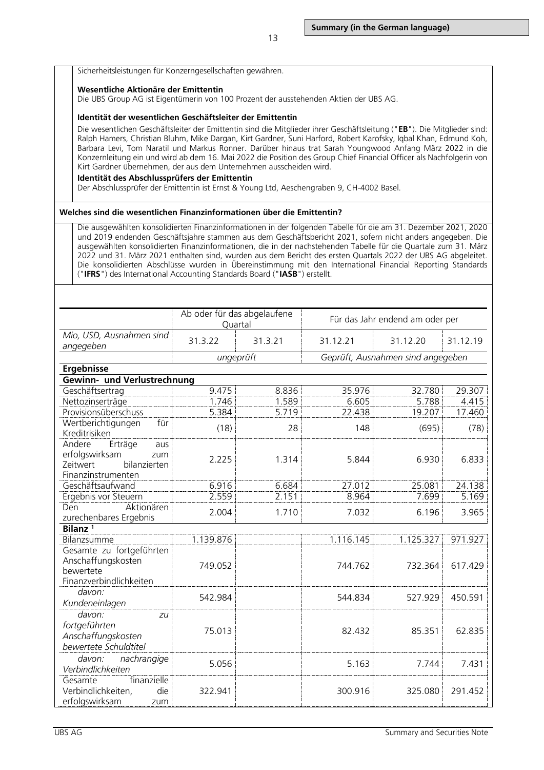Sicherheitsleistungen für Konzerngesellschaften gewähren.

#### **Wesentliche Aktionäre der Emittentin**

Die UBS Group AG ist Eigentümerin von 100 Prozent der ausstehenden Aktien der UBS AG.

#### **Identität der wesentlichen Geschäftsleiter der Emittentin**

Die wesentlichen Geschäftsleiter der Emittentin sind die Mitglieder ihrer Geschäftsleitung ("**EB**"). Die Mitglieder sind: Ralph Hamers, Christian Bluhm, Mike Dargan, Kirt Gardner, Suni Harford, Robert Karofsky, Iqbal Khan, Edmund Koh, Barbara Levi, Tom Naratil und Markus Ronner. Darüber hinaus trat Sarah Youngwood Anfang März 2022 in die Konzernleitung ein und wird ab dem 16. Mai 2022 die Position des Group Chief Financial Officer als Nachfolgerin von Kirt Gardner übernehmen, der aus dem Unternehmen ausscheiden wird.

#### **Identität des Abschlussprüfers der Emittentin**

Der Abschlussprüfer der Emittentin ist Ernst & Young Ltd, Aeschengraben 9, CH-4002 Basel.

#### **Welches sind die wesentlichen Finanzinformationen über die Emittentin?**

Die ausgewählten konsolidierten Finanzinformationen in der folgenden Tabelle für die am 31. Dezember 2021, 2020 und 2019 endenden Geschäftsjahre stammen aus dem Geschäftsbericht 2021, sofern nicht anders angegeben. Die ausgewählten konsolidierten Finanzinformationen, die in der nachstehenden Tabelle für die Quartale zum 31. März 2022 und 31. März 2021 enthalten sind, wurden aus dem Bericht des ersten Quartals 2022 der UBS AG abgeleitet. Die konsolidierten Abschlüsse wurden in Übereinstimmung mit den International Financial Reporting Standards ("**IFRS**") des International Accounting Standards Board ("**IASB**") erstellt.

|                                                                                                     | Ab oder für das abgelaufene<br>Quartal |           | Für das Jahr endend am oder per |                                   |          |
|-----------------------------------------------------------------------------------------------------|----------------------------------------|-----------|---------------------------------|-----------------------------------|----------|
| Mio, USD, Ausnahmen sind<br>angegeben                                                               | 31.3.22                                | 31.3.21   | 31.12.21                        | 31.12.20                          | 31.12.19 |
|                                                                                                     |                                        | ungeprüft |                                 | Geprüft, Ausnahmen sind angegeben |          |
| <b>Ergebnisse</b>                                                                                   |                                        |           |                                 |                                   |          |
| Gewinn- und Verlustrechnung                                                                         |                                        |           |                                 |                                   |          |
| Geschäftsertrag                                                                                     | 9.475                                  | 8.836     | 35.976                          | 32.780                            | 29.307   |
| Nettozinserträge                                                                                    | 1.746                                  | 1.589     | 6.605                           | 5.788                             | 4.415    |
| Provisionsüberschuss                                                                                | 5.384                                  | 5.719     | 22.438                          | 19.207                            | 17.460   |
| Wertberichtigungen<br>für<br>Kreditrisiken                                                          | (18)                                   | 28        | 148                             | (695)                             | (78)     |
| Erträge<br>Andere<br>aus<br>erfolgswirksam<br>zum<br>Zeitwert<br>bilanzierten<br>Finanzinstrumenten | 2.225                                  | 1.314     | 5.844                           | 6.930                             | 6.833    |
| Geschäftsaufwand                                                                                    | 6.916                                  | 6.684     | 27.012                          | 25.081                            | 24.138   |
| Ergebnis vor Steuern                                                                                | 2.559                                  | 2.151     | 8.964                           | 7.699                             | 5.169    |
| Aktionären<br>Den<br>zurechenbares Ergebnis                                                         | 2.004                                  | 1.710     | 7.032                           | 6.196                             | 3.965    |
| Bilanz <sup>1</sup>                                                                                 |                                        |           |                                 |                                   |          |
| Bilanzsumme                                                                                         | 1.139.876                              |           | 1.116.145                       | 1.125.327                         | 971.927  |
| Gesamte zu fortgeführten<br>Anschaffungskosten<br>bewertete<br>Finanzverbindlichkeiten              | 749.052                                |           | 744.762                         | 732.364                           | 617.429  |
| davon:<br>Kundeneinlagen                                                                            | 542.984                                |           | 544.834                         | 527.929                           | 450.591  |
| davon:<br>zu<br>fortgeführten<br>Anschaffungskosten<br>bewertete Schuldtitel                        | 75.013                                 |           | 82.432                          | 85.351                            | 62.835   |
| davon:<br>nachrangige<br>Verbindlichkeiten                                                          | 5.056                                  |           | 5.163                           | 7.744                             | 7.431    |
| finanzielle<br>Gesamte<br>Verbindlichkeiten,<br>die<br>erfolgswirksam<br>zum                        | 322.941                                |           | 300.916                         | 325.080                           | 291.452  |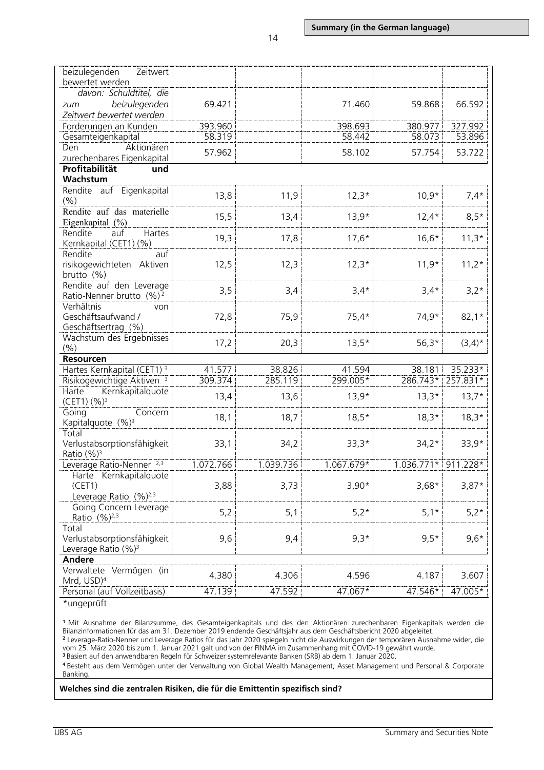| beizulegenden<br>Zeitwert                        |           |           |            |                     |           |
|--------------------------------------------------|-----------|-----------|------------|---------------------|-----------|
| bewertet werden<br>davon: Schuldtitel, die       |           |           |            |                     |           |
|                                                  | 69.421    |           | 71.460     | 59.868              | 66.592    |
| beizulegenden<br>zum<br>Zeitwert bewertet werden |           |           |            |                     |           |
| Forderungen an Kunden                            | 393.960   |           | 398.693    | 380.977             | 327.992   |
| Gesamteigenkapital                               | 58.319    |           | 58.442     | 58.073              | 53.896    |
| Den<br>Aktionären                                |           |           |            |                     |           |
| zurechenbares Eigenkapital                       | 57.962    |           | 58.102     | 57.754              | 53.722    |
| Profitabilität<br>und                            |           |           |            |                     |           |
| Wachstum                                         |           |           |            |                     |           |
| Rendite auf Eigenkapital                         |           |           |            |                     |           |
| $(\% )$                                          | 13,8      | 11,9      | $12,3*$    | $10,9*$             | $7,4*$    |
| Rendite auf das materielle                       |           |           |            |                     |           |
| Eigenkapital (%)                                 | 15,5      | 13,4      | $13,9*$    | $12,4*$             | $8,5*$    |
| Rendite<br>Hartes<br>auf                         |           |           |            |                     |           |
| Kernkapital (CET1) (%)                           | 19,3      | 17,8      | $17,6*$    | $16,6*$             | $11,3*$   |
| Rendite<br>auf                                   |           |           |            |                     |           |
| risikogewichteten Aktiven                        | 12,5      | 12,3      | $12,3*$    | $11,9*$             | $11,2*$   |
| brutto $(% )$                                    |           |           |            |                     |           |
| Rendite auf den Leverage                         |           |           |            |                     |           |
| Ratio-Nenner brutto (%) <sup>2</sup>             | 3,5       | 3,4       | $3,4*$     | $3,4*$              | $3,2*$    |
| Verhältnis<br>von                                |           |           |            |                     |           |
| Geschäftsaufwand /                               | 72,8      | 75,9      | $75,4*$    | 74,9*               | $82,1*$   |
| Geschäftsertrag (%)                              |           |           |            |                     |           |
| Wachstum des Ergebnisses                         |           |           |            |                     |           |
| (% )                                             | 17,2      | 20,3      | $13,5*$    | $56,3*$             | $(3,4)^*$ |
| Resourcen                                        |           |           |            |                     |           |
| Hartes Kernkapital (CET1) <sup>3</sup>           | 41.577    | 38.826    | 41.594     | 38.181              | 35.233*   |
| Risikogewichtige Aktiven <sup>3</sup>            | 309.374   | 285.119   | 299.005*   | 286.743*            | 257.831*  |
| Kernkapitalquote<br>Harte                        |           |           |            |                     |           |
| (CET1) (%) <sup>3</sup>                          | 13,4      | 13,6      | $13,9*$    | $13,3*$             | $13,7*$   |
| Going<br>Concern                                 |           |           |            | $18,3*$             |           |
| Kapitalquote (%) <sup>3</sup>                    | 18,1      | 18,7      | $18,5*$    |                     | $18,3*$   |
| Total                                            |           |           |            |                     |           |
| Verlustabsorptionsfähigkeit                      | 33,1      | 34,2      | $33,3*$    | $34,2*$             | $33,9*$   |
| Ratio $(\frac{9}{6})^3$                          |           |           |            |                     |           |
| Leverage Ratio-Nenner <sup>2,3</sup>             | 1.072.766 | 1.039.736 | 1.067.679* | 1.036.771* 911.228* |           |
| Harte Kernkapitalquote                           |           |           |            |                     |           |
| (CET1)                                           | 3,88      | 3,73      | $3,90*$    | $3,68*$             | $3,87*$   |
| Leverage Ratio $(%)^{2,3}$                       |           |           |            |                     |           |
| Going Concern Leverage                           | 5,2       | 5,1       | $5,2*$     | $5,1*$              | $5,2*$    |
| Ratio (%) <sup>2,3</sup>                         |           |           |            |                     |           |
| Total                                            |           |           |            |                     |           |
| Verlustabsorptionsfähigkeit                      | 9,6       | 9,4       | $9,3*$     | $9,5*$              | $9,6*$    |
| Leverage Ratio (%) <sup>3</sup>                  |           |           |            |                     |           |
| <b>Andere</b>                                    |           |           |            |                     |           |
| Verwaltete Vermögen (in                          | 4.380     | 4.306     | 4.596      | 4.187               | 3.607     |
| Mrd, USD) <sup>4</sup>                           |           |           |            |                     |           |
| Personal (auf Vollzeitbasis)                     | 47.139    | 47.592    | 47.067*    | 47.546*             | 47.005*   |

\*ungeprüft

**<sup>1</sup>** Mit Ausnahme der Bilanzsumme, des Gesamteigenkapitals und des den Aktionären zurechenbaren Eigenkapitals werden die Bilanzinformationen für das am 31. Dezember 2019 endende Geschäftsjahr aus dem Geschäftsbericht 2020 abgeleitet. **<sup>2</sup>** Leverage-Ratio-Nenner und Leverage Ratios für das Jahr 2020 spiegeln nicht die Auswirkungen der temporären Ausnahme wider, die

vom 25. März 2020 bis zum 1. Januar 2021 galt und von der FINMA im Zusammenhang mit COVID-19 gewährt wurde.

**<sup>3</sup>** Basiert auf den anwendbaren Regeln für Schweizer systemrelevante Banken (SRB) ab dem 1. Januar 2020.

**<sup>4</sup>** Besteht aus dem Vermögen unter der Verwaltung von Global Wealth Management, Asset Management und Personal & Corporate Banking.

#### **Welches sind die zentralen Risiken, die für die Emittentin spezifisch sind?**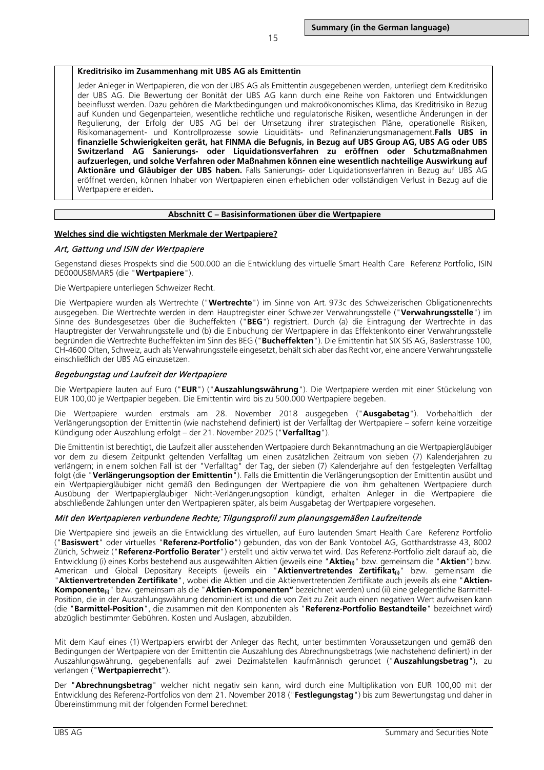#### **Kreditrisiko im Zusammenhang mit UBS AG als Emittentin**

Jeder Anleger in Wertpapieren, die von der UBS AG als Emittentin ausgegebenen werden, unterliegt dem Kreditrisiko der UBS AG. Die Bewertung der Bonität der UBS AG kann durch eine Reihe von Faktoren und Entwicklungen beeinflusst werden. Dazu gehören die Marktbedingungen und makroökonomisches Klima, das Kreditrisiko in Bezug auf Kunden und Gegenparteien, wesentliche rechtliche und regulatorische Risiken, wesentliche Änderungen in der Regulierung, der Erfolg der UBS AG bei der Umsetzung ihrer strategischen Pläne, operationelle Risiken, Risikomanagement- und Kontrollprozesse sowie Liquiditäts- und Refinanzierungsmanagement.**Falls UBS in finanzielle Schwierigkeiten gerät, hat FINMA die Befugnis, in Bezug auf UBS Group AG, UBS AG oder UBS Switzerland AG Sanierungs- oder Liquidationsverfahren zu eröffnen oder Schutzmaßnahmen aufzuerlegen, und solche Verfahren oder Maßnahmen können eine wesentlich nachteilige Auswirkung auf Aktionäre und Gläubiger der UBS haben.** Falls Sanierungs- oder Liquidationsverfahren in Bezug auf UBS AG eröffnet werden, können Inhaber von Wertpapieren einen erheblichen oder vollständigen Verlust in Bezug auf die Wertpapiere erleiden**.**

#### **Abschnitt C – Basisinformationen über die Wertpapiere**

#### **Welches sind die wichtigsten Merkmale der Wertpapiere?**

#### Art, Gattung und ISIN der Wertpapiere

Gegenstand dieses Prospekts sind die 500.000 an die Entwicklung des virtuelle Smart Health Care Referenz Portfolio, ISIN DE000US8MAR5 (die "**Wertpapiere**").

Die Wertpapiere unterliegen Schweizer Recht.

Die Wertpapiere wurden als Wertrechte ("**Wertrechte**") im Sinne von Art. 973c des Schweizerischen Obligationenrechts ausgegeben. Die Wertrechte werden in dem Hauptregister einer Schweizer Verwahrungsstelle ("**Verwahrungsstelle**") im Sinne des Bundesgesetzes über die Bucheffekten ("**BEG**") registriert. Durch (a) die Eintragung der Wertrechte in das Hauptregister der Verwahrungsstelle und (b) die Einbuchung der Wertpapiere in das Effektenkonto einer Verwahrungsstelle begründen die Wertrechte Bucheffekten im Sinn des BEG ("**Bucheffekten**"). Die Emittentin hat SIX SIS AG, Baslerstrasse 100, CH-4600 Olten, Schweiz, auch als Verwahrungsstelle eingesetzt, behält sich aber das Recht vor, eine andere Verwahrungsstelle einschließlich der UBS AG einzusetzen.

#### Begebungstag und Laufzeit der Wertpapiere

Die Wertpapiere lauten auf Euro ("**EUR**") ("**Auszahlungswährung**"). Die Wertpapiere werden mit einer Stückelung von EUR 100,00 je Wertpapier begeben. Die Emittentin wird bis zu 500.000 Wertpapiere begeben.

Die Wertpapiere wurden erstmals am 28. November 2018 ausgegeben ("**Ausgabetag**"). Vorbehaltlich der Verlängerungsoption der Emittentin (wie nachstehend definiert) ist der Verfalltag der Wertpapiere – sofern keine vorzeitige Kündigung oder Auszahlung erfolgt – der 21. November 2025 ("**Verfalltag**").

Die Emittentin ist berechtigt, die Laufzeit aller ausstehenden Wertpapiere durch Bekanntmachung an die Wertpapiergläubiger vor dem zu diesem Zeitpunkt geltenden Verfalltag um einen zusätzlichen Zeitraum von sieben (7) Kalenderjahren zu verlängern; in einem solchen Fall ist der "Verfalltag" der Tag, der sieben (7) Kalenderjahre auf den festgelegten Verfalltag folgt (die "**Verlängerungsoption der Emittentin**"). Falls die Emittentin die Verlängerungsoption der Emittentin ausübt und ein Wertpapiergläubiger nicht gemäß den Bedingungen der Wertpapiere die von ihm gehaltenen Wertpapiere durch Ausübung der Wertpapiergläubiger Nicht-Verlängerungsoption kündigt, erhalten Anleger in die Wertpapiere die abschließende Zahlungen unter den Wertpapieren später, als beim Ausgabetag der Wertpapiere vorgesehen.

### Mit den Wertpapieren verbundene Rechte; Tilgungsprofil zum planungsgemäßen Laufzeitende

Die Wertpapiere sind jeweils an die Entwicklung des virtuellen, auf Euro lautenden Smart Health Care Referenz Portfolio ("**Basiswert**" oder virtuelles "**Referenz-Portfolio**") gebunden, das von der Bank Vontobel AG, Gotthardstrasse 43, 8002 Zürich, Schweiz ("**Referenz-Portfolio Berater**") erstellt und aktiv verwaltet wird. Das Referenz-Portfolio zielt darauf ab, die Entwicklung (i) eines Korbs bestehend aus ausgewählten Aktien (jeweils eine "**Aktie(i)**" bzw. gemeinsam die "**Aktien**") bzw. American und Global Depositary Receipts (jeweils ein "**Aktienvertretendes Zertifikat(i)**" bzw. gemeinsam die "**Aktienvertretenden Zertifikate**", wobei die Aktien und die Aktienvertretenden Zertifikate auch jeweils als eine "**Aktien-**Komponente<sub>(i)</sub>" bzw. gemeinsam als die "Aktien-Komponenten" bezeichnet werden) und (ii) eine gelegentliche Barmittel-Position, die in der Auszahlungswährung denominiert ist und die von Zeit zu Zeit auch einen negativen Wert aufweisen kann (die "**Barmittel-Position**", die zusammen mit den Komponenten als "**Referenz-Portfolio Bestandteile**" bezeichnet wird) abzüglich bestimmter Gebühren. Kosten und Auslagen, abzubilden.

Mit dem Kauf eines (1) Wertpapiers erwirbt der Anleger das Recht, unter bestimmten Voraussetzungen und gemäß den Bedingungen der Wertpapiere von der Emittentin die Auszahlung des Abrechnungsbetrags (wie nachstehend definiert) in der Auszahlungswährung, gegebenenfalls auf zwei Dezimalstellen kaufmännisch gerundet ("**Auszahlungsbetrag**"), zu verlangen ("**Wertpapierrecht**").

Der "**Abrechnungsbetrag**" welcher nicht negativ sein kann, wird durch eine Multiplikation von EUR 100,00 mit der Entwicklung des Referenz-Portfolios von dem 21. November 2018 ("**Festlegungstag**") bis zum Bewertungstag und daher in Übereinstimmung mit der folgenden Formel berechnet: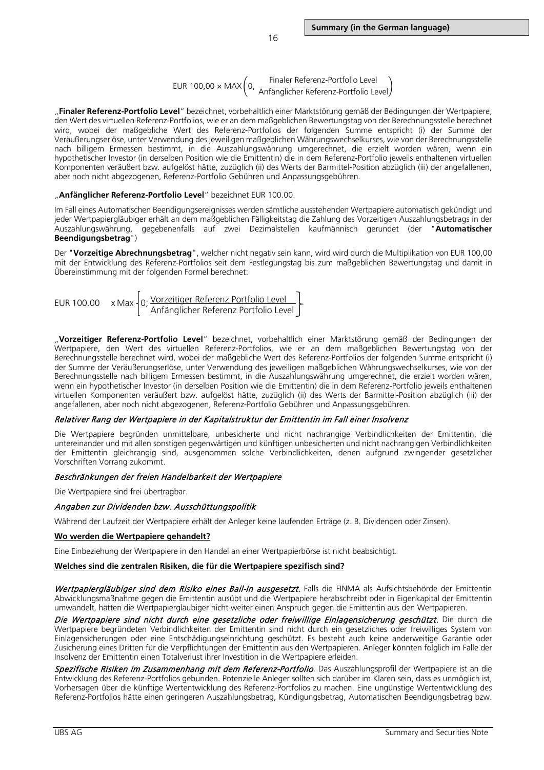$EUR 100,00 \times MAX(0, \frac{Finaler Referenz-Portfolio Level}{Antändicher Referenz-Portfolio Le$ Anfänglicher Referenz-Portfolio Level $\bigl/$ 

"**Finaler Referenz-Portfolio Level**" bezeichnet, vorbehaltlich einer Marktstörung gemäß der Bedingungen der Wertpapiere, den Wert des virtuellen Referenz-Portfolios, wie er an dem maßgeblichen Bewertungstag von der Berechnungsstelle berechnet wird, wobei der maßgebliche Wert des Referenz-Portfolios der folgenden Summe entspricht (i) der Summe der Veräußerungserlöse, unter Verwendung des jeweiligen maßgeblichen Währungswechselkurses, wie von der Berechnungsstelle nach billigem Ermessen bestimmt, in die Auszahlungswährung umgerechnet, die erzielt worden wären, wenn ein hypothetischer Investor (in derselben Position wie die Emittentin) die in dem Referenz-Portfolio jeweils enthaltenen virtuellen Komponenten veräußert bzw. aufgelöst hätte, zuzüglich (ii) des Werts der Barmittel-Position abzüglich (iii) der angefallenen, aber noch nicht abgezogenen, Referenz-Portfolio Gebühren und Anpassungsgebühren.

#### "**Anfänglicher Referenz-Portfolio Level**" bezeichnet EUR 100.00.

Im Fall eines Automatischen Beendigungsereignisses werden sämtliche ausstehenden Wertpapiere automatisch gekündigt und jeder Wertpapiergläubiger erhält an dem maßgeblichen Fälligkeitstag die Zahlung des Vorzeitigen Auszahlungsbetrags in der Auszahlungswährung, gegebenenfalls auf zwei Dezimalstellen kaufmännisch gerundet (der "**Automatischer Beendigungsbetrag**")

Der "**Vorzeitige Abrechnungsbetrag**", welcher nicht negativ sein kann, wird wird durch die Multiplikation von EUR 100,00 mit der Entwicklung des Referenz-Portfolios seit dem Festlegungstag bis zum maßgeblichen Bewertungstag und damit in Übereinstimmung mit der folgenden Formel berechnet:

EUR 100.00 
$$
\times
$$
 Max  $\left\{ 0; \frac{\text{Vorzeitiger Referenz Portfolio Level}}{\text{Anfänglicher Referenz Portfolio Level}} \right\}$ 

"**Vorzeitiger Referenz-Portfolio Level**" bezeichnet, vorbehaltlich einer Marktstörung gemäß der Bedingungen der Wertpapiere, den Wert des virtuellen Referenz-Portfolios, wie er an dem maßgeblichen Bewertungstag von der Berechnungsstelle berechnet wird, wobei der maßgebliche Wert des Referenz-Portfolios der folgenden Summe entspricht (i) der Summe der Veräußerungserlöse, unter Verwendung des jeweiligen maßgeblichen Währungswechselkurses, wie von der Berechnungsstelle nach billigem Ermessen bestimmt, in die Auszahlungswährung umgerechnet, die erzielt worden wären, wenn ein hypothetischer Investor (in derselben Position wie die Emittentin) die in dem Referenz-Portfolio jeweils enthaltenen virtuellen Komponenten veräußert bzw. aufgelöst hätte, zuzüglich (ii) des Werts der Barmittel-Position abzüglich (iii) der angefallenen, aber noch nicht abgezogenen, Referenz-Portfolio Gebühren und Anpassungsgebühren.

## Relativer Rang der Wertpapiere in der Kapitalstruktur der Emittentin im Fall einer Insolvenz

Die Wertpapiere begründen unmittelbare, unbesicherte und nicht nachrangige Verbindlichkeiten der Emittentin, die untereinander und mit allen sonstigen gegenwärtigen und künftigen unbesicherten und nicht nachrangigen Verbindlichkeiten der Emittentin gleichrangig sind, ausgenommen solche Verbindlichkeiten, denen aufgrund zwingender gesetzlicher Vorschriften Vorrang zukommt.

#### Beschränkungen der freien Handelbarkeit der Wertpapiere

Die Wertpapiere sind frei übertragbar.

#### Angaben zur Dividenden bzw. Ausschüttungspolitik

Während der Laufzeit der Wertpapiere erhält der Anleger keine laufenden Erträge (z. B. Dividenden oder Zinsen).

#### **Wo werden die Wertpapiere gehandelt?**

Eine Einbeziehung der Wertpapiere in den Handel an einer Wertpapierbörse ist nicht beabsichtigt.

#### **Welches sind die zentralen Risiken, die für die Wertpapiere spezifisch sind?**

Wertpapiergläubiger sind dem Risiko eines Bail-In ausgesetzt. Falls die FINMA als Aufsichtsbehörde der Emittentin Abwicklungsmaßnahme gegen die Emittentin ausübt und die Wertpapiere herabschreibt oder in Eigenkapital der Emittentin umwandelt, hätten die Wertpapiergläubiger nicht weiter einen Anspruch gegen die Emittentin aus den Wertpapieren.

Die Wertpapiere sind nicht durch eine gesetzliche oder freiwillige Einlagensicherung geschützt. Die durch die Wertpapiere begründeten Verbindlichkeiten der Emittentin sind nicht durch ein gesetzliches oder freiwilliges System von Einlagensicherungen oder eine Entschädigungseinrichtung geschützt. Es besteht auch keine anderweitige Garantie oder Zusicherung eines Dritten für die Verpflichtungen der Emittentin aus den Wertpapieren. Anleger könnten folglich im Falle der Insolvenz der Emittentin einen Totalverlust ihrer Investition in die Wertpapiere erleiden.

Spezifische Risiken im Zusammenhang mit dem Referenz-Portfolio. Das Auszahlungsprofil der Wertpapiere ist an die Entwicklung des Referenz-Portfolios gebunden. Potenzielle Anleger sollten sich darüber im Klaren sein, dass es unmöglich ist, Vorhersagen über die künftige Wertentwicklung des Referenz-Portfolios zu machen. Eine ungünstige Wertentwicklung des Referenz-Portfolios hätte einen geringeren Auszahlungsbetrag, Kündigungsbetrag, Automatischen Beendigungsbetrag bzw.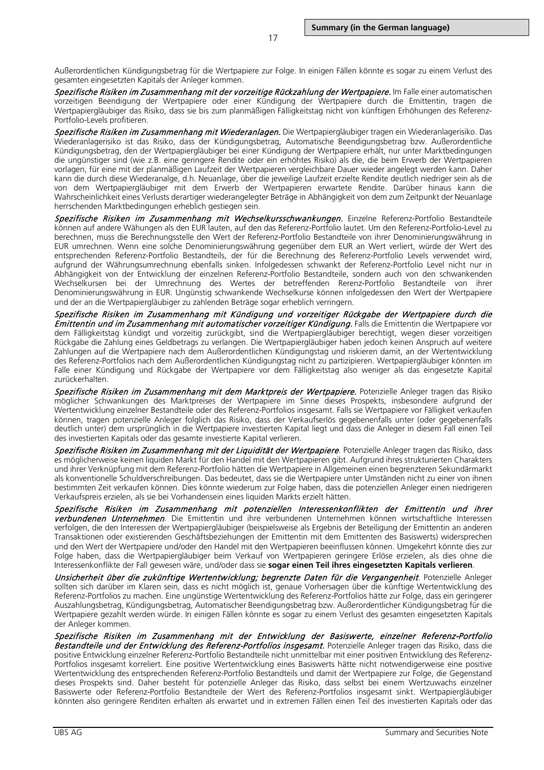Außerordentlichen Kündigungsbetrag für die Wertpapiere zur Folge. In einigen Fällen könnte es sogar zu einem Verlust des gesamten eingesetzten Kapitals der Anleger kommen.

Spezifische Risiken im Zusammenhang mit der vorzeitige Rückzahlung der Wertpapiere. Im Falle einer automatischen vorzeitigen Beendigung der Wertpapiere oder einer Kündigung der Wertpapiere durch die Emittentin, tragen die Wertpapiergläubiger das Risiko, dass sie bis zum planmäßigen Fälligkeitstag nicht von künftigen Erhöhungen des Referenz-Portfolio-Levels profitieren.

Spezifische Risiken im Zusammenhang mit Wiederanlagen. Die Wertpapiergläubiger tragen ein Wiederanlagerisiko. Das Wiederanlagerisiko ist das Risiko, dass der Kündigungsbetrag, Automatische Beendigungsbetrag bzw. Außerordentliche Kündigungsbetrag, den der Wertpapiergläubiger bei einer Kündigung der Wertpapiere erhält, nur unter Marktbedingungen die ungünstiger sind (wie z.B. eine geringere Rendite oder ein erhöhtes Risiko) als die, die beim Erwerb der Wertpapieren vorlagen, für eine mit der planmäßigen Laufzeit der Wertpapieren vergleichbare Dauer wieder angelegt werden kann. Daher kann die durch diese Wiederanalge, d.h. Neuanlage, über die jeweilige Laufzeit erzielte Rendite deutlich niedriger sein als die von dem Wertpapiergläubiger mit dem Erwerb der Wertpapieren erwartete Rendite. Darüber hinaus kann die Wahrscheinlichkeit eines Verlusts derartiger wiederangelegter Beträge in Abhängigkeit von dem zum Zeitpunkt der Neuanlage herrschenden Marktbedingungen erheblich gestiegen sein.

Spezifische Risiken im Zusammenhang mit Wechselkursschwankungen. Einzelne Referenz-Portfolio Bestandteile können auf andere Wähungen als den EUR lauten, auf den das Referenz-Portfolio lautet. Um den Referenz-Portfolio-Level zu berechnen, muss die Berechnungsstelle den Wert der Referenz-Portfolio Bestandteile von ihrer Denominierungswährung in EUR umrechnen. Wenn eine solche Denominierungswährung gegenüber dem EUR an Wert verliert, würde der Wert des entsprechenden Referenz-Portfolio Bestandteils, der für die Berechnung des Referenz-Portfolio Levels verwendet wird, aufgrund der Währungsumrechnung ebenfalls sinken. Infolgedessen schwankt der Referenz-Portfolio Level nicht nur in Abhängigkeit von der Entwicklung der einzelnen Referenz-Portfolio Bestandteile, sondern auch von den schwankenden Wechselkursen bei der Umrechnung des Wertes der betreffenden Rerenz-Portfolio Bestandteile von ihrer Denominierungswährung in EUR. Ungünstig schwankende Wechselkurse können infolgedessen den Wert der Wertpapiere und der an die Wertpapiergläubiger zu zahlenden Beträge sogar erheblich verringern.

Spezifische Risiken im Zusammenhang mit Kündigung und vorzeitiger Rückgabe der Wertpapiere durch die Emittentin und im Zusammenhang mit automatischer vorzeitiger Kündigung. Falls die Emittentin die Wertpapiere vor dem Fälligkeitstag kündigt und vorzeitig zurückgibt, sind die Wertpapiergläubiger berechtigt, wegen dieser vorzeitigen Rückgabe die Zahlung eines Geldbetrags zu verlangen. Die Wertpapiergläubiger haben jedoch keinen Anspruch auf weitere Zahlungen auf die Wertpapiere nach dem Außerordentlichen Kündigungstag und riskieren damit, an der Wertentwicklung des Referenz-Portfolios nach dem Außerordentlichen Kündigungstag nicht zu partizipieren. Wertpapiergläubiger könnten im Falle einer Kündigung und Rückgabe der Wertpapiere vor dem Fälligkeitstag also weniger als das eingesetzte Kapital zurückerhalten.

Spezifische Risiken im Zusammenhang mit dem Marktpreis der Wertpapiere. Potenzielle Anleger tragen das Risiko möglicher Schwankungen des Marktpreises der Wertpapiere im Sinne dieses Prospekts, insbesondere aufgrund der Wertentwicklung einzelner Bestandteile oder des Referenz-Portfolios insgesamt. Falls sie Wertpapiere vor Fälligkeit verkaufen können, tragen potenzielle Anleger folglich das Risiko, dass der Verkaufserlös gegebenenfalls unter (oder gegebenenfalls deutlich unter) dem ursprünglich in die Wertpapiere investierten Kapital liegt und dass die Anleger in diesem Fall einen Teil des investierten Kapitals oder das gesamte investierte Kapital verlieren.

Spezifische Risiken im Zusammenhang mit der Liquidität der Wertpapiere. Potenzielle Anleger tragen das Risiko, dass es möglicherweise keinen liquiden Markt für den Handel mit den Wertpapieren gibt. Aufgrund ihres strukturierten Charakters und ihrer Verknüpfung mit dem Referenz-Portfolio hätten die Wertpapiere in Allgemeinen einen begrenzteren Sekundärmarkt als konventionelle Schuldverschreibungen. Das bedeutet, dass sie die Wertpapiere unter Umständen nicht zu einer von ihnen bestimmten Zeit verkaufen können. Dies könnte wiederum zur Folge haben, dass die potenziellen Anleger einen niedrigeren Verkaufspreis erzielen, als sie bei Vorhandensein eines liquiden Markts erzielt hätten.

Spezifische Risiken im Zusammenhang mit potenziellen Interessenkonflikten der Emittentin und ihrer **verbundenen Unternehmen**. Die Emittentin und ihre verbundenen Unternehmen können wirtschaftliche Interessen verfolgen, die den Interessen der Wertpapiergläubiger (beispielsweise als Ergebnis der Beteiligung der Emittentin an anderen Transaktionen oder existierenden Geschäftsbeziehungen der Emittentin mit dem Emittenten des Basiswerts) widersprechen und den Wert der Wertpapiere und/oder den Handel mit den Wertpapieren beeinflussen können. Umgekehrt könnte dies zur Folge haben, dass die Wertpapiergläubiger beim Verkauf von Wertpapieren geringere Erlöse erzielen, als dies ohne die Interessenkonflikte der Fall gewesen wäre, und/oder dass sie **sogar einen Teil ihres eingesetzten Kapitals verlieren**.

Unsicherheit über die zukünftige Wertentwicklung; begrenzte Daten für die Vergangenheit. Potenzielle Anleger sollten sich darüber im Klaren sein, dass es nicht möglich ist, genaue Vorhersagen über die künftige Wertentwicklung des Referenz-Portfolios zu machen. Eine ungünstige Wertentwicklung des Referenz-Portfolios hätte zur Folge, dass ein geringerer Auszahlungsbetrag, Kündigungsbetrag, Automatischer Beendigungsbetrag bzw. Außerordentlicher Kündigungsbetrag für die Wertpapiere gezahlt werden würde. In einigen Fällen könnte es sogar zu einem Verlust des gesamten eingesetzten Kapitals der Anleger kommen.

Spezifische Risiken im Zusammenhang mit der Entwicklung der Basiswerte, einzelner Referenz-Portfolio Bestandteile und der Entwicklung des Referenz-Portfolios insgesamt. Potenzielle Anleger tragen das Risiko, dass die positive Entwicklung einzelner Referenz-Portfolio Bestandteile nicht unmittelbar mit einer positiven Entwicklung des Referenz-Portfolios insgesamt korreliert. Eine positive Wertentwicklung eines Basiswerts hätte nicht notwendigerweise eine positive Wertentwicklung des entsprechenden Referenz-Portfolio Bestandteils und damit der Wertpapiere zur Folge, die Gegenstand dieses Prospekts sind. Daher besteht für potenzielle Anleger das Risiko, dass selbst bei einem Wertzuwachs einzelner Basiswerte oder Referenz-Portfolio Bestandteile der Wert des Referenz-Portfolios insgesamt sinkt. Wertpapiergläubiger könnten also geringere Renditen erhalten als erwartet und in extremen Fällen einen Teil des investierten Kapitals oder das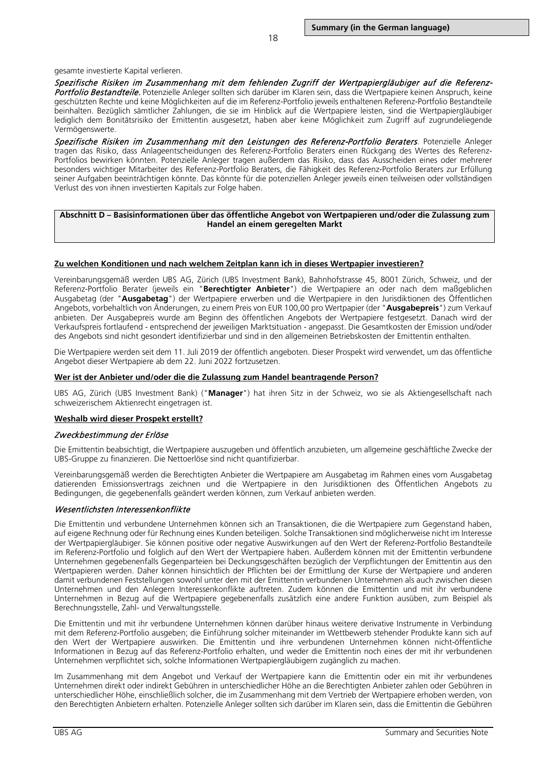#### gesamte investierte Kapital verlieren.

Spezifische Risiken im Zusammenhang mit dem fehlenden Zugriff der Wertpapiergläubiger auf die Referenz-Portfolio Bestandteile. Potenzielle Anleger sollten sich darüber im Klaren sein, dass die Wertpapiere keinen Anspruch, keine geschützten Rechte und keine Möglichkeiten auf die im Referenz-Portfolio jeweils enthaltenen Referenz-Portfolio Bestandteile beinhalten. Bezüglich sämtlicher Zahlungen, die sie im Hinblick auf die Wertpapiere leisten, sind die Wertpapiergläubiger lediglich dem Bonitätsrisiko der Emittentin ausgesetzt, haben aber keine Möglichkeit zum Zugriff auf zugrundeliegende Vermögenswerte.

Spezifische Risiken im Zusammenhang mit den Leistungen des Referenz-Portfolio Beraters. Potenzielle Anleger tragen das Risiko, dass Anlageentscheidungen des Referenz-Portfolio Beraters einen Rückgang des Wertes des Referenz-Portfolios bewirken könnten. Potenzielle Anleger tragen außerdem das Risiko, dass das Ausscheiden eines oder mehrerer besonders wichtiger Mitarbeiter des Referenz-Portfolio Beraters, die Fähigkeit des Referenz-Portfolio Beraters zur Erfüllung seiner Aufgaben beeinträchtigen könnte. Das könnte für die potenziellen Anleger jeweils einen teilweisen oder vollständigen Verlust des von ihnen investierten Kapitals zur Folge haben.

### **Abschnitt D – Basisinformationen über das öffentliche Angebot von Wertpapieren und/oder die Zulassung zum Handel an einem geregelten Markt**

#### **Zu welchen Konditionen und nach welchem Zeitplan kann ich in dieses Wertpapier investieren?**

Vereinbarungsgemäß werden UBS AG, Zürich (UBS Investment Bank), Bahnhofstrasse 45, 8001 Zürich, Schweiz, und der Referenz-Portfolio Berater (jeweils ein "**Berechtigter Anbieter**") die Wertpapiere an oder nach dem maßgeblichen Ausgabetag (der "**Ausgabetag**") der Wertpapiere erwerben und die Wertpapiere in den Jurisdiktionen des Öffentlichen Angebots, vorbehaltlich von Änderungen, zu einem Preis von EUR 100,00 pro Wertpapier (der "**Ausgabepreis**") zum Verkauf anbieten. Der Ausgabepreis wurde am Beginn des öffentlichen Angebots der Wertpapiere festgesetzt. Danach wird der Verkaufspreis fortlaufend - entsprechend der jeweiligen Marktsituation - angepasst. Die Gesamtkosten der Emission und/oder des Angebots sind nicht gesondert identifizierbar und sind in den allgemeinen Betriebskosten der Emittentin enthalten.

Die Wertpapiere werden seit dem 11. Juli 2019 der öffentlich angeboten. Dieser Prospekt wird verwendet, um das öffentliche Angebot dieser Wertpapiere ab dem 22. Juni 2022 fortzusetzen.

#### **Wer ist der Anbieter und/oder die die Zulassung zum Handel beantragende Person?**

UBS AG, Zürich (UBS Investment Bank) ("**Manager**") hat ihren Sitz in der Schweiz, wo sie als Aktiengesellschaft nach schweizerischem Aktienrecht eingetragen ist.

#### **Weshalb wird dieser Prospekt erstellt?**

#### Zweckbestimmung der Erlöse

Die Emittentin beabsichtigt, die Wertpapiere auszugeben und öffentlich anzubieten, um allgemeine geschäftliche Zwecke der UBS-Gruppe zu finanzieren. Die Nettoerlöse sind nicht quantifizierbar.

Vereinbarungsgemäß werden die Berechtigten Anbieter die Wertpapiere am Ausgabetag im Rahmen eines vom Ausgabetag datierenden Emissionsvertrags zeichnen und die Wertpapiere in den Jurisdiktionen des Öffentlichen Angebots zu Bedingungen, die gegebenenfalls geändert werden können, zum Verkauf anbieten werden.

### Wesentlichsten Interessenkonflikte

Die Emittentin und verbundene Unternehmen können sich an Transaktionen, die die Wertpapiere zum Gegenstand haben, auf eigene Rechnung oder für Rechnung eines Kunden beteiligen. Solche Transaktionen sind möglicherweise nicht im Interesse der Wertpapiergläubiger. Sie können positive oder negative Auswirkungen auf den Wert der Referenz-Portfolio Bestandteile im Referenz-Portfolio und folglich auf den Wert der Wertpapiere haben. Außerdem können mit der Emittentin verbundene Unternehmen gegebenenfalls Gegenparteien bei Deckungsgeschäften bezüglich der Verpflichtungen der Emittentin aus den Wertpapieren werden. Daher können hinsichtlich der Pflichten bei der Ermittlung der Kurse der Wertpapiere und anderen damit verbundenen Feststellungen sowohl unter den mit der Emittentin verbundenen Unternehmen als auch zwischen diesen Unternehmen und den Anlegern Interessenkonflikte auftreten. Zudem können die Emittentin und mit ihr verbundene Unternehmen in Bezug auf die Wertpapiere gegebenenfalls zusätzlich eine andere Funktion ausüben, zum Beispiel als Berechnungsstelle, Zahl- und Verwaltungsstelle.

Die Emittentin und mit ihr verbundene Unternehmen können darüber hinaus weitere derivative Instrumente in Verbindung mit dem Referenz-Portfolio ausgeben; die Einführung solcher miteinander im Wettbewerb stehender Produkte kann sich auf den Wert der Wertpapiere auswirken. Die Emittentin und ihre verbundenen Unternehmen können nicht-öffentliche Informationen in Bezug auf das Referenz-Portfolio erhalten, und weder die Emittentin noch eines der mit ihr verbundenen Unternehmen verpflichtet sich, solche Informationen Wertpapiergläubigern zugänglich zu machen.

Im Zusammenhang mit dem Angebot und Verkauf der Wertpapiere kann die Emittentin oder ein mit ihr verbundenes Unternehmen direkt oder indirekt Gebühren in unterschiedlicher Höhe an die Berechtigten Anbieter zahlen oder Gebühren in unterschiedlicher Höhe, einschließlich solcher, die im Zusammenhang mit dem Vertrieb der Wertpapiere erhoben werden, von den Berechtigten Anbietern erhalten. Potenzielle Anleger sollten sich darüber im Klaren sein, dass die Emittentin die Gebühren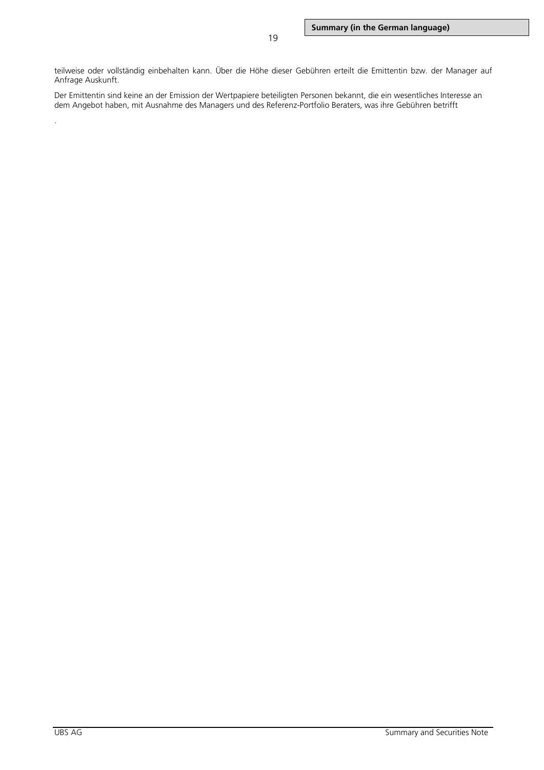teilweise oder vollständig einbehalten kann. Über die Höhe dieser Gebühren erteilt die Emittentin bzw. der Manager auf Anfrage Auskunft.

Der Emittentin sind keine an der Emission der Wertpapiere beteiligten Personen bekannt, die ein wesentliches Interesse an dem Angebot haben, mit Ausnahme des Managers und des Referenz-Portfolio Beraters, was ihre Gebühren betrifft

.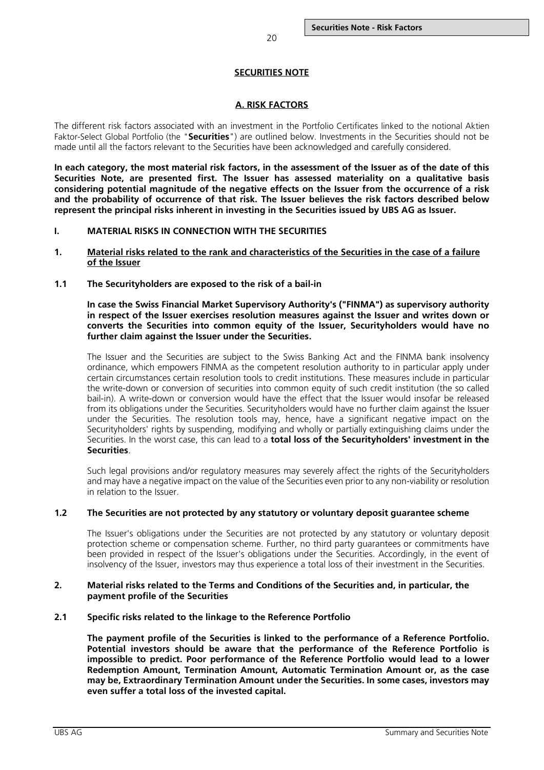## **SECURITIES NOTE**

## **A. RISK FACTORS**

<span id="page-19-0"></span>The different risk factors associated with an investment in the Portfolio Certificates linked to the notional Aktien Faktor-Select Global Portfolio (the "**Securities**") are outlined below. Investments in the Securities should not be made until all the factors relevant to the Securities have been acknowledged and carefully considered.

**In each category, the most material risk factors, in the assessment of the Issuer as of the date of this Securities Note, are presented first. The Issuer has assessed materiality on a qualitative basis considering potential magnitude of the negative effects on the Issuer from the occurrence of a risk and the probability of occurrence of that risk. The Issuer believes the risk factors described below represent the principal risks inherent in investing in the Securities issued by UBS AG as Issuer.**

### <span id="page-19-1"></span>**I. MATERIAL RISKS IN CONNECTION WITH THE SECURITIES**

- <span id="page-19-2"></span>**1. Material risks related to the rank and characteristics of the Securities in the case of a failure of the Issuer**
- <span id="page-19-3"></span>**1.1 The Securityholders are exposed to the risk of a bail-in**

**In case the Swiss Financial Market Supervisory Authority's ("FINMA") as supervisory authority in respect of the Issuer exercises resolution measures against the Issuer and writes down or converts the Securities into common equity of the Issuer, Securityholders would have no further claim against the Issuer under the Securities.**

The Issuer and the Securities are subject to the Swiss Banking Act and the FINMA bank insolvency ordinance, which empowers FINMA as the competent resolution authority to in particular apply under certain circumstances certain resolution tools to credit institutions. These measures include in particular the write-down or conversion of securities into common equity of such credit institution (the so called bail-in). A write-down or conversion would have the effect that the Issuer would insofar be released from its obligations under the Securities. Securityholders would have no further claim against the Issuer under the Securities. The resolution tools may, hence, have a significant negative impact on the Securityholders' rights by suspending, modifying and wholly or partially extinguishing claims under the Securities. In the worst case, this can lead to a **total loss of the Securityholders' investment in the Securities**.

Such legal provisions and/or regulatory measures may severely affect the rights of the Securityholders and may have a negative impact on the value of the Securities even prior to any non-viability or resolution in relation to the Issuer.

### <span id="page-19-4"></span>**1.2 The Securities are not protected by any statutory or voluntary deposit guarantee scheme**

The Issuer's obligations under the Securities are not protected by any statutory or voluntary deposit protection scheme or compensation scheme. Further, no third party guarantees or commitments have been provided in respect of the Issuer's obligations under the Securities. Accordingly, in the event of insolvency of the Issuer, investors may thus experience a total loss of their investment in the Securities.

## <span id="page-19-5"></span>**2. Material risks related to the Terms and Conditions of the Securities and, in particular, the payment profile of the Securities**

### <span id="page-19-6"></span>**2.1 Specific risks related to the linkage to the Reference Portfolio**

**The payment profile of the Securities is linked to the performance of a Reference Portfolio. Potential investors should be aware that the performance of the Reference Portfolio is impossible to predict. Poor performance of the Reference Portfolio would lead to a lower Redemption Amount, Termination Amount, Automatic Termination Amount or, as the case may be, Extraordinary Termination Amount under the Securities. In some cases, investors may even suffer a total loss of the invested capital.**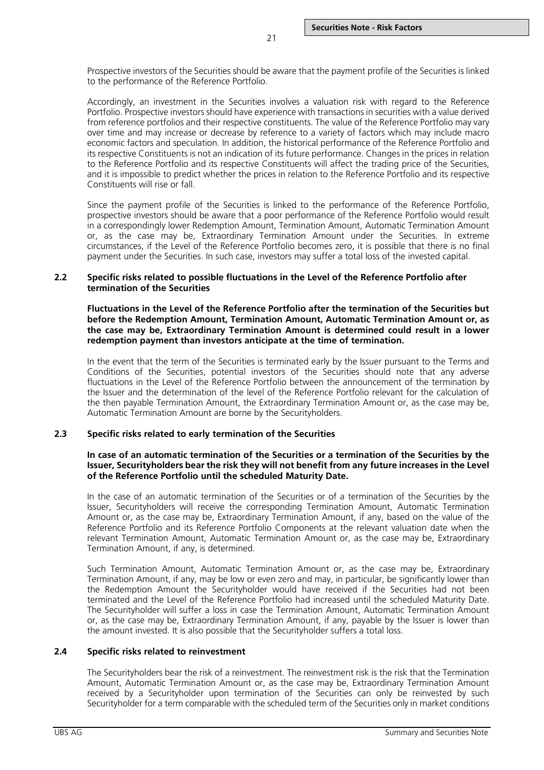Prospective investors of the Securities should be aware that the payment profile of the Securities is linked to the performance of the Reference Portfolio.

21

Accordingly, an investment in the Securities involves a valuation risk with regard to the Reference Portfolio. Prospective investors should have experience with transactions in securities with a value derived from reference portfolios and their respective constituents. The value of the Reference Portfolio may vary over time and may increase or decrease by reference to a variety of factors which may include macro economic factors and speculation. In addition, the historical performance of the Reference Portfolio and its respective Constituents is not an indication of its future performance. Changes in the prices in relation to the Reference Portfolio and its respective Constituents will affect the trading price of the Securities, and it is impossible to predict whether the prices in relation to the Reference Portfolio and its respective Constituents will rise or fall.

Since the payment profile of the Securities is linked to the performance of the Reference Portfolio, prospective investors should be aware that a poor performance of the Reference Portfolio would result in a correspondingly lower Redemption Amount, Termination Amount, Automatic Termination Amount or, as the case may be, Extraordinary Termination Amount under the Securities. In extreme circumstances, if the Level of the Reference Portfolio becomes zero, it is possible that there is no final payment under the Securities. In such case, investors may suffer a total loss of the invested capital.

### <span id="page-20-0"></span>**2.2 Specific risks related to possible fluctuations in the Level of the Reference Portfolio after termination of the Securities**

**Fluctuations in the Level of the Reference Portfolio after the termination of the Securities but before the Redemption Amount, Termination Amount, Automatic Termination Amount or, as the case may be, Extraordinary Termination Amount is determined could result in a lower redemption payment than investors anticipate at the time of termination.**

In the event that the term of the Securities is terminated early by the Issuer pursuant to the Terms and Conditions of the Securities, potential investors of the Securities should note that any adverse fluctuations in the Level of the Reference Portfolio between the announcement of the termination by the Issuer and the determination of the level of the Reference Portfolio relevant for the calculation of the then payable Termination Amount, the Extraordinary Termination Amount or, as the case may be, Automatic Termination Amount are borne by the Securityholders.

## <span id="page-20-1"></span>**2.3 Specific risks related to early termination of the Securities**

## **In case of an automatic termination of the Securities or a termination of the Securities by the Issuer, Securityholders bear the risk they will not benefit from any future increases in the Level of the Reference Portfolio until the scheduled Maturity Date.**

In the case of an automatic termination of the Securities or of a termination of the Securities by the Issuer, Securityholders will receive the corresponding Termination Amount, Automatic Termination Amount or, as the case may be, Extraordinary Termination Amount, if any, based on the value of the Reference Portfolio and its Reference Portfolio Components at the relevant valuation date when the relevant Termination Amount, Automatic Termination Amount or, as the case may be, Extraordinary Termination Amount, if any, is determined.

Such Termination Amount, Automatic Termination Amount or, as the case may be, Extraordinary Termination Amount, if any, may be low or even zero and may, in particular, be significantly lower than the Redemption Amount the Securityholder would have received if the Securities had not been terminated and the Level of the Reference Portfolio had increased until the scheduled Maturity Date. The Securityholder will suffer a loss in case the Termination Amount, Automatic Termination Amount or, as the case may be, Extraordinary Termination Amount, if any, payable by the Issuer is lower than the amount invested. It is also possible that the Securityholder suffers a total loss.

### <span id="page-20-2"></span>**2.4 Specific risks related to reinvestment**

The Securityholders bear the risk of a reinvestment. The reinvestment risk is the risk that the Termination Amount, Automatic Termination Amount or, as the case may be, Extraordinary Termination Amount received by a Securityholder upon termination of the Securities can only be reinvested by such Securityholder for a term comparable with the scheduled term of the Securities only in market conditions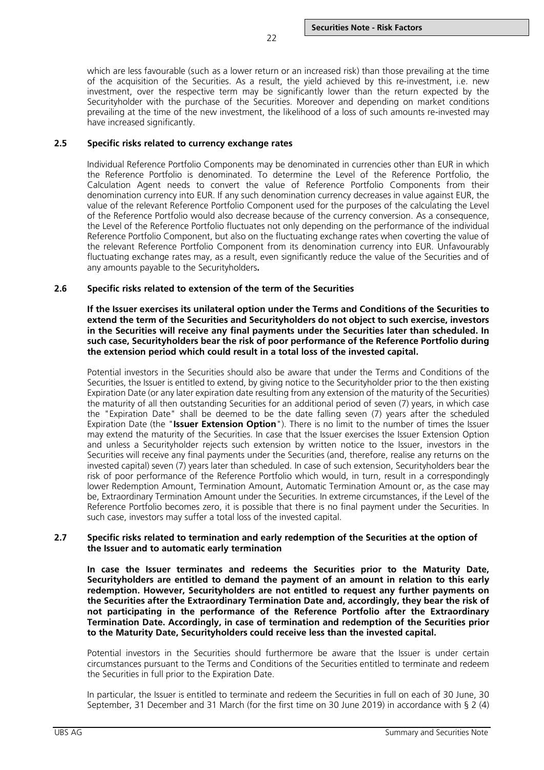which are less favourable (such as a lower return or an increased risk) than those prevailing at the time of the acquisition of the Securities. As a result, the yield achieved by this re-investment, i.e. new investment, over the respective term may be significantly lower than the return expected by the Securityholder with the purchase of the Securities. Moreover and depending on market conditions prevailing at the time of the new investment, the likelihood of a loss of such amounts re-invested may have increased significantly.

22

### <span id="page-21-0"></span>**2.5 Specific risks related to currency exchange rates**

Individual Reference Portfolio Components may be denominated in currencies other than EUR in which the Reference Portfolio is denominated. To determine the Level of the Reference Portfolio, the Calculation Agent needs to convert the value of Reference Portfolio Components from their denomination currency into EUR. If any such denomination currency decreases in value against EUR, the value of the relevant Reference Portfolio Component used for the purposes of the calculating the Level of the Reference Portfolio would also decrease because of the currency conversion. As a consequence, the Level of the Reference Portfolio fluctuates not only depending on the performance of the individual Reference Portfolio Component, but also on the fluctuating exchange rates when coverting the value of the relevant Reference Portfolio Component from its denomination currency into EUR. Unfavourably fluctuating exchange rates may, as a result, even significantly reduce the value of the Securities and of any amounts payable to the Securityholders**.**

## <span id="page-21-1"></span>**2.6 Specific risks related to extension of the term of the Securities**

**If the Issuer exercises its unilateral option under the Terms and Conditions of the Securities to extend the term of the Securities and Securityholders do not object to such exercise, investors in the Securities will receive any final payments under the Securities later than scheduled. In such case, Securityholders bear the risk of poor performance of the Reference Portfolio during the extension period which could result in a total loss of the invested capital.**

Potential investors in the Securities should also be aware that under the Terms and Conditions of the Securities, the Issuer is entitled to extend, by giving notice to the Securityholder prior to the then existing Expiration Date (or any later expiration date resulting from any extension of the maturity of the Securities) the maturity of all then outstanding Securities for an additional period of seven (7) years, in which case the "Expiration Date" shall be deemed to be the date falling seven (7) years after the scheduled Expiration Date (the "**Issuer Extension Option**"). There is no limit to the number of times the Issuer may extend the maturity of the Securities. In case that the Issuer exercises the Issuer Extension Option and unless a Securityholder rejects such extension by written notice to the Issuer, investors in the Securities will receive any final payments under the Securities (and, therefore, realise any returns on the invested capital) seven (7) years later than scheduled. In case of such extension, Securityholders bear the risk of poor performance of the Reference Portfolio which would, in turn, result in a correspondingly lower Redemption Amount, Termination Amount, Automatic Termination Amount or, as the case may be, Extraordinary Termination Amount under the Securities. In extreme circumstances, if the Level of the Reference Portfolio becomes zero, it is possible that there is no final payment under the Securities. In such case, investors may suffer a total loss of the invested capital.

## <span id="page-21-2"></span>**2.7 Specific risks related to termination and early redemption of the Securities at the option of the Issuer and to automatic early termination**

**In case the Issuer terminates and redeems the Securities prior to the Maturity Date, Securityholders are entitled to demand the payment of an amount in relation to this early redemption. However, Securityholders are not entitled to request any further payments on the Securities after the Extraordinary Termination Date and, accordingly, they bear the risk of not participating in the performance of the Reference Portfolio after the Extraordinary Termination Date. Accordingly, in case of termination and redemption of the Securities prior to the Maturity Date, Securityholders could receive less than the invested capital.** 

Potential investors in the Securities should furthermore be aware that the Issuer is under certain circumstances pursuant to the Terms and Conditions of the Securities entitled to terminate and redeem the Securities in full prior to the Expiration Date.

In particular, the Issuer is entitled to terminate and redeem the Securities in full on each of 30 June, 30 September, 31 December and 31 March (for the first time on 30 June 2019) in accordance with § 2 (4)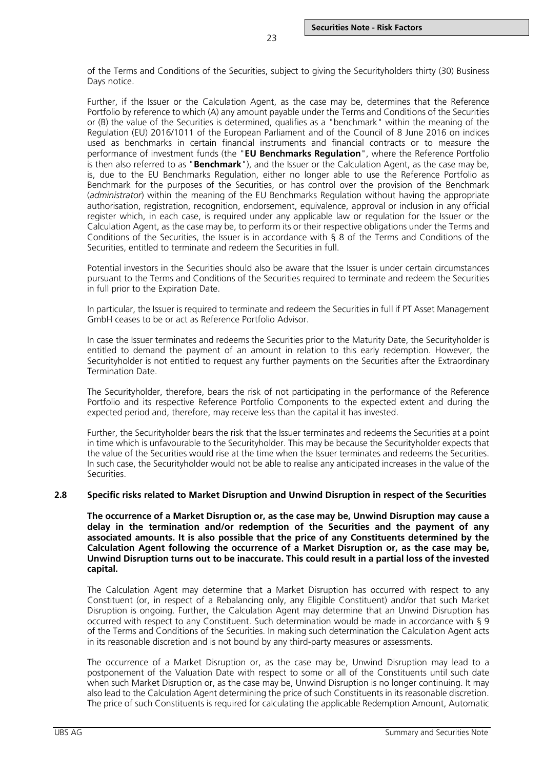of the Terms and Conditions of the Securities, subject to giving the Securityholders thirty (30) Business Days notice.

Further, if the Issuer or the Calculation Agent, as the case may be, determines that the Reference Portfolio by reference to which (A) any amount payable under the Terms and Conditions of the Securities or (B) the value of the Securities is determined, qualifies as a "benchmark" within the meaning of the Regulation (EU) 2016/1011 of the European Parliament and of the Council of 8 June 2016 on indices used as benchmarks in certain financial instruments and financial contracts or to measure the performance of investment funds (the "**EU Benchmarks Regulation**", where the Reference Portfolio is then also referred to as "**Benchmark**"), and the Issuer or the Calculation Agent, as the case may be, is, due to the EU Benchmarks Regulation, either no longer able to use the Reference Portfolio as Benchmark for the purposes of the Securities, or has control over the provision of the Benchmark (*administrator*) within the meaning of the EU Benchmarks Regulation without having the appropriate authorisation, registration, recognition, endorsement, equivalence, approval or inclusion in any official register which, in each case, is required under any applicable law or regulation for the Issuer or the Calculation Agent, as the case may be, to perform its or their respective obligations under the Terms and Conditions of the Securities, the Issuer is in accordance with § 8 of the Terms and Conditions of the Securities, entitled to terminate and redeem the Securities in full.

Potential investors in the Securities should also be aware that the Issuer is under certain circumstances pursuant to the Terms and Conditions of the Securities required to terminate and redeem the Securities in full prior to the Expiration Date.

In particular, the Issuer is required to terminate and redeem the Securities in full if PT Asset Management GmbH ceases to be or act as Reference Portfolio Advisor.

In case the Issuer terminates and redeems the Securities prior to the Maturity Date, the Securityholder is entitled to demand the payment of an amount in relation to this early redemption. However, the Securityholder is not entitled to request any further payments on the Securities after the Extraordinary Termination Date.

The Securityholder, therefore, bears the risk of not participating in the performance of the Reference Portfolio and its respective Reference Portfolio Components to the expected extent and during the expected period and, therefore, may receive less than the capital it has invested.

Further, the Securityholder bears the risk that the Issuer terminates and redeems the Securities at a point in time which is unfavourable to the Securityholder. This may be because the Securityholder expects that the value of the Securities would rise at the time when the Issuer terminates and redeems the Securities. In such case, the Securityholder would not be able to realise any anticipated increases in the value of the Securities.

### <span id="page-22-0"></span>**2.8 Specific risks related to Market Disruption and Unwind Disruption in respect of the Securities**

**The occurrence of a Market Disruption or, as the case may be, Unwind Disruption may cause a delay in the termination and/or redemption of the Securities and the payment of any associated amounts. It is also possible that the price of any Constituents determined by the Calculation Agent following the occurrence of a Market Disruption or, as the case may be, Unwind Disruption turns out to be inaccurate. This could result in a partial loss of the invested capital.**

The Calculation Agent may determine that a Market Disruption has occurred with respect to any Constituent (or, in respect of a Rebalancing only, any Eligible Constituent) and/or that such Market Disruption is ongoing. Further, the Calculation Agent may determine that an Unwind Disruption has occurred with respect to any Constituent. Such determination would be made in accordance with § 9 of the Terms and Conditions of the Securities. In making such determination the Calculation Agent acts in its reasonable discretion and is not bound by any third-party measures or assessments.

The occurrence of a Market Disruption or, as the case may be, Unwind Disruption may lead to a postponement of the Valuation Date with respect to some or all of the Constituents until such date when such Market Disruption or, as the case may be, Unwind Disruption is no longer continuing. It may also lead to the Calculation Agent determining the price of such Constituents in its reasonable discretion. The price of such Constituents is required for calculating the applicable Redemption Amount, Automatic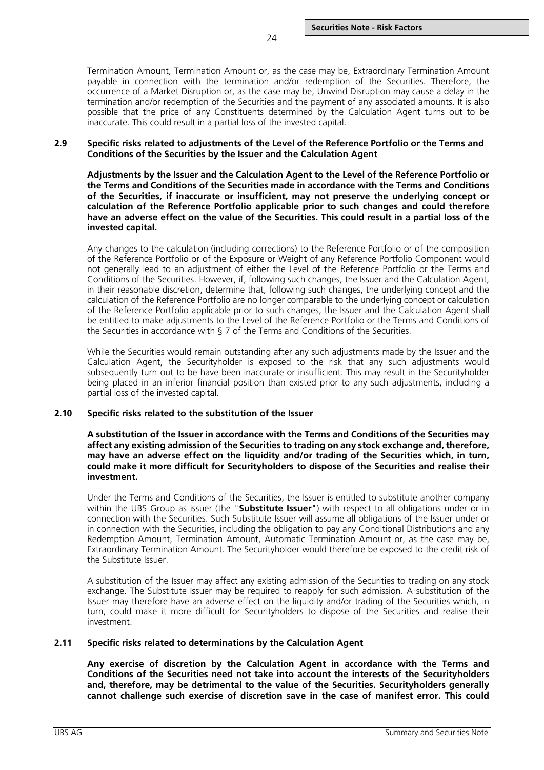Termination Amount, Termination Amount or, as the case may be, Extraordinary Termination Amount payable in connection with the termination and/or redemption of the Securities. Therefore, the occurrence of a Market Disruption or, as the case may be, Unwind Disruption may cause a delay in the termination and/or redemption of the Securities and the payment of any associated amounts. It is also possible that the price of any Constituents determined by the Calculation Agent turns out to be inaccurate. This could result in a partial loss of the invested capital.

#### <span id="page-23-0"></span>**2.9 Specific risks related to adjustments of the Level of the Reference Portfolio or the Terms and Conditions of the Securities by the Issuer and the Calculation Agent**

**Adjustments by the Issuer and the Calculation Agent to the Level of the Reference Portfolio or the Terms and Conditions of the Securities made in accordance with the Terms and Conditions of the Securities, if inaccurate or insufficient, may not preserve the underlying concept or calculation of the Reference Portfolio applicable prior to such changes and could therefore have an adverse effect on the value of the Securities. This could result in a partial loss of the invested capital.**

Any changes to the calculation (including corrections) to the Reference Portfolio or of the composition of the Reference Portfolio or of the Exposure or Weight of any Reference Portfolio Component would not generally lead to an adjustment of either the Level of the Reference Portfolio or the Terms and Conditions of the Securities. However, if, following such changes, the Issuer and the Calculation Agent, in their reasonable discretion, determine that, following such changes, the underlying concept and the calculation of the Reference Portfolio are no longer comparable to the underlying concept or calculation of the Reference Portfolio applicable prior to such changes, the Issuer and the Calculation Agent shall be entitled to make adjustments to the Level of the Reference Portfolio or the Terms and Conditions of the Securities in accordance with § 7 of the Terms and Conditions of the Securities.

While the Securities would remain outstanding after any such adjustments made by the Issuer and the Calculation Agent, the Securityholder is exposed to the risk that any such adjustments would subsequently turn out to be have been inaccurate or insufficient. This may result in the Securityholder being placed in an inferior financial position than existed prior to any such adjustments, including a partial loss of the invested capital.

### <span id="page-23-1"></span>**2.10 Specific risks related to the substitution of the Issuer**

**A substitution of the Issuer in accordance with the Terms and Conditions of the Securities may affect any existing admission of the Securities to trading on any stock exchange and, therefore, may have an adverse effect on the liquidity and/or trading of the Securities which, in turn, could make it more difficult for Securityholders to dispose of the Securities and realise their investment.**

Under the Terms and Conditions of the Securities, the Issuer is entitled to substitute another company within the UBS Group as issuer (the "**Substitute Issuer**") with respect to all obligations under or in connection with the Securities. Such Substitute Issuer will assume all obligations of the Issuer under or in connection with the Securities, including the obligation to pay any Conditional Distributions and any Redemption Amount, Termination Amount, Automatic Termination Amount or, as the case may be, Extraordinary Termination Amount. The Securityholder would therefore be exposed to the credit risk of the Substitute Issuer.

A substitution of the Issuer may affect any existing admission of the Securities to trading on any stock exchange. The Substitute Issuer may be required to reapply for such admission. A substitution of the Issuer may therefore have an adverse effect on the liquidity and/or trading of the Securities which, in turn, could make it more difficult for Securityholders to dispose of the Securities and realise their investment.

### <span id="page-23-2"></span>**2.11 Specific risks related to determinations by the Calculation Agent**

**Any exercise of discretion by the Calculation Agent in accordance with the Terms and Conditions of the Securities need not take into account the interests of the Securityholders and, therefore, may be detrimental to the value of the Securities. Securityholders generally cannot challenge such exercise of discretion save in the case of manifest error. This could**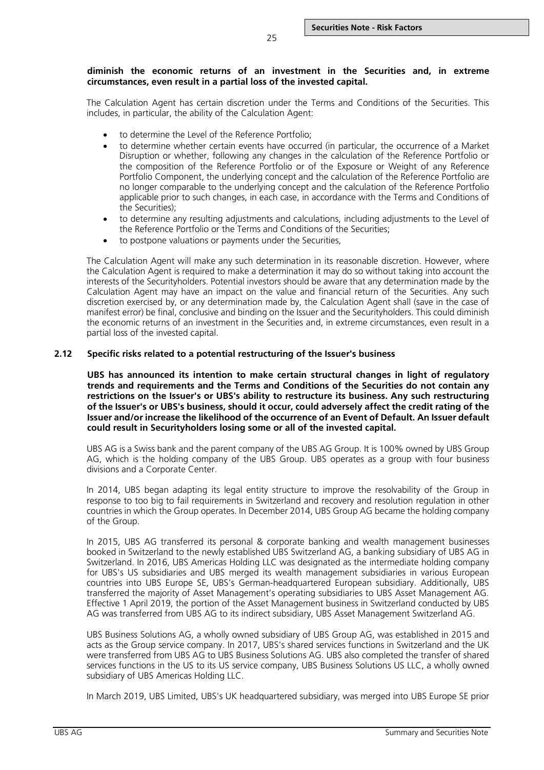## **diminish the economic returns of an investment in the Securities and, in extreme circumstances, even result in a partial loss of the invested capital.**

The Calculation Agent has certain discretion under the Terms and Conditions of the Securities. This includes, in particular, the ability of the Calculation Agent:

- to determine the Level of the Reference Portfolio;
- to determine whether certain events have occurred (in particular, the occurrence of a Market Disruption or whether, following any changes in the calculation of the Reference Portfolio or the composition of the Reference Portfolio or of the Exposure or Weight of any Reference Portfolio Component, the underlying concept and the calculation of the Reference Portfolio are no longer comparable to the underlying concept and the calculation of the Reference Portfolio applicable prior to such changes, in each case, in accordance with the Terms and Conditions of the Securities);
- to determine any resulting adjustments and calculations, including adjustments to the Level of the Reference Portfolio or the Terms and Conditions of the Securities;
- to postpone valuations or payments under the Securities,

The Calculation Agent will make any such determination in its reasonable discretion. However, where the Calculation Agent is required to make a determination it may do so without taking into account the interests of the Securityholders. Potential investors should be aware that any determination made by the Calculation Agent may have an impact on the value and financial return of the Securities. Any such discretion exercised by, or any determination made by, the Calculation Agent shall (save in the case of manifest error) be final, conclusive and binding on the Issuer and the Securityholders. This could diminish the economic returns of an investment in the Securities and, in extreme circumstances, even result in a partial loss of the invested capital.

## <span id="page-24-0"></span>**2.12 Specific risks related to a potential restructuring of the Issuer's business**

**UBS has announced its intention to make certain structural changes in light of regulatory trends and requirements and the Terms and Conditions of the Securities do not contain any restrictions on the Issuer's or UBS's ability to restructure its business. Any such restructuring of the Issuer's or UBS's business, should it occur, could adversely affect the credit rating of the Issuer and/or increase the likelihood of the occurrence of an Event of Default. An Issuer default could result in Securityholders losing some or all of the invested capital.**

UBS AG is a Swiss bank and the parent company of the UBS AG Group. It is 100% owned by UBS Group AG, which is the holding company of the UBS Group. UBS operates as a group with four business divisions and a Corporate Center.

In 2014, UBS began adapting its legal entity structure to improve the resolvability of the Group in response to too big to fail requirements in Switzerland and recovery and resolution regulation in other countries in which the Group operates. In December 2014, UBS Group AG became the holding company of the Group.

In 2015, UBS AG transferred its personal & corporate banking and wealth management businesses booked in Switzerland to the newly established UBS Switzerland AG, a banking subsidiary of UBS AG in Switzerland. In 2016, UBS Americas Holding LLC was designated as the intermediate holding company for UBS's US subsidiaries and UBS merged its wealth management subsidiaries in various European countries into UBS Europe SE, UBS's German-headquartered European subsidiary. Additionally, UBS transferred the majority of Asset Management's operating subsidiaries to UBS Asset Management AG. Effective 1 April 2019, the portion of the Asset Management business in Switzerland conducted by UBS AG was transferred from UBS AG to its indirect subsidiary, UBS Asset Management Switzerland AG.

UBS Business Solutions AG, a wholly owned subsidiary of UBS Group AG, was established in 2015 and acts as the Group service company. In 2017, UBS's shared services functions in Switzerland and the UK were transferred from UBS AG to UBS Business Solutions AG. UBS also completed the transfer of shared services functions in the US to its US service company, UBS Business Solutions US LLC, a wholly owned subsidiary of UBS Americas Holding LLC.

In March 2019, UBS Limited, UBS's UK headquartered subsidiary, was merged into UBS Europe SE prior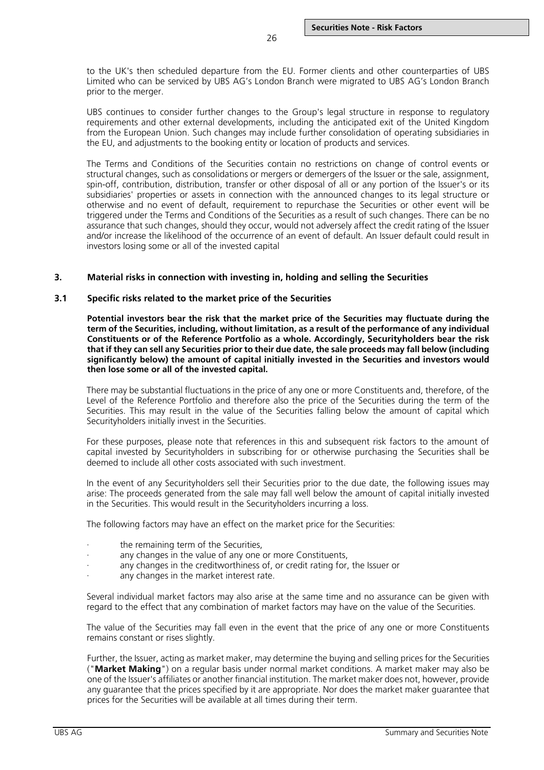to the UK's then scheduled departure from the EU. Former clients and other counterparties of UBS Limited who can be serviced by UBS AG's London Branch were migrated to UBS AG's London Branch prior to the merger.

26

UBS continues to consider further changes to the Group's legal structure in response to regulatory requirements and other external developments, including the anticipated exit of the United Kingdom from the European Union. Such changes may include further consolidation of operating subsidiaries in the EU, and adjustments to the booking entity or location of products and services.

The Terms and Conditions of the Securities contain no restrictions on change of control events or structural changes, such as consolidations or mergers or demergers of the Issuer or the sale, assignment, spin-off, contribution, distribution, transfer or other disposal of all or any portion of the Issuer's or its subsidiaries' properties or assets in connection with the announced changes to its legal structure or otherwise and no event of default, requirement to repurchase the Securities or other event will be triggered under the Terms and Conditions of the Securities as a result of such changes. There can be no assurance that such changes, should they occur, would not adversely affect the credit rating of the Issuer and/or increase the likelihood of the occurrence of an event of default. An Issuer default could result in investors losing some or all of the invested capital

### <span id="page-25-0"></span>**3. Material risks in connection with investing in, holding and selling the Securities**

### <span id="page-25-1"></span>**3.1 Specific risks related to the market price of the Securities**

**Potential investors bear the risk that the market price of the Securities may fluctuate during the term of the Securities, including, without limitation, as a result of the performance of any individual Constituents or of the Reference Portfolio as a whole. Accordingly, Securityholders bear the risk that if they can sell any Securities prior to their due date, the sale proceeds may fall below (including significantly below) the amount of capital initially invested in the Securities and investors would then lose some or all of the invested capital.**

There may be substantial fluctuations in the price of any one or more Constituents and, therefore, of the Level of the Reference Portfolio and therefore also the price of the Securities during the term of the Securities. This may result in the value of the Securities falling below the amount of capital which Securityholders initially invest in the Securities.

For these purposes, please note that references in this and subsequent risk factors to the amount of capital invested by Securityholders in subscribing for or otherwise purchasing the Securities shall be deemed to include all other costs associated with such investment.

In the event of any Securityholders sell their Securities prior to the due date, the following issues may arise: The proceeds generated from the sale may fall well below the amount of capital initially invested in the Securities. This would result in the Securityholders incurring a loss.

The following factors may have an effect on the market price for the Securities:

- the remaining term of the Securities,
- any changes in the value of any one or more Constituents,
- any changes in the creditworthiness of, or credit rating for, the Issuer or
- any changes in the market interest rate.

Several individual market factors may also arise at the same time and no assurance can be given with regard to the effect that any combination of market factors may have on the value of the Securities.

The value of the Securities may fall even in the event that the price of any one or more Constituents remains constant or rises slightly.

Further, the Issuer, acting as market maker, may determine the buying and selling prices for the Securities ("**Market Making**") on a regular basis under normal market conditions. A market maker may also be one of the Issuer's affiliates or another financial institution. The market maker does not, however, provide any guarantee that the prices specified by it are appropriate. Nor does the market maker guarantee that prices for the Securities will be available at all times during their term.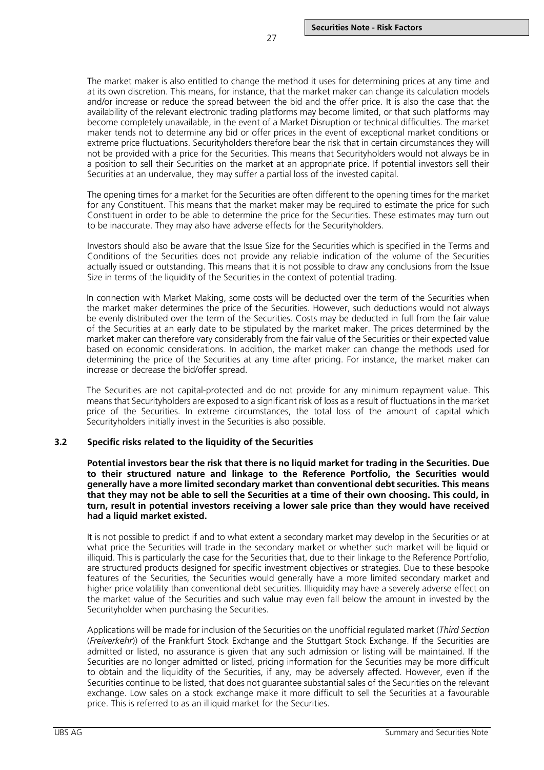The market maker is also entitled to change the method it uses for determining prices at any time and at its own discretion. This means, for instance, that the market maker can change its calculation models and/or increase or reduce the spread between the bid and the offer price. It is also the case that the availability of the relevant electronic trading platforms may become limited, or that such platforms may become completely unavailable, in the event of a Market Disruption or technical difficulties. The market maker tends not to determine any bid or offer prices in the event of exceptional market conditions or extreme price fluctuations. Securityholders therefore bear the risk that in certain circumstances they will not be provided with a price for the Securities. This means that Securityholders would not always be in a position to sell their Securities on the market at an appropriate price. If potential investors sell their Securities at an undervalue, they may suffer a partial loss of the invested capital.

The opening times for a market for the Securities are often different to the opening times for the market for any Constituent. This means that the market maker may be required to estimate the price for such Constituent in order to be able to determine the price for the Securities. These estimates may turn out to be inaccurate. They may also have adverse effects for the Securityholders.

Investors should also be aware that the Issue Size for the Securities which is specified in the Terms and Conditions of the Securities does not provide any reliable indication of the volume of the Securities actually issued or outstanding. This means that it is not possible to draw any conclusions from the Issue Size in terms of the liquidity of the Securities in the context of potential trading.

In connection with Market Making, some costs will be deducted over the term of the Securities when the market maker determines the price of the Securities. However, such deductions would not always be evenly distributed over the term of the Securities. Costs may be deducted in full from the fair value of the Securities at an early date to be stipulated by the market maker. The prices determined by the market maker can therefore vary considerably from the fair value of the Securities or their expected value based on economic considerations. In addition, the market maker can change the methods used for determining the price of the Securities at any time after pricing. For instance, the market maker can increase or decrease the bid/offer spread.

The Securities are not capital-protected and do not provide for any minimum repayment value. This means that Securityholders are exposed to a significant risk of loss as a result of fluctuations in the market price of the Securities. In extreme circumstances, the total loss of the amount of capital which Securityholders initially invest in the Securities is also possible.

## <span id="page-26-0"></span>**3.2 Specific risks related to the liquidity of the Securities**

**Potential investors bear the risk that there is no liquid market for trading in the Securities. Due to their structured nature and linkage to the Reference Portfolio, the Securities would generally have a more limited secondary market than conventional debt securities. This means that they may not be able to sell the Securities at a time of their own choosing. This could, in turn, result in potential investors receiving a lower sale price than they would have received had a liquid market existed.**

It is not possible to predict if and to what extent a secondary market may develop in the Securities or at what price the Securities will trade in the secondary market or whether such market will be liquid or illiquid. This is particularly the case for the Securities that, due to their linkage to the Reference Portfolio, are structured products designed for specific investment objectives or strategies. Due to these bespoke features of the Securities, the Securities would generally have a more limited secondary market and higher price volatility than conventional debt securities. Illiquidity may have a severely adverse effect on the market value of the Securities and such value may even fall below the amount in invested by the Securityholder when purchasing the Securities.

Applications will be made for inclusion of the Securities on the unofficial regulated market (*Third Section*  (*Freiverkehr*)) of the Frankfurt Stock Exchange and the Stuttgart Stock Exchange. If the Securities are admitted or listed, no assurance is given that any such admission or listing will be maintained. If the Securities are no longer admitted or listed, pricing information for the Securities may be more difficult to obtain and the liquidity of the Securities, if any, may be adversely affected. However, even if the Securities continue to be listed, that does not guarantee substantial sales of the Securities on the relevant exchange. Low sales on a stock exchange make it more difficult to sell the Securities at a favourable price. This is referred to as an illiquid market for the Securities.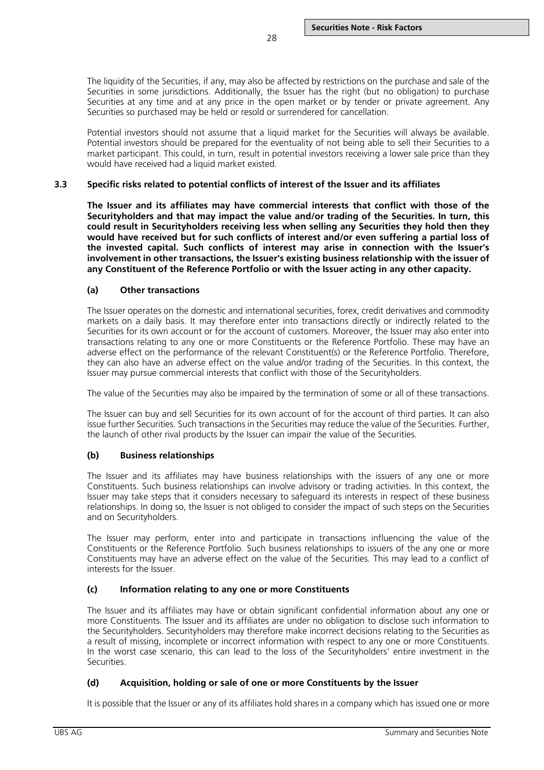The liquidity of the Securities, if any, may also be affected by restrictions on the purchase and sale of the Securities in some jurisdictions. Additionally, the Issuer has the right (but no obligation) to purchase Securities at any time and at any price in the open market or by tender or private agreement. Any Securities so purchased may be held or resold or surrendered for cancellation.

Potential investors should not assume that a liquid market for the Securities will always be available. Potential investors should be prepared for the eventuality of not being able to sell their Securities to a market participant. This could, in turn, result in potential investors receiving a lower sale price than they would have received had a liquid market existed.

## <span id="page-27-0"></span>**3.3 Specific risks related to potential conflicts of interest of the Issuer and its affiliates**

**The Issuer and its affiliates may have commercial interests that conflict with those of the Securityholders and that may impact the value and/or trading of the Securities. In turn, this could result in Securityholders receiving less when selling any Securities they hold then they would have received but for such conflicts of interest and/or even suffering a partial loss of the invested capital. Such conflicts of interest may arise in connection with the Issuer's involvement in other transactions, the Issuer's existing business relationship with the issuer of any Constituent of the Reference Portfolio or with the Issuer acting in any other capacity.**

## **(a) Other transactions**

The Issuer operates on the domestic and international securities, forex, credit derivatives and commodity markets on a daily basis. It may therefore enter into transactions directly or indirectly related to the Securities for its own account or for the account of customers. Moreover, the Issuer may also enter into transactions relating to any one or more Constituents or the Reference Portfolio. These may have an adverse effect on the performance of the relevant Constituent(s) or the Reference Portfolio. Therefore, they can also have an adverse effect on the value and/or trading of the Securities. In this context, the Issuer may pursue commercial interests that conflict with those of the Securityholders.

The value of the Securities may also be impaired by the termination of some or all of these transactions.

The Issuer can buy and sell Securities for its own account of for the account of third parties. It can also issue further Securities. Such transactions in the Securities may reduce the value of the Securities. Further, the launch of other rival products by the Issuer can impair the value of the Securities.

## **(b) Business relationships**

The Issuer and its affiliates may have business relationships with the issuers of any one or more Constituents. Such business relationships can involve advisory or trading activities. In this context, the Issuer may take steps that it considers necessary to safeguard its interests in respect of these business relationships. In doing so, the Issuer is not obliged to consider the impact of such steps on the Securities and on Securityholders.

The Issuer may perform, enter into and participate in transactions influencing the value of the Constituents or the Reference Portfolio. Such business relationships to issuers of the any one or more Constituents may have an adverse effect on the value of the Securities. This may lead to a conflict of interests for the Issuer.

## **(c) Information relating to any one or more Constituents**

The Issuer and its affiliates may have or obtain significant confidential information about any one or more Constituents. The Issuer and its affiliates are under no obligation to disclose such information to the Securityholders. Securityholders may therefore make incorrect decisions relating to the Securities as a result of missing, incomplete or incorrect information with respect to any one or more Constituents. In the worst case scenario, this can lead to the loss of the Securityholders' entire investment in the Securities.

## **(d) Acquisition, holding or sale of one or more Constituents by the Issuer**

It is possible that the Issuer or any of its affiliates hold shares in a company which has issued one or more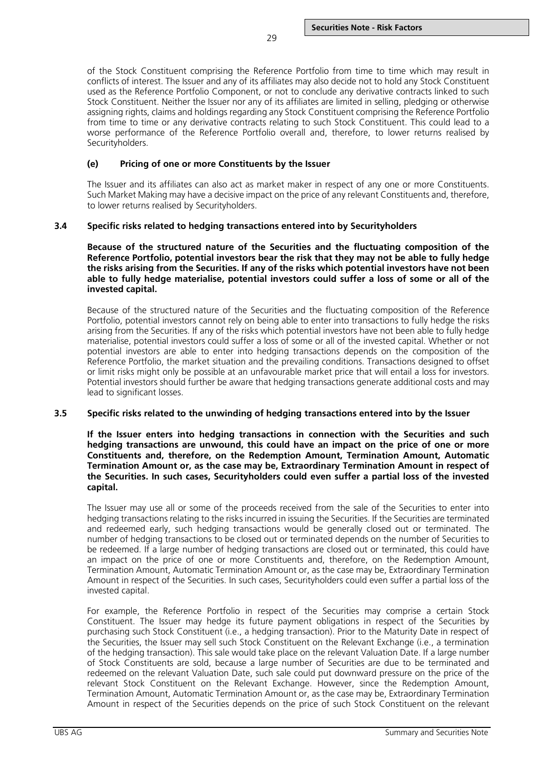of the Stock Constituent comprising the Reference Portfolio from time to time which may result in conflicts of interest. The Issuer and any of its affiliates may also decide not to hold any Stock Constituent used as the Reference Portfolio Component, or not to conclude any derivative contracts linked to such Stock Constituent. Neither the Issuer nor any of its affiliates are limited in selling, pledging or otherwise assigning rights, claims and holdings regarding any Stock Constituent comprising the Reference Portfolio from time to time or any derivative contracts relating to such Stock Constituent. This could lead to a worse performance of the Reference Portfolio overall and, therefore, to lower returns realised by Securityholders.

## **(e) Pricing of one or more Constituents by the Issuer**

The Issuer and its affiliates can also act as market maker in respect of any one or more Constituents. Such Market Making may have a decisive impact on the price of any relevant Constituents and, therefore, to lower returns realised by Securityholders.

## <span id="page-28-0"></span>**3.4 Specific risks related to hedging transactions entered into by Securityholders**

**Because of the structured nature of the Securities and the fluctuating composition of the Reference Portfolio, potential investors bear the risk that they may not be able to fully hedge the risks arising from the Securities. If any of the risks which potential investors have not been able to fully hedge materialise, potential investors could suffer a loss of some or all of the invested capital.**

Because of the structured nature of the Securities and the fluctuating composition of the Reference Portfolio, potential investors cannot rely on being able to enter into transactions to fully hedge the risks arising from the Securities. If any of the risks which potential investors have not been able to fully hedge materialise, potential investors could suffer a loss of some or all of the invested capital. Whether or not potential investors are able to enter into hedging transactions depends on the composition of the Reference Portfolio, the market situation and the prevailing conditions. Transactions designed to offset or limit risks might only be possible at an unfavourable market price that will entail a loss for investors. Potential investors should further be aware that hedging transactions generate additional costs and may lead to significant losses.

### <span id="page-28-1"></span>**3.5 Specific risks related to the unwinding of hedging transactions entered into by the Issuer**

**If the Issuer enters into hedging transactions in connection with the Securities and such hedging transactions are unwound, this could have an impact on the price of one or more Constituents and, therefore, on the Redemption Amount, Termination Amount, Automatic Termination Amount or, as the case may be, Extraordinary Termination Amount in respect of the Securities. In such cases, Securityholders could even suffer a partial loss of the invested capital.**

The Issuer may use all or some of the proceeds received from the sale of the Securities to enter into hedging transactions relating to the risks incurred in issuing the Securities. If the Securities are terminated and redeemed early, such hedging transactions would be generally closed out or terminated. The number of hedging transactions to be closed out or terminated depends on the number of Securities to be redeemed. If a large number of hedging transactions are closed out or terminated, this could have an impact on the price of one or more Constituents and, therefore, on the Redemption Amount, Termination Amount, Automatic Termination Amount or, as the case may be, Extraordinary Termination Amount in respect of the Securities. In such cases, Securityholders could even suffer a partial loss of the invested capital.

For example, the Reference Portfolio in respect of the Securities may comprise a certain Stock Constituent. The Issuer may hedge its future payment obligations in respect of the Securities by purchasing such Stock Constituent (i.e., a hedging transaction). Prior to the Maturity Date in respect of the Securities, the Issuer may sell such Stock Constituent on the Relevant Exchange (i.e., a termination of the hedging transaction). This sale would take place on the relevant Valuation Date. If a large number of Stock Constituents are sold, because a large number of Securities are due to be terminated and redeemed on the relevant Valuation Date, such sale could put downward pressure on the price of the relevant Stock Constituent on the Relevant Exchange. However, since the Redemption Amount, Termination Amount, Automatic Termination Amount or, as the case may be, Extraordinary Termination Amount in respect of the Securities depends on the price of such Stock Constituent on the relevant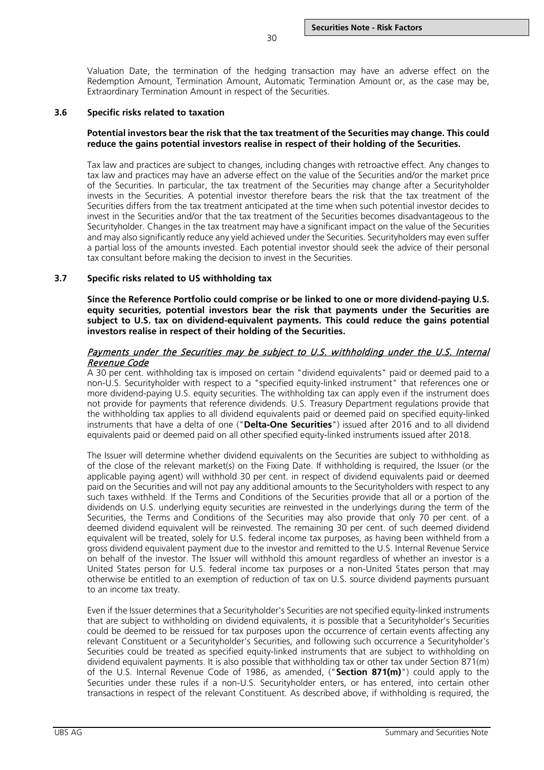Valuation Date, the termination of the hedging transaction may have an adverse effect on the Redemption Amount, Termination Amount, Automatic Termination Amount or, as the case may be, Extraordinary Termination Amount in respect of the Securities.

30

### <span id="page-29-0"></span>**3.6 Specific risks related to taxation**

## **Potential investors bear the risk that the tax treatment of the Securities may change. This could reduce the gains potential investors realise in respect of their holding of the Securities.**

Tax law and practices are subject to changes, including changes with retroactive effect. Any changes to tax law and practices may have an adverse effect on the value of the Securities and/or the market price of the Securities. In particular, the tax treatment of the Securities may change after a Securityholder invests in the Securities. A potential investor therefore bears the risk that the tax treatment of the Securities differs from the tax treatment anticipated at the time when such potential investor decides to invest in the Securities and/or that the tax treatment of the Securities becomes disadvantageous to the Securityholder. Changes in the tax treatment may have a significant impact on the value of the Securities and may also significantly reduce any yield achieved under the Securities. Securityholders may even suffer a partial loss of the amounts invested. Each potential investor should seek the advice of their personal tax consultant before making the decision to invest in the Securities.

## <span id="page-29-1"></span>**3.7 Specific risks related to US withholding tax**

**Since the Reference Portfolio could comprise or be linked to one or more dividend-paying U.S. equity securities, potential investors bear the risk that payments under the Securities are subject to U.S. tax on dividend-equivalent payments. This could reduce the gains potential investors realise in respect of their holding of the Securities.**

## Payments under the Securities may be subject to U.S. withholding under the U.S. Internal Revenue Code

A 30 per cent. withholding tax is imposed on certain "dividend equivalents" paid or deemed paid to a non-U.S. Securityholder with respect to a "specified equity-linked instrument" that references one or more dividend-paying U.S. equity securities. The withholding tax can apply even if the instrument does not provide for payments that reference dividends. U.S. Treasury Department regulations provide that the withholding tax applies to all dividend equivalents paid or deemed paid on specified equity-linked instruments that have a delta of one ("**Delta-One Securities**") issued after 2016 and to all dividend equivalents paid or deemed paid on all other specified equity-linked instruments issued after 2018.

The Issuer will determine whether dividend equivalents on the Securities are subject to withholding as of the close of the relevant market(s) on the Fixing Date. If withholding is required, the Issuer (or the applicable paying agent) will withhold 30 per cent. in respect of dividend equivalents paid or deemed paid on the Securities and will not pay any additional amounts to the Securityholders with respect to any such taxes withheld. If the Terms and Conditions of the Securities provide that all or a portion of the dividends on U.S. underlying equity securities are reinvested in the underlyings during the term of the Securities, the Terms and Conditions of the Securities may also provide that only 70 per cent. of a deemed dividend equivalent will be reinvested. The remaining 30 per cent. of such deemed dividend equivalent will be treated, solely for U.S. federal income tax purposes, as having been withheld from a gross dividend equivalent payment due to the investor and remitted to the U.S. Internal Revenue Service on behalf of the investor. The Issuer will withhold this amount regardless of whether an investor is a United States person for U.S. federal income tax purposes or a non-United States person that may otherwise be entitled to an exemption of reduction of tax on U.S. source dividend payments pursuant to an income tax treaty.

Even if the Issuer determines that a Securityholder's Securities are not specified equity-linked instruments that are subject to withholding on dividend equivalents, it is possible that a Securityholder's Securities could be deemed to be reissued for tax purposes upon the occurrence of certain events affecting any relevant Constituent or a Securityholder's Securities, and following such occurrence a Securityholder's Securities could be treated as specified equity-linked instruments that are subject to withholding on dividend equivalent payments. It is also possible that withholding tax or other tax under Section 871(m) of the U.S. Internal Revenue Code of 1986, as amended, ("**Section 871(m)**") could apply to the Securities under these rules if a non-U.S. Securityholder enters, or has entered, into certain other transactions in respect of the relevant Constituent. As described above, if withholding is required, the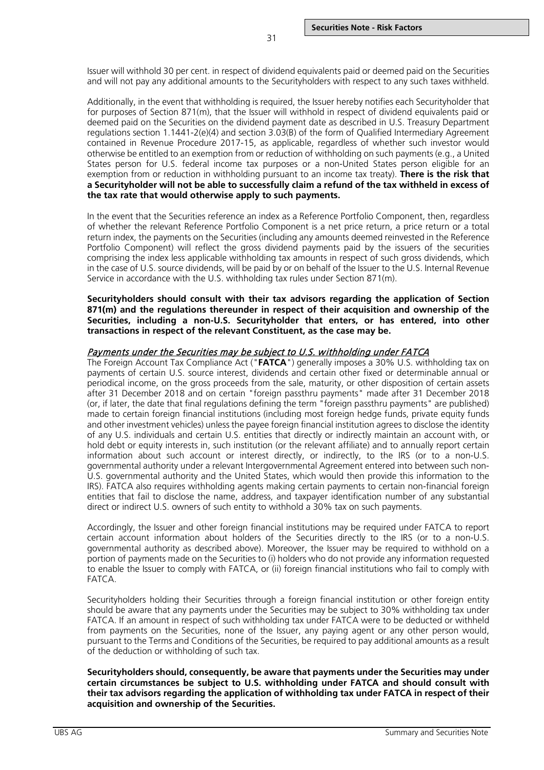Issuer will withhold 30 per cent. in respect of dividend equivalents paid or deemed paid on the Securities and will not pay any additional amounts to the Securityholders with respect to any such taxes withheld.

31

Additionally, in the event that withholding is required, the Issuer hereby notifies each Securityholder that for purposes of Section 871(m), that the Issuer will withhold in respect of dividend equivalents paid or deemed paid on the Securities on the dividend payment date as described in U.S. Treasury Department regulations section 1.1441-2(e)(4) and section 3.03(B) of the form of Qualified Intermediary Agreement contained in Revenue Procedure 2017-15, as applicable, regardless of whether such investor would otherwise be entitled to an exemption from or reduction of withholding on such payments (e.g., a United States person for U.S. federal income tax purposes or a non-United States person eligible for an exemption from or reduction in withholding pursuant to an income tax treaty). **There is the risk that a Securityholder will not be able to successfully claim a refund of the tax withheld in excess of the tax rate that would otherwise apply to such payments.**

In the event that the Securities reference an index as a Reference Portfolio Component, then, regardless of whether the relevant Reference Portfolio Component is a net price return, a price return or a total return index, the payments on the Securities (including any amounts deemed reinvested in the Reference Portfolio Component) will reflect the gross dividend payments paid by the issuers of the securities comprising the index less applicable withholding tax amounts in respect of such gross dividends, which in the case of U.S. source dividends, will be paid by or on behalf of the Issuer to the U.S. Internal Revenue Service in accordance with the U.S. withholding tax rules under Section 871(m).

**Securityholders should consult with their tax advisors regarding the application of Section 871(m) and the regulations thereunder in respect of their acquisition and ownership of the Securities, including a non-U.S. Securityholder that enters, or has entered, into other transactions in respect of the relevant Constituent, as the case may be.**

#### Payments under the Securities may be subject to U.S. withholding under FATCA

The Foreign Account Tax Compliance Act ("**FATCA**") generally imposes a 30% U.S. withholding tax on payments of certain U.S. source interest, dividends and certain other fixed or determinable annual or periodical income, on the gross proceeds from the sale, maturity, or other disposition of certain assets after 31 December 2018 and on certain "foreign passthru payments" made after 31 December 2018 (or, if later, the date that final regulations defining the term "foreign passthru payments" are published) made to certain foreign financial institutions (including most foreign hedge funds, private equity funds and other investment vehicles) unless the payee foreign financial institution agrees to disclose the identity of any U.S. individuals and certain U.S. entities that directly or indirectly maintain an account with, or hold debt or equity interests in, such institution (or the relevant affiliate) and to annually report certain information about such account or interest directly, or indirectly, to the IRS (or to a non-U.S. governmental authority under a relevant Intergovernmental Agreement entered into between such non-U.S. governmental authority and the United States, which would then provide this information to the IRS). FATCA also requires withholding agents making certain payments to certain non-financial foreign entities that fail to disclose the name, address, and taxpayer identification number of any substantial direct or indirect U.S. owners of such entity to withhold a 30% tax on such payments.

Accordingly, the Issuer and other foreign financial institutions may be required under FATCA to report certain account information about holders of the Securities directly to the IRS (or to a non-U.S. governmental authority as described above). Moreover, the Issuer may be required to withhold on a portion of payments made on the Securities to (i) holders who do not provide any information requested to enable the Issuer to comply with FATCA, or (ii) foreign financial institutions who fail to comply with FATCA.

Securityholders holding their Securities through a foreign financial institution or other foreign entity should be aware that any payments under the Securities may be subject to 30% withholding tax under FATCA. If an amount in respect of such withholding tax under FATCA were to be deducted or withheld from payments on the Securities, none of the Issuer, any paying agent or any other person would, pursuant to the Terms and Conditions of the Securities, be required to pay additional amounts as a result of the deduction or withholding of such tax.

**Securityholders should, consequently, be aware that payments under the Securities may under certain circumstances be subject to U.S. withholding under FATCA and should consult with their tax advisors regarding the application of withholding tax under FATCA in respect of their acquisition and ownership of the Securities.**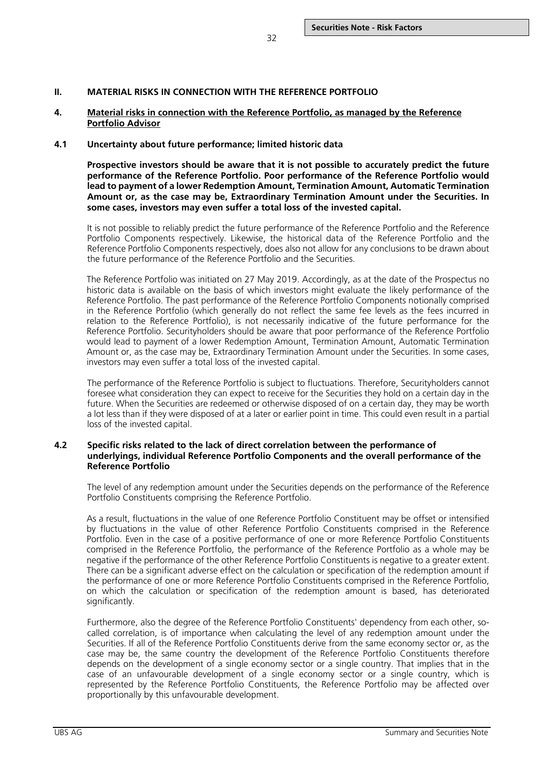## <span id="page-31-0"></span>**II. MATERIAL RISKS IN CONNECTION WITH THE REFERENCE PORTFOLIO**

#### <span id="page-31-1"></span>**4. Material risks in connection with the Reference Portfolio, as managed by the Reference Portfolio Advisor**

#### <span id="page-31-2"></span>**4.1 Uncertainty about future performance; limited historic data**

**Prospective investors should be aware that it is not possible to accurately predict the future performance of the Reference Portfolio. Poor performance of the Reference Portfolio would lead to payment of a lower Redemption Amount, Termination Amount, Automatic Termination Amount or, as the case may be, Extraordinary Termination Amount under the Securities. In some cases, investors may even suffer a total loss of the invested capital.**

It is not possible to reliably predict the future performance of the Reference Portfolio and the Reference Portfolio Components respectively. Likewise, the historical data of the Reference Portfolio and the Reference Portfolio Components respectively, does also not allow for any conclusions to be drawn about the future performance of the Reference Portfolio and the Securities.

The Reference Portfolio was initiated on 27 May 2019. Accordingly, as at the date of the Prospectus no historic data is available on the basis of which investors might evaluate the likely performance of the Reference Portfolio. The past performance of the Reference Portfolio Components notionally comprised in the Reference Portfolio (which generally do not reflect the same fee levels as the fees incurred in relation to the Reference Portfolio), is not necessarily indicative of the future performance for the Reference Portfolio. Securityholders should be aware that poor performance of the Reference Portfolio would lead to payment of a lower Redemption Amount, Termination Amount, Automatic Termination Amount or, as the case may be, Extraordinary Termination Amount under the Securities. In some cases, investors may even suffer a total loss of the invested capital.

The performance of the Reference Portfolio is subject to fluctuations. Therefore, Securityholders cannot foresee what consideration they can expect to receive for the Securities they hold on a certain day in the future. When the Securities are redeemed or otherwise disposed of on a certain day, they may be worth a lot less than if they were disposed of at a later or earlier point in time. This could even result in a partial loss of the invested capital.

## <span id="page-31-3"></span>**4.2 Specific risks related to the lack of direct correlation between the performance of underlyings, individual Reference Portfolio Components and the overall performance of the Reference Portfolio**

The level of any redemption amount under the Securities depends on the performance of the Reference Portfolio Constituents comprising the Reference Portfolio.

As a result, fluctuations in the value of one Reference Portfolio Constituent may be offset or intensified by fluctuations in the value of other Reference Portfolio Constituents comprised in the Reference Portfolio. Even in the case of a positive performance of one or more Reference Portfolio Constituents comprised in the Reference Portfolio, the performance of the Reference Portfolio as a whole may be negative if the performance of the other Reference Portfolio Constituents is negative to a greater extent. There can be a significant adverse effect on the calculation or specification of the redemption amount if the performance of one or more Reference Portfolio Constituents comprised in the Reference Portfolio, on which the calculation or specification of the redemption amount is based, has deteriorated significantly.

Furthermore, also the degree of the Reference Portfolio Constituents' dependency from each other, socalled correlation, is of importance when calculating the level of any redemption amount under the Securities. If all of the Reference Portfolio Constituents derive from the same economy sector or, as the case may be, the same country the development of the Reference Portfolio Constituents therefore depends on the development of a single economy sector or a single country. That implies that in the case of an unfavourable development of a single economy sector or a single country, which is represented by the Reference Portfolio Constituents, the Reference Portfolio may be affected over proportionally by this unfavourable development.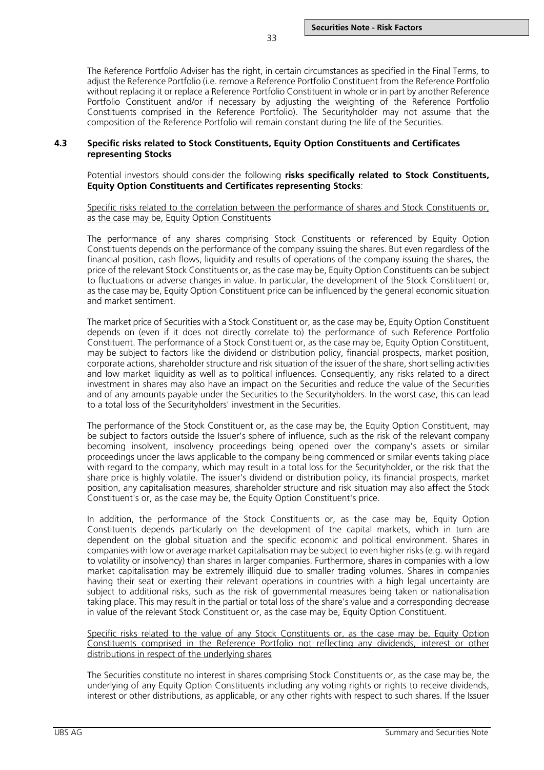The Reference Portfolio Adviser has the right, in certain circumstances as specified in the Final Terms, to adjust the Reference Portfolio (i.e. remove a Reference Portfolio Constituent from the Reference Portfolio without replacing it or replace a Reference Portfolio Constituent in whole or in part by another Reference Portfolio Constituent and/or if necessary by adjusting the weighting of the Reference Portfolio Constituents comprised in the Reference Portfolio). The Securityholder may not assume that the composition of the Reference Portfolio will remain constant during the life of the Securities.

33

#### <span id="page-32-0"></span>**4.3 Specific risks related to Stock Constituents, Equity Option Constituents and Certificates representing Stocks**

Potential investors should consider the following **risks specifically related to Stock Constituents, Equity Option Constituents and Certificates representing Stocks**:

#### Specific risks related to the correlation between the performance of shares and Stock Constituents or, as the case may be, Equity Option Constituents

The performance of any shares comprising Stock Constituents or referenced by Equity Option Constituents depends on the performance of the company issuing the shares. But even regardless of the financial position, cash flows, liquidity and results of operations of the company issuing the shares, the price of the relevant Stock Constituents or, as the case may be, Equity Option Constituents can be subject to fluctuations or adverse changes in value. In particular, the development of the Stock Constituent or, as the case may be, Equity Option Constituent price can be influenced by the general economic situation and market sentiment.

The market price of Securities with a Stock Constituent or, as the case may be, Equity Option Constituent depends on (even if it does not directly correlate to) the performance of such Reference Portfolio Constituent. The performance of a Stock Constituent or, as the case may be, Equity Option Constituent, may be subject to factors like the dividend or distribution policy, financial prospects, market position, corporate actions, shareholder structure and risk situation of the issuer of the share, short selling activities and low market liquidity as well as to political influences. Consequently, any risks related to a direct investment in shares may also have an impact on the Securities and reduce the value of the Securities and of any amounts payable under the Securities to the Securityholders. In the worst case, this can lead to a total loss of the Securityholders' investment in the Securities.

The performance of the Stock Constituent or, as the case may be, the Equity Option Constituent, may be subject to factors outside the Issuer's sphere of influence, such as the risk of the relevant company becoming insolvent, insolvency proceedings being opened over the company's assets or similar proceedings under the laws applicable to the company being commenced or similar events taking place with regard to the company, which may result in a total loss for the Securityholder, or the risk that the share price is highly volatile. The issuer's dividend or distribution policy, its financial prospects, market position, any capitalisation measures, shareholder structure and risk situation may also affect the Stock Constituent's or, as the case may be, the Equity Option Constituent's price.

In addition, the performance of the Stock Constituents or, as the case may be, Equity Option Constituents depends particularly on the development of the capital markets, which in turn are dependent on the global situation and the specific economic and political environment. Shares in companies with low or average market capitalisation may be subject to even higher risks (e.g. with regard to volatility or insolvency) than shares in larger companies. Furthermore, shares in companies with a low market capitalisation may be extremely illiquid due to smaller trading volumes. Shares in companies having their seat or exerting their relevant operations in countries with a high legal uncertainty are subject to additional risks, such as the risk of governmental measures being taken or nationalisation taking place. This may result in the partial or total loss of the share's value and a corresponding decrease in value of the relevant Stock Constituent or, as the case may be, Equity Option Constituent.

Specific risks related to the value of any Stock Constituents or, as the case may be, Equity Option Constituents comprised in the Reference Portfolio not reflecting any dividends, interest or other distributions in respect of the underlying shares

The Securities constitute no interest in shares comprising Stock Constituents or, as the case may be, the underlying of any Equity Option Constituents including any voting rights or rights to receive dividends, interest or other distributions, as applicable, or any other rights with respect to such shares. If the Issuer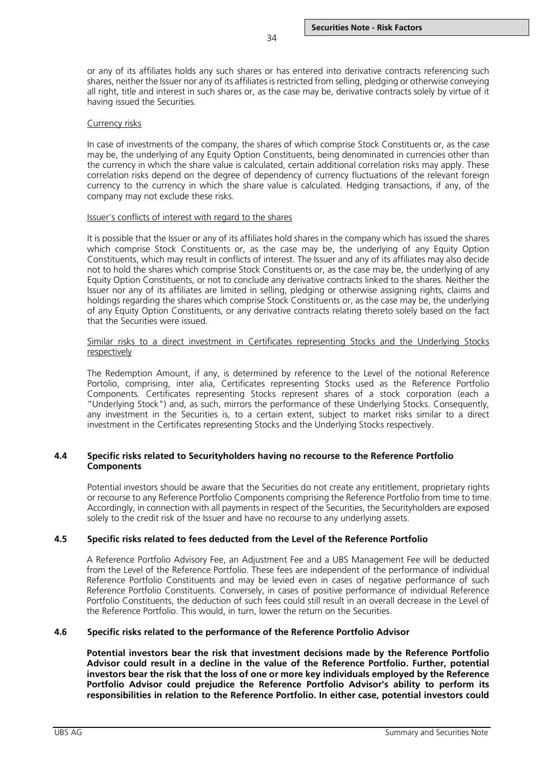or any of its affiliates holds any such shares or has entered into derivative contracts referencing such shares, neither the Issuer nor any of its affiliates is restricted from selling, pledging or otherwise conveying all right, title and interest in such shares or, as the case may be, derivative contracts solely by virtue of it having issued the Securities.

## Currency risks

In case of investments of the company, the shares of which comprise Stock Constituents or, as the case may be, the underlying of any Equity Option Constituents, being denominated in currencies other than the currency in which the share value is calculated, certain additional correlation risks may apply. These correlation risks depend on the degree of dependency of currency fluctuations of the relevant foreign currency to the currency in which the share value is calculated. Hedging transactions, if any, of the company may not exclude these risks.

#### Issuer's conflicts of interest with regard to the shares

It is possible that the Issuer or any of its affiliates hold shares in the company which has issued the shares which comprise Stock Constituents or, as the case may be, the underlying of any Equity Option Constituents, which may result in conflicts of interest. The Issuer and any of its affiliates may also decide not to hold the shares which comprise Stock Constituents or, as the case may be, the underlying of any Equity Option Constituents, or not to conclude any derivative contracts linked to the shares. Neither the Issuer nor any of its affiliates are limited in selling, pledging or otherwise assigning rights, claims and holdings regarding the shares which comprise Stock Constituents or, as the case may be, the underlying of any Equity Option Constituents, or any derivative contracts relating thereto solely based on the fact that the Securities were issued.

#### Similar risks to a direct investment in Certificates representing Stocks and the Underlying Stocks respectively

The Redemption Amount, if any, is determined by reference to the Level of the notional Reference Portolio, comprising, inter alia, Certificates representing Stocks used as the Reference Portfolio Components. Certificates representing Stocks represent shares of a stock corporation (each a "Underlying Stock") and, as such, mirrors the performance of these Underlying Stocks. Consequently, any investment in the Securities is, to a certain extent, subject to market risks similar to a direct investment in the Certificates representing Stocks and the Underlying Stocks respectively.

## <span id="page-33-0"></span>**4.4 Specific risks related to Securityholders having no recourse to the Reference Portfolio Components**

Potential investors should be aware that the Securities do not create any entitlement, proprietary rights or recourse to any Reference Portfolio Components comprising the Reference Portfolio from time to time. Accordingly, in connection with all payments in respect of the Securities, the Securityholders are exposed solely to the credit risk of the Issuer and have no recourse to any underlying assets.

### <span id="page-33-1"></span>**4.5 Specific risks related to fees deducted from the Level of the Reference Portfolio**

A Reference Portfolio Advisory Fee, an Adjustment Fee and a UBS Management Fee will be deducted from the Level of the Reference Portfolio. These fees are independent of the performance of individual Reference Portfolio Constituents and may be levied even in cases of negative performance of such Reference Portfolio Constituents. Conversely, in cases of positive performance of individual Reference Portfolio Constituents, the deduction of such fees could still result in an overall decrease in the Level of the Reference Portfolio. This would, in turn, lower the return on the Securities.

### <span id="page-33-2"></span>**4.6 Specific risks related to the performance of the Reference Portfolio Advisor**

**Potential investors bear the risk that investment decisions made by the Reference Portfolio Advisor could result in a decline in the value of the Reference Portfolio. Further, potential investors bear the risk that the loss of one or more key individuals employed by the Reference Portfolio Advisor could prejudice the Reference Portfolio Advisor's ability to perform its responsibilities in relation to the Reference Portfolio. In either case, potential investors could**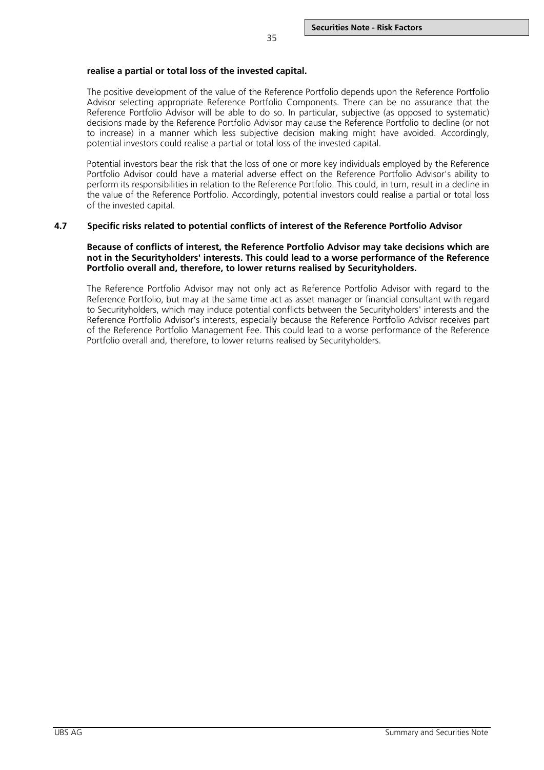## **realise a partial or total loss of the invested capital.**

The positive development of the value of the Reference Portfolio depends upon the Reference Portfolio Advisor selecting appropriate Reference Portfolio Components. There can be no assurance that the Reference Portfolio Advisor will be able to do so. In particular, subjective (as opposed to systematic) decisions made by the Reference Portfolio Advisor may cause the Reference Portfolio to decline (or not to increase) in a manner which less subjective decision making might have avoided. Accordingly, potential investors could realise a partial or total loss of the invested capital.

Potential investors bear the risk that the loss of one or more key individuals employed by the Reference Portfolio Advisor could have a material adverse effect on the Reference Portfolio Advisor's ability to perform its responsibilities in relation to the Reference Portfolio. This could, in turn, result in a decline in the value of the Reference Portfolio. Accordingly, potential investors could realise a partial or total loss of the invested capital.

## <span id="page-34-0"></span>**4.7 Specific risks related to potential conflicts of interest of the Reference Portfolio Advisor**

## **Because of conflicts of interest, the Reference Portfolio Advisor may take decisions which are not in the Securityholders' interests. This could lead to a worse performance of the Reference Portfolio overall and, therefore, to lower returns realised by Securityholders.**

The Reference Portfolio Advisor may not only act as Reference Portfolio Advisor with regard to the Reference Portfolio, but may at the same time act as asset manager or financial consultant with regard to Securityholders, which may induce potential conflicts between the Securityholders' interests and the Reference Portfolio Advisor's interests, especially because the Reference Portfolio Advisor receives part of the Reference Portfolio Management Fee. This could lead to a worse performance of the Reference Portfolio overall and, therefore, to lower returns realised by Securityholders.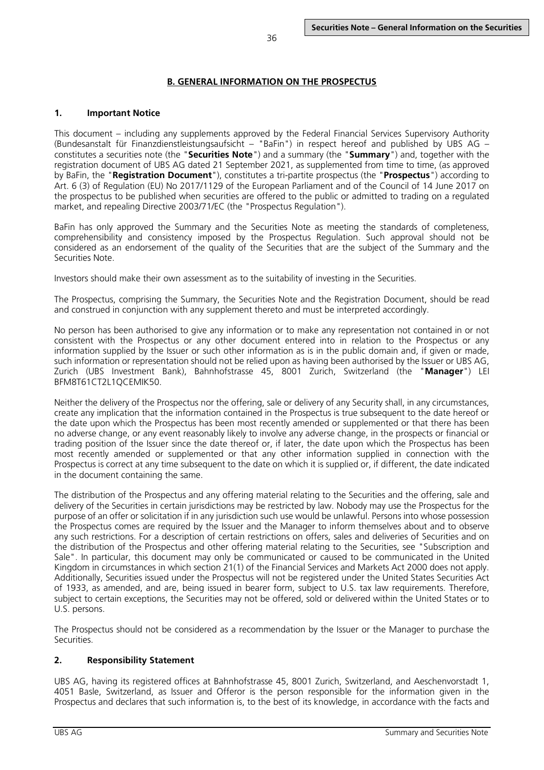# <span id="page-35-1"></span><span id="page-35-0"></span>**1. Important Notice**

This document – including any supplements approved by the Federal Financial Services Supervisory Authority (Bundesanstalt für Finanzdienstleistungsaufsicht – "BaFin") in respect hereof and published by UBS AG – constitutes a securities note (the "**Securities Note**") and a summary (the "**Summary**") and, together with the registration document of UBS AG dated 21 September 2021, as supplemented from time to time, (as approved by BaFin, the "**Registration Document**"), constitutes a tri-partite prospectus (the "**Prospectus**") according to Art. 6 (3) of Regulation (EU) No 2017/1129 of the European Parliament and of the Council of 14 June 2017 on the prospectus to be published when securities are offered to the public or admitted to trading on a regulated market, and repealing Directive 2003/71/EC (the "Prospectus Regulation").

BaFin has only approved the Summary and the Securities Note as meeting the standards of completeness, comprehensibility and consistency imposed by the Prospectus Regulation. Such approval should not be considered as an endorsement of the quality of the Securities that are the subject of the Summary and the Securities Note.

Investors should make their own assessment as to the suitability of investing in the Securities.

The Prospectus, comprising the Summary, the Securities Note and the Registration Document, should be read and construed in conjunction with any supplement thereto and must be interpreted accordingly.

No person has been authorised to give any information or to make any representation not contained in or not consistent with the Prospectus or any other document entered into in relation to the Prospectus or any information supplied by the Issuer or such other information as is in the public domain and, if given or made, such information or representation should not be relied upon as having been authorised by the Issuer or UBS AG, Zurich (UBS Investment Bank), Bahnhofstrasse 45, 8001 Zurich, Switzerland (the "**Manager**") LEI BFM8T61CT2L1QCEMIK50.

Neither the delivery of the Prospectus nor the offering, sale or delivery of any Security shall, in any circumstances, create any implication that the information contained in the Prospectus is true subsequent to the date hereof or the date upon which the Prospectus has been most recently amended or supplemented or that there has been no adverse change, or any event reasonably likely to involve any adverse change, in the prospects or financial or trading position of the Issuer since the date thereof or, if later, the date upon which the Prospectus has been most recently amended or supplemented or that any other information supplied in connection with the Prospectus is correct at any time subsequent to the date on which it is supplied or, if different, the date indicated in the document containing the same.

The distribution of the Prospectus and any offering material relating to the Securities and the offering, sale and delivery of the Securities in certain jurisdictions may be restricted by law. Nobody may use the Prospectus for the purpose of an offer or solicitation if in any jurisdiction such use would be unlawful. Persons into whose possession the Prospectus comes are required by the Issuer and the Manager to inform themselves about and to observe any such restrictions. For a description of certain restrictions on offers, sales and deliveries of Securities and on the distribution of the Prospectus and other offering material relating to the Securities, see "Subscription and Sale". In particular, this document may only be communicated or caused to be communicated in the United Kingdom in circumstances in which section 21(1) of the Financial Services and Markets Act 2000 does not apply. Additionally, Securities issued under the Prospectus will not be registered under the United States Securities Act of 1933, as amended, and are, being issued in bearer form, subject to U.S. tax law requirements. Therefore, subject to certain exceptions, the Securities may not be offered, sold or delivered within the United States or to U.S. persons.

The Prospectus should not be considered as a recommendation by the Issuer or the Manager to purchase the Securities.

# <span id="page-35-2"></span>**2. Responsibility Statement**

UBS AG, having its registered offices at Bahnhofstrasse 45, 8001 Zurich, Switzerland, and Aeschenvorstadt 1, 4051 Basle, Switzerland, as Issuer and Offeror is the person responsible for the information given in the Prospectus and declares that such information is, to the best of its knowledge, in accordance with the facts and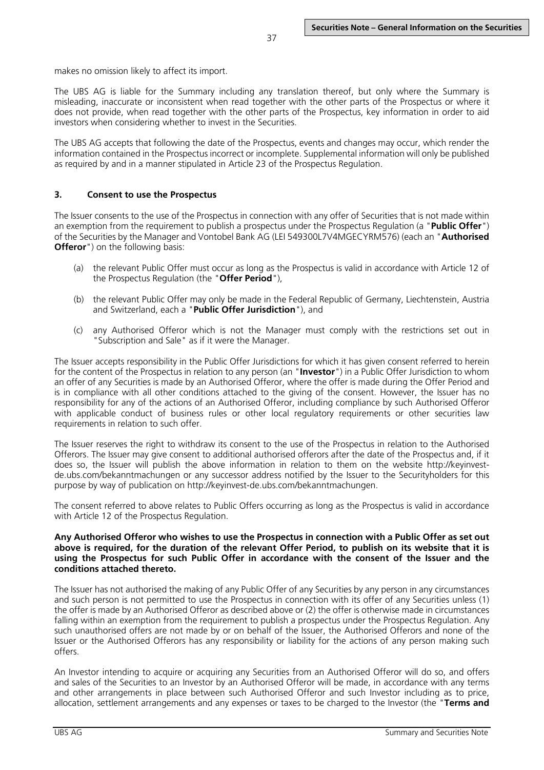makes no omission likely to affect its import.

The UBS AG is liable for the Summary including any translation thereof, but only where the Summary is misleading, inaccurate or inconsistent when read together with the other parts of the Prospectus or where it does not provide, when read together with the other parts of the Prospectus, key information in order to aid investors when considering whether to invest in the Securities.

The UBS AG accepts that following the date of the Prospectus, events and changes may occur, which render the information contained in the Prospectus incorrect or incomplete. Supplemental information will only be published as required by and in a manner stipulated in Article 23 of the Prospectus Regulation.

#### **3. Consent to use the Prospectus**

The Issuer consents to the use of the Prospectus in connection with any offer of Securities that is not made within an exemption from the requirement to publish a prospectus under the Prospectus Regulation (a "**Public Offer**") of the Securities by the Manager and Vontobel Bank AG (LEI 549300L7V4MGECYRM576) (each an "**Authorised Offeror**") on the following basis:

- (a) the relevant Public Offer must occur as long as the Prospectus is valid in accordance with Article 12 of the Prospectus Regulation (the "**Offer Period**"),
- (b) the relevant Public Offer may only be made in the Federal Republic of Germany, Liechtenstein, Austria and Switzerland, each a "**Public Offer Jurisdiction**"), and
- (c) any Authorised Offeror which is not the Manager must comply with the restrictions set out in "Subscription and Sale" as if it were the Manager.

The Issuer accepts responsibility in the Public Offer Jurisdictions for which it has given consent referred to herein for the content of the Prospectus in relation to any person (an "**Investor**") in a Public Offer Jurisdiction to whom an offer of any Securities is made by an Authorised Offeror, where the offer is made during the Offer Period and is in compliance with all other conditions attached to the giving of the consent. However, the Issuer has no responsibility for any of the actions of an Authorised Offeror, including compliance by such Authorised Offeror with applicable conduct of business rules or other local regulatory requirements or other securities law requirements in relation to such offer.

The Issuer reserves the right to withdraw its consent to the use of the Prospectus in relation to the Authorised Offerors. The Issuer may give consent to additional authorised offerors after the date of the Prospectus and, if it does so, the Issuer will publish the above information in relation to them on the website http://keyinvestde.ubs.com/bekanntmachungen or any successor address notified by the Issuer to the Securityholders for this purpose by way of publication on http://keyinvest-de.ubs.com/bekanntmachungen.

The consent referred to above relates to Public Offers occurring as long as the Prospectus is valid in accordance with Article 12 of the Prospectus Regulation.

#### **Any Authorised Offeror who wishes to use the Prospectus in connection with a Public Offer as set out above is required, for the duration of the relevant Offer Period, to publish on its website that it is using the Prospectus for such Public Offer in accordance with the consent of the Issuer and the conditions attached thereto.**

The Issuer has not authorised the making of any Public Offer of any Securities by any person in any circumstances and such person is not permitted to use the Prospectus in connection with its offer of any Securities unless (1) the offer is made by an Authorised Offeror as described above or (2) the offer is otherwise made in circumstances falling within an exemption from the requirement to publish a prospectus under the Prospectus Regulation. Any such unauthorised offers are not made by or on behalf of the Issuer, the Authorised Offerors and none of the Issuer or the Authorised Offerors has any responsibility or liability for the actions of any person making such offers.

An Investor intending to acquire or acquiring any Securities from an Authorised Offeror will do so, and offers and sales of the Securities to an Investor by an Authorised Offeror will be made, in accordance with any terms and other arrangements in place between such Authorised Offeror and such Investor including as to price, allocation, settlement arrangements and any expenses or taxes to be charged to the Investor (the "**Terms and**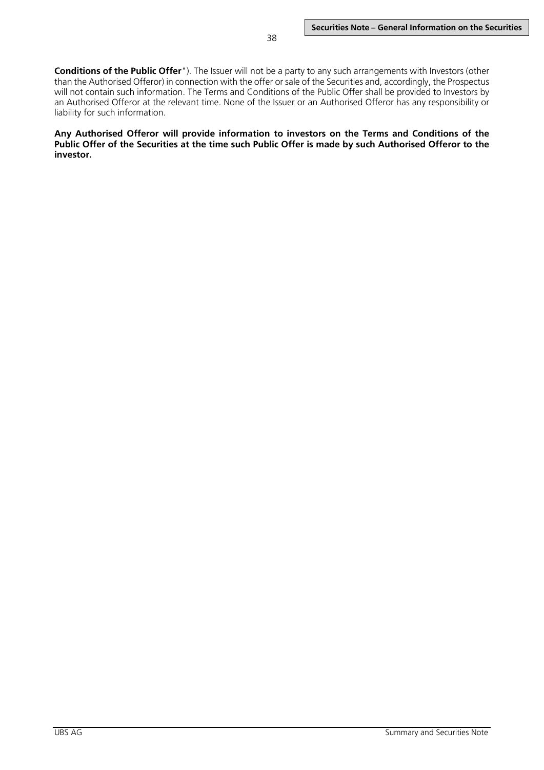**Conditions of the Public Offer**"). The Issuer will not be a party to any such arrangements with Investors (other than the Authorised Offeror) in connection with the offer or sale of the Securities and, accordingly, the Prospectus will not contain such information. The Terms and Conditions of the Public Offer shall be provided to Investors by an Authorised Offeror at the relevant time. None of the Issuer or an Authorised Offeror has any responsibility or liability for such information.

**Any Authorised Offeror will provide information to investors on the Terms and Conditions of the Public Offer of the Securities at the time such Public Offer is made by such Authorised Offeror to the investor.**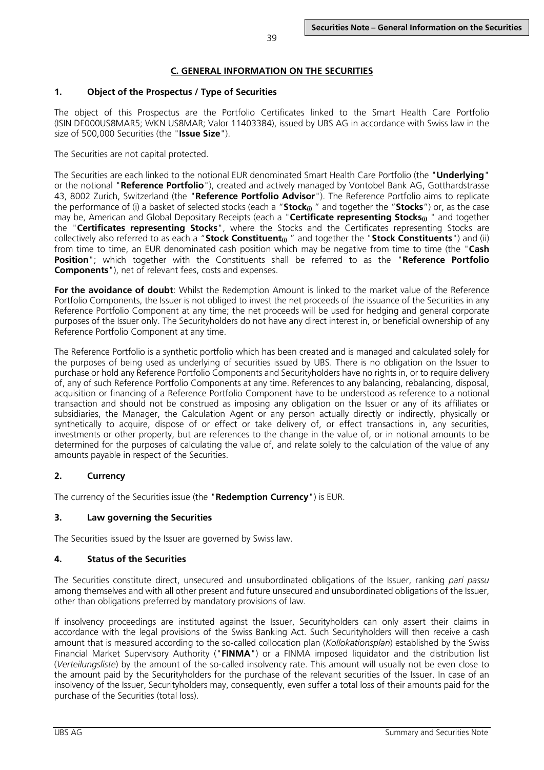# **1. Object of the Prospectus / Type of Securities**

The object of this Prospectus are the Portfolio Certificates linked to the Smart Health Care Portfolio (ISIN DE000US8MAR5; WKN US8MAR; Valor 11403384), issued by UBS AG in accordance with Swiss law in the size of 500,000 Securities (the "**Issue Size**").

The Securities are not capital protected.

The Securities are each linked to the notional EUR denominated Smart Health Care Portfolio (the "**Underlying**" or the notional "**Reference Portfolio**"), created and actively managed by Vontobel Bank AG, Gotthardstrasse 43, 8002 Zurich, Switzerland (the "**Reference Portfolio Advisor**"). The Reference Portfolio aims to replicate the performance of (i) a basket of selected stocks (each a "**Stock(i)** " and together the "**Stocks**") or, as the case may be, American and Global Depositary Receipts (each a "**Certificate representing Stocks**<sub>(i)</sub> " and together the "**Certificates representing Stocks**", where the Stocks and the Certificates representing Stocks are collectively also referred to as each a "**Stock Constituent(i)** " and together the "**Stock Constituents**") and (ii) from time to time, an EUR denominated cash position which may be negative from time to time (the "**Cash Position**"; which together with the Constituents shall be referred to as the "**Reference Portfolio Components**"), net of relevant fees, costs and expenses.

**For the avoidance of doubt**: Whilst the Redemption Amount is linked to the market value of the Reference Portfolio Components, the Issuer is not obliged to invest the net proceeds of the issuance of the Securities in any Reference Portfolio Component at any time; the net proceeds will be used for hedging and general corporate purposes of the Issuer only. The Securityholders do not have any direct interest in, or beneficial ownership of any Reference Portfolio Component at any time.

The Reference Portfolio is a synthetic portfolio which has been created and is managed and calculated solely for the purposes of being used as underlying of securities issued by UBS. There is no obligation on the Issuer to purchase or hold any Reference Portfolio Components and Securityholders have no rights in, or to require delivery of, any of such Reference Portfolio Components at any time. References to any balancing, rebalancing, disposal, acquisition or financing of a Reference Portfolio Component have to be understood as reference to a notional transaction and should not be construed as imposing any obligation on the Issuer or any of its affiliates or subsidiaries, the Manager, the Calculation Agent or any person actually directly or indirectly, physically or synthetically to acquire, dispose of or effect or take delivery of, or effect transactions in, any securities, investments or other property, but are references to the change in the value of, or in notional amounts to be determined for the purposes of calculating the value of, and relate solely to the calculation of the value of any amounts payable in respect of the Securities.

# **2. Currency**

The currency of the Securities issue (the "**Redemption Currency**") is EUR.

# **3. Law governing the Securities**

The Securities issued by the Issuer are governed by Swiss law.

# **4. Status of the Securities**

The Securities constitute direct, unsecured and unsubordinated obligations of the Issuer, ranking *pari passu* among themselves and with all other present and future unsecured and unsubordinated obligations of the Issuer, other than obligations preferred by mandatory provisions of law.

If insolvency proceedings are instituted against the Issuer, Securityholders can only assert their claims in accordance with the legal provisions of the Swiss Banking Act. Such Securityholders will then receive a cash amount that is measured according to the so-called collocation plan (*Kollokationsplan*) established by the Swiss Financial Market Supervisory Authority ("**FINMA**") or a FINMA imposed liquidator and the distribution list (*Verteilungsliste*) by the amount of the so-called insolvency rate. This amount will usually not be even close to the amount paid by the Securityholders for the purchase of the relevant securities of the Issuer. In case of an insolvency of the Issuer, Securityholders may, consequently, even suffer a total loss of their amounts paid for the purchase of the Securities (total loss).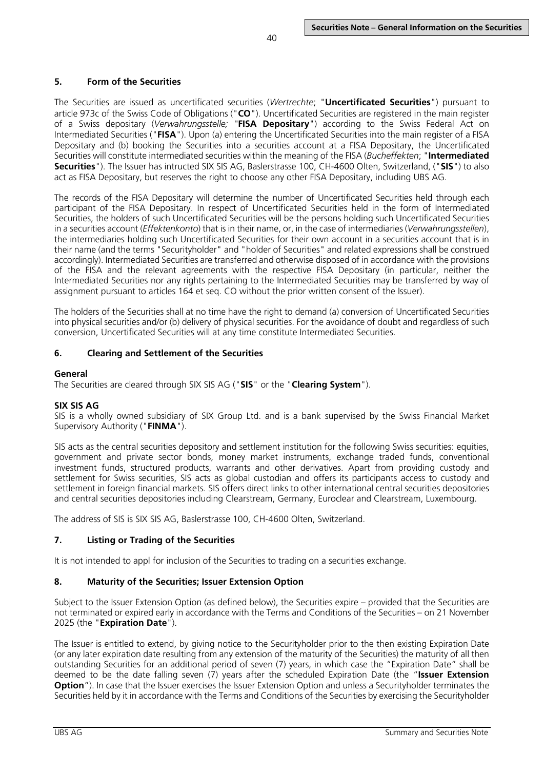# **5. Form of the Securities**

The Securities are issued as uncertificated securities (*Wertrechte*; "**Uncertificated Securities**") pursuant to article 973c of the Swiss Code of Obligations ("**CO**"). Uncertificated Securities are registered in the main register of a Swiss depositary (*Verwahrungsstelle; "***FISA Depositary**") according to the Swiss Federal Act on Intermediated Securities ("**FISA**"). Upon (a) entering the Uncertificated Securities into the main register of a FISA Depositary and (b) booking the Securities into a securities account at a FISA Depositary, the Uncertificated Securities will constitute intermediated securities within the meaning of the FISA (*Bucheffekten*; "**Intermediated Securities**"). The Issuer has intructed SIX SIS AG, Baslerstrasse 100, CH-4600 Olten, Switzerland, ("**SIS**") to also act as FISA Depositary, but reserves the right to choose any other FISA Depositary, including UBS AG.

The records of the FISA Depositary will determine the number of Uncertificated Securities held through each participant of the FISA Depositary. In respect of Uncertificated Securities held in the form of Intermediated Securities, the holders of such Uncertificated Securities will be the persons holding such Uncertificated Securities in a securities account (*Effektenkonto*) that is in their name, or, in the case of intermediaries (*Verwahrungsstellen*), the intermediaries holding such Uncertificated Securities for their own account in a securities account that is in their name (and the terms "Securityholder" and "holder of Securities" and related expressions shall be construed accordingly). Intermediated Securities are transferred and otherwise disposed of in accordance with the provisions of the FISA and the relevant agreements with the respective FISA Depositary (in particular, neither the Intermediated Securities nor any rights pertaining to the Intermediated Securities may be transferred by way of assignment pursuant to articles 164 et seq. CO without the prior written consent of the Issuer).

The holders of the Securities shall at no time have the right to demand (a) conversion of Uncertificated Securities into physical securities and/or (b) delivery of physical securities. For the avoidance of doubt and regardless of such conversion, Uncertificated Securities will at any time constitute Intermediated Securities.

# **6. Clearing and Settlement of the Securities**

## **General**

The Securities are cleared through SIX SIS AG ("**SIS**" or the "**Clearing System**").

## **SIX SIS AG**

SIS is a wholly owned subsidiary of SIX Group Ltd. and is a bank supervised by the Swiss Financial Market Supervisory Authority ("**FINMA**").

SIS acts as the central securities depository and settlement institution for the following Swiss securities: equities, government and private sector bonds, money market instruments, exchange traded funds, conventional investment funds, structured products, warrants and other derivatives. Apart from providing custody and settlement for Swiss securities, SIS acts as global custodian and offers its participants access to custody and settlement in foreign financial markets. SIS offers direct links to other international central securities depositories and central securities depositories including Clearstream, Germany, Euroclear and Clearstream, Luxembourg.

The address of SIS is SIX SIS AG, Baslerstrasse 100, CH-4600 Olten, Switzerland.

# **7. Listing or Trading of the Securities**

It is not intended to appl for inclusion of the Securities to trading on a securities exchange.

## **8. Maturity of the Securities; Issuer Extension Option**

Subject to the Issuer Extension Option (as defined below), the Securities expire – provided that the Securities are not terminated or expired early in accordance with the Terms and Conditions of the Securities – on 21 November 2025 (the "**Expiration Date**").

The Issuer is entitled to extend, by giving notice to the Securityholder prior to the then existing Expiration Date (or any later expiration date resulting from any extension of the maturity of the Securities) the maturity of all then outstanding Securities for an additional period of seven (7) years, in which case the "Expiration Date" shall be deemed to be the date falling seven (7) years after the scheduled Expiration Date (the "**Issuer Extension Option**"). In case that the Issuer exercises the Issuer Extension Option and unless a Securityholder terminates the Securities held by it in accordance with the Terms and Conditions of the Securities by exercising the Securityholder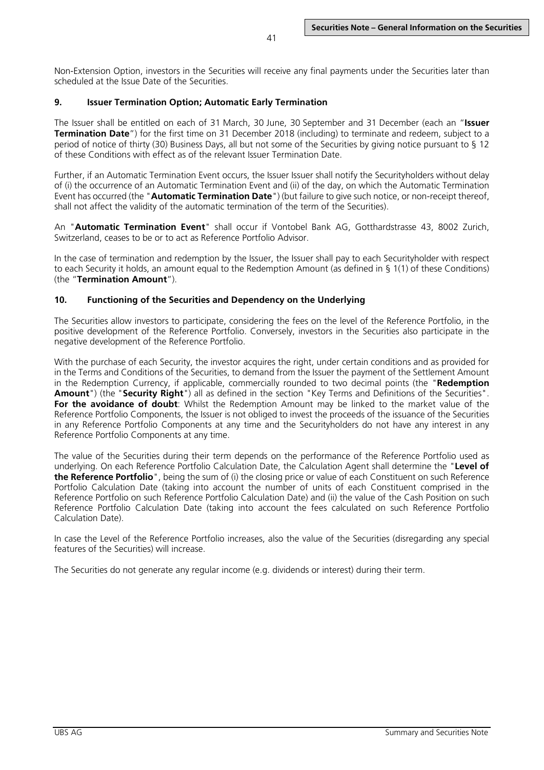Non-Extension Option, investors in the Securities will receive any final payments under the Securities later than scheduled at the Issue Date of the Securities.

41

## **9. Issuer Termination Option; Automatic Early Termination**

The Issuer shall be entitled on each of 31 March, 30 June, 30 September and 31 December (each an "**Issuer Termination Date**") for the first time on 31 December 2018 (including) to terminate and redeem, subject to a period of notice of thirty (30) Business Days, all but not some of the Securities by giving notice pursuant to § 12 of these Conditions with effect as of the relevant Issuer Termination Date.

Further, if an Automatic Termination Event occurs, the Issuer Issuer shall notify the Securityholders without delay of (i) the occurrence of an Automatic Termination Event and (ii) of the day, on which the Automatic Termination Event has occurred (the "**Automatic Termination Date**") (but failure to give such notice, or non-receipt thereof, shall not affect the validity of the automatic termination of the term of the Securities).

An "**Automatic Termination Event**" shall occur if Vontobel Bank AG, Gotthardstrasse 43, 8002 Zurich, Switzerland, ceases to be or to act as Reference Portfolio Advisor.

In the case of termination and redemption by the Issuer, the Issuer shall pay to each Securityholder with respect to each Security it holds, an amount equal to the Redemption Amount (as defined in § 1(1) of these Conditions) (the "**Termination Amount**").

## **10. Functioning of the Securities and Dependency on the Underlying**

The Securities allow investors to participate, considering the fees on the level of the Reference Portfolio, in the positive development of the Reference Portfolio. Conversely, investors in the Securities also participate in the negative development of the Reference Portfolio.

With the purchase of each Security, the investor acquires the right, under certain conditions and as provided for in the Terms and Conditions of the Securities, to demand from the Issuer the payment of the Settlement Amount in the Redemption Currency, if applicable, commercially rounded to two decimal points (the "**Redemption Amount**") (the "**Security Right**") all as defined in the section "Key Terms and Definitions of the Securities". **For the avoidance of doubt**: Whilst the Redemption Amount may be linked to the market value of the Reference Portfolio Components, the Issuer is not obliged to invest the proceeds of the issuance of the Securities in any Reference Portfolio Components at any time and the Securityholders do not have any interest in any Reference Portfolio Components at any time.

The value of the Securities during their term depends on the performance of the Reference Portfolio used as underlying. On each Reference Portfolio Calculation Date, the Calculation Agent shall determine the "**Level of the Reference Portfolio**", being the sum of (i) the closing price or value of each Constituent on such Reference Portfolio Calculation Date (taking into account the number of units of each Constituent comprised in the Reference Portfolio on such Reference Portfolio Calculation Date) and (ii) the value of the Cash Position on such Reference Portfolio Calculation Date (taking into account the fees calculated on such Reference Portfolio Calculation Date).

In case the Level of the Reference Portfolio increases, also the value of the Securities (disregarding any special features of the Securities) will increase.

The Securities do not generate any regular income (e.g. dividends or interest) during their term.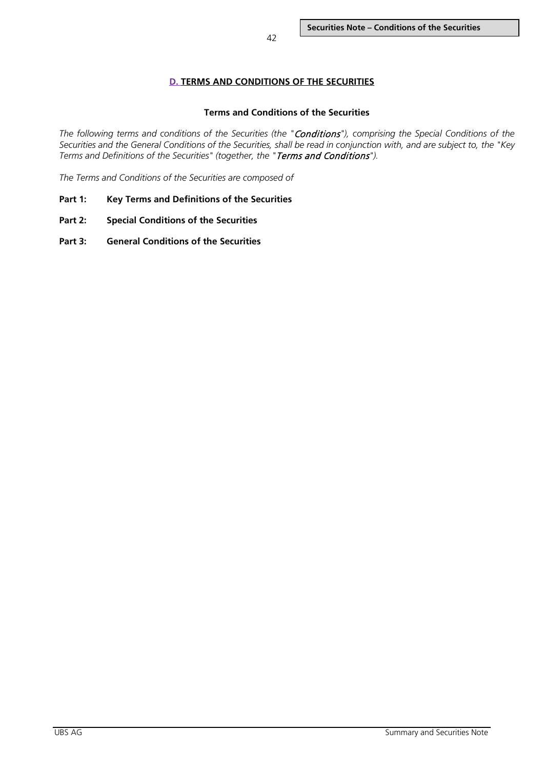# **D. TERMS AND CONDITIONS OF THE SECURITIES**

## **Terms and Conditions of the Securities**

*The following terms and conditions of the Securities (the "*Conditions*"), comprising the Special Conditions of the Securities and the General Conditions of the Securities, shall be read in conjunction with, and are subject to, the "Key Terms and Definitions of the Securities" (together, the "*Terms and Conditions*").*

*The Terms and Conditions of the Securities are composed of*

- **Part 1: Key Terms and Definitions of the Securities**
- **Part 2: Special Conditions of the Securities**
- **Part 3: General Conditions of the Securities**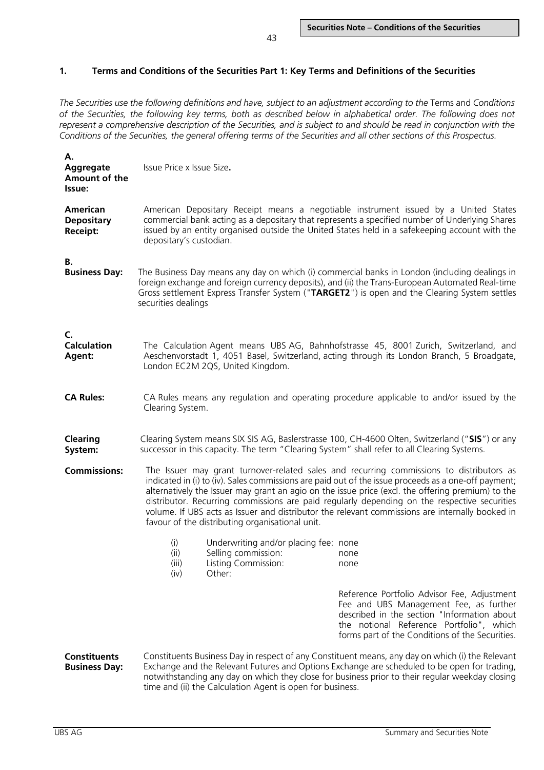## **1. Terms and Conditions of the Securities Part 1: Key Terms and Definitions of the Securities**

*The Securities use the following definitions and have, subject to an adjustment according to the* Terms and *Conditions of the Securities, the following key terms, both as described below in alphabetical order. The following does not represent a comprehensive description of the Securities, and is subject to and should be read in conjunction with the Conditions of the Securities, the general offering terms of the Securities and all other sections of this Prospectus.* 

| А.<br>Aggregate<br>Amount of the<br>Issue:              | Issue Price x Issue Size.                                                                                                                                                                                                                                                                                                                                                                                                                                                                                                                                   |                                                                                                                                                                                               |                                                                                                                                                                                                                                     |  |  |  |
|---------------------------------------------------------|-------------------------------------------------------------------------------------------------------------------------------------------------------------------------------------------------------------------------------------------------------------------------------------------------------------------------------------------------------------------------------------------------------------------------------------------------------------------------------------------------------------------------------------------------------------|-----------------------------------------------------------------------------------------------------------------------------------------------------------------------------------------------|-------------------------------------------------------------------------------------------------------------------------------------------------------------------------------------------------------------------------------------|--|--|--|
| <b>American</b><br><b>Depositary</b><br><b>Receipt:</b> | American Depositary Receipt means a negotiable instrument issued by a United States<br>commercial bank acting as a depositary that represents a specified number of Underlying Shares<br>issued by an entity organised outside the United States held in a safekeeping account with the<br>depositary's custodian.                                                                                                                                                                                                                                          |                                                                                                                                                                                               |                                                                                                                                                                                                                                     |  |  |  |
| В.<br><b>Business Day:</b>                              | The Business Day means any day on which (i) commercial banks in London (including dealings in<br>foreign exchange and foreign currency deposits), and (ii) the Trans-European Automated Real-time<br>Gross settlement Express Transfer System ("TARGET2") is open and the Clearing System settles<br>securities dealings                                                                                                                                                                                                                                    |                                                                                                                                                                                               |                                                                                                                                                                                                                                     |  |  |  |
| C.<br><b>Calculation</b><br>Agent:                      | The Calculation Agent means UBS AG, Bahnhofstrasse 45, 8001 Zurich, Switzerland, and<br>Aeschenvorstadt 1, 4051 Basel, Switzerland, acting through its London Branch, 5 Broadgate,<br>London EC2M 2QS, United Kingdom.                                                                                                                                                                                                                                                                                                                                      |                                                                                                                                                                                               |                                                                                                                                                                                                                                     |  |  |  |
| <b>CA Rules:</b>                                        |                                                                                                                                                                                                                                                                                                                                                                                                                                                                                                                                                             | CA Rules means any regulation and operating procedure applicable to and/or issued by the<br>Clearing System.                                                                                  |                                                                                                                                                                                                                                     |  |  |  |
| <b>Clearing</b><br>System:                              |                                                                                                                                                                                                                                                                                                                                                                                                                                                                                                                                                             | Clearing System means SIX SIS AG, Baslerstrasse 100, CH-4600 Olten, Switzerland ("SIS") or any<br>successor in this capacity. The term "Clearing System" shall refer to all Clearing Systems. |                                                                                                                                                                                                                                     |  |  |  |
| <b>Commissions:</b>                                     | The Issuer may grant turnover-related sales and recurring commissions to distributors as<br>indicated in (i) to (iv). Sales commissions are paid out of the issue proceeds as a one-off payment;<br>alternatively the Issuer may grant an agio on the issue price (excl. the offering premium) to the<br>distributor. Recurring commissions are paid regularly depending on the respective securities<br>volume. If UBS acts as Issuer and distributor the relevant commissions are internally booked in<br>favour of the distributing organisational unit. |                                                                                                                                                                                               |                                                                                                                                                                                                                                     |  |  |  |
|                                                         | (i)<br>(ii)<br>(iii)<br>(iv)                                                                                                                                                                                                                                                                                                                                                                                                                                                                                                                                | Underwriting and/or placing fee: none<br>Selling commission:<br>Listing Commission:<br>Other:                                                                                                 | none<br>none                                                                                                                                                                                                                        |  |  |  |
|                                                         |                                                                                                                                                                                                                                                                                                                                                                                                                                                                                                                                                             |                                                                                                                                                                                               | Reference Portfolio Advisor Fee, Adjustment<br>Fee and UBS Management Fee, as further<br>described in the section "Information about<br>the notional Reference Portfolio", which<br>forms part of the Conditions of the Securities. |  |  |  |
| <b>Constituents</b><br><b>Business Day:</b>             | Constituents Business Day in respect of any Constituent means, any day on which (i) the Relevant<br>Exchange and the Relevant Futures and Options Exchange are scheduled to be open for trading,<br>notwithstanding any day on which they close for business prior to their regular weekday closing<br>time and (ii) the Calculation Agent is open for business.                                                                                                                                                                                            |                                                                                                                                                                                               |                                                                                                                                                                                                                                     |  |  |  |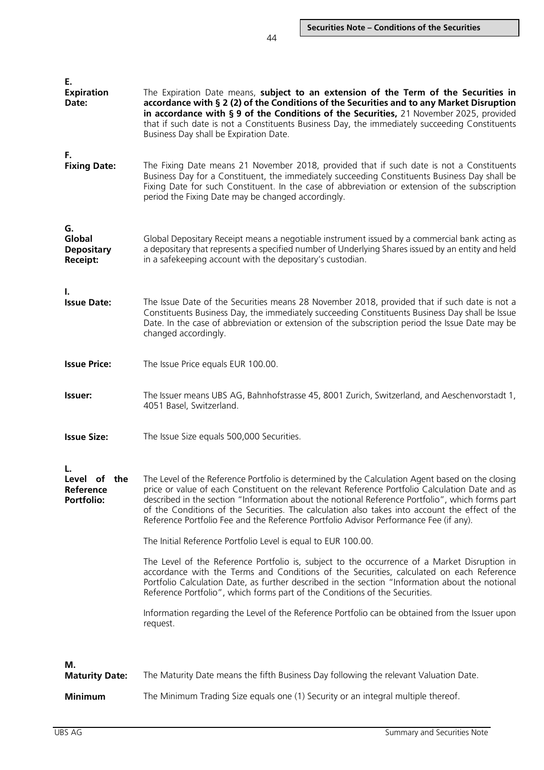| Е.<br><b>Expiration</b><br>Date:                     | The Expiration Date means, subject to an extension of the Term of the Securities in<br>accordance with § 2 (2) of the Conditions of the Securities and to any Market Disruption<br>in accordance with § 9 of the Conditions of the Securities, 21 November 2025, provided<br>that if such date is not a Constituents Business Day, the immediately succeeding Constituents<br>Business Day shall be Expiration Date.                                                                                                                                                                                                                                              |
|------------------------------------------------------|-------------------------------------------------------------------------------------------------------------------------------------------------------------------------------------------------------------------------------------------------------------------------------------------------------------------------------------------------------------------------------------------------------------------------------------------------------------------------------------------------------------------------------------------------------------------------------------------------------------------------------------------------------------------|
| F.<br><b>Fixing Date:</b>                            | The Fixing Date means 21 November 2018, provided that if such date is not a Constituents<br>Business Day for a Constituent, the immediately succeeding Constituents Business Day shall be<br>Fixing Date for such Constituent. In the case of abbreviation or extension of the subscription<br>period the Fixing Date may be changed accordingly.                                                                                                                                                                                                                                                                                                                 |
| G.<br>Global<br><b>Depositary</b><br><b>Receipt:</b> | Global Depositary Receipt means a negotiable instrument issued by a commercial bank acting as<br>a depositary that represents a specified number of Underlying Shares issued by an entity and held<br>in a safekeeping account with the depositary's custodian.                                                                                                                                                                                                                                                                                                                                                                                                   |
| ı.<br><b>Issue Date:</b>                             | The Issue Date of the Securities means 28 November 2018, provided that if such date is not a<br>Constituents Business Day, the immediately succeeding Constituents Business Day shall be Issue<br>Date. In the case of abbreviation or extension of the subscription period the Issue Date may be<br>changed accordingly.                                                                                                                                                                                                                                                                                                                                         |
| <b>Issue Price:</b>                                  | The Issue Price equals EUR 100.00.                                                                                                                                                                                                                                                                                                                                                                                                                                                                                                                                                                                                                                |
| Issuer:                                              | The Issuer means UBS AG, Bahnhofstrasse 45, 8001 Zurich, Switzerland, and Aeschenvorstadt 1,<br>4051 Basel, Switzerland.                                                                                                                                                                                                                                                                                                                                                                                                                                                                                                                                          |
| <b>Issue Size:</b>                                   | The Issue Size equals 500,000 Securities.                                                                                                                                                                                                                                                                                                                                                                                                                                                                                                                                                                                                                         |
| Level of the<br>Reference<br><b>Portfolio:</b>       | The Level of the Reference Portfolio is determined by the Calculation Agent based on the closing<br>price or value of each Constituent on the relevant Reference Portfolio Calculation Date and as<br>described in the section "Information about the notional Reference Portfolio", which forms part<br>of the Conditions of the Securities. The calculation also takes into account the effect of the<br>Reference Portfolio Fee and the Reference Portfolio Advisor Performance Fee (if any).<br>The Initial Reference Portfolio Level is equal to EUR 100.00.<br>The Level of the Reference Portfolio is, subject to the occurrence of a Market Disruption in |
|                                                      | accordance with the Terms and Conditions of the Securities, calculated on each Reference<br>Portfolio Calculation Date, as further described in the section "Information about the notional<br>Reference Portfolio", which forms part of the Conditions of the Securities.                                                                                                                                                                                                                                                                                                                                                                                        |
|                                                      | Information regarding the Level of the Reference Portfolio can be obtained from the Issuer upon<br>request.                                                                                                                                                                                                                                                                                                                                                                                                                                                                                                                                                       |
| М.<br><b>Maturity Date:</b>                          | The Maturity Date means the fifth Business Day following the relevant Valuation Date.                                                                                                                                                                                                                                                                                                                                                                                                                                                                                                                                                                             |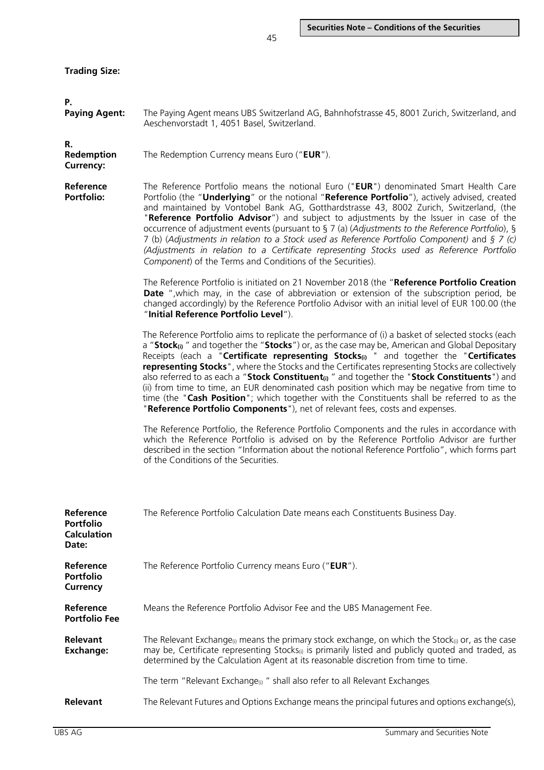| <b>Trading Size:</b> |  |
|----------------------|--|
|----------------------|--|

| Р.<br><b>Paying Agent:</b>                                   | The Paying Agent means UBS Switzerland AG, Bahnhofstrasse 45, 8001 Zurich, Switzerland, and<br>Aeschenvorstadt 1, 4051 Basel, Switzerland.                                                                                                                                                                                                                                                                                                                                                                                                                                                                                                                                                                                                                                                                          |  |  |  |  |
|--------------------------------------------------------------|---------------------------------------------------------------------------------------------------------------------------------------------------------------------------------------------------------------------------------------------------------------------------------------------------------------------------------------------------------------------------------------------------------------------------------------------------------------------------------------------------------------------------------------------------------------------------------------------------------------------------------------------------------------------------------------------------------------------------------------------------------------------------------------------------------------------|--|--|--|--|
| R.<br>Redemption<br><b>Currency:</b>                         | The Redemption Currency means Euro ("EUR").                                                                                                                                                                                                                                                                                                                                                                                                                                                                                                                                                                                                                                                                                                                                                                         |  |  |  |  |
| Reference<br><b>Portfolio:</b>                               | The Reference Portfolio means the notional Euro ("EUR") denominated Smart Health Care<br>Portfolio (the "Underlying" or the notional "Reference Portfolio"), actively advised, created<br>and maintained by Vontobel Bank AG, Gotthardstrasse 43, 8002 Zurich, Switzerland, (the<br>"Reference Portfolio Advisor") and subject to adjustments by the Issuer in case of the<br>occurrence of adjustment events (pursuant to § 7 (a) (Adjustments to the Reference Portfolio), §<br>7 (b) (Adjustments in relation to a Stock used as Reference Portfolio Component) and $\S 7$ (c)<br>(Adjustments in relation to a Certificate representing Stocks used as Reference Portfolio<br>Component) of the Terms and Conditions of the Securities).                                                                        |  |  |  |  |
|                                                              | The Reference Portfolio is initiated on 21 November 2018 (the "Reference Portfolio Creation<br><b>Date</b> ", which may, in the case of abbreviation or extension of the subscription period, be<br>changed accordingly) by the Reference Portfolio Advisor with an initial level of EUR 100.00 (the<br>"Initial Reference Portfolio Level").                                                                                                                                                                                                                                                                                                                                                                                                                                                                       |  |  |  |  |
|                                                              | The Reference Portfolio aims to replicate the performance of (i) a basket of selected stocks (each<br>a "Stock <sub>0</sub> " and together the "Stocks") or, as the case may be, American and Global Depositary<br>Receipts (each a "Certificate representing Stocks <sub>(i)</sub> " and together the "Certificates<br>representing Stocks", where the Stocks and the Certificates representing Stocks are collectively<br>also referred to as each a "Stock Constituent <sub>(i)</sub> " and together the "Stock Constituents") and<br>(ii) from time to time, an EUR denominated cash position which may be negative from time to<br>time (the "Cash Position"; which together with the Constituents shall be referred to as the<br>"Reference Portfolio Components"), net of relevant fees, costs and expenses. |  |  |  |  |
|                                                              | The Reference Portfolio, the Reference Portfolio Components and the rules in accordance with<br>which the Reference Portfolio is advised on by the Reference Portfolio Advisor are further<br>described in the section "Information about the notional Reference Portfolio", which forms part<br>of the Conditions of the Securities.                                                                                                                                                                                                                                                                                                                                                                                                                                                                               |  |  |  |  |
| Reference<br><b>Portfolio</b><br><b>Calculation</b><br>Date: | The Reference Portfolio Calculation Date means each Constituents Business Day.                                                                                                                                                                                                                                                                                                                                                                                                                                                                                                                                                                                                                                                                                                                                      |  |  |  |  |
| Reference<br><b>Portfolio</b><br><b>Currency</b>             | The Reference Portfolio Currency means Euro ("EUR").                                                                                                                                                                                                                                                                                                                                                                                                                                                                                                                                                                                                                                                                                                                                                                |  |  |  |  |
| Reference<br><b>Portfolio Fee</b>                            | Means the Reference Portfolio Advisor Fee and the UBS Management Fee.                                                                                                                                                                                                                                                                                                                                                                                                                                                                                                                                                                                                                                                                                                                                               |  |  |  |  |
| Relevant<br><b>Exchange:</b>                                 | The Relevant Exchange <sub>(i)</sub> means the primary stock exchange, on which the Stock <sub>(i)</sub> or, as the case<br>may be, Certificate representing Stocks <sub>(i)</sub> is primarily listed and publicly quoted and traded, as<br>determined by the Calculation Agent at its reasonable discretion from time to time.                                                                                                                                                                                                                                                                                                                                                                                                                                                                                    |  |  |  |  |
|                                                              | The term "Relevant Exchange <sub>(i)</sub> " shall also refer to all Relevant Exchanges                                                                                                                                                                                                                                                                                                                                                                                                                                                                                                                                                                                                                                                                                                                             |  |  |  |  |
| Relevant                                                     | The Relevant Futures and Options Exchange means the principal futures and options exchange(s),                                                                                                                                                                                                                                                                                                                                                                                                                                                                                                                                                                                                                                                                                                                      |  |  |  |  |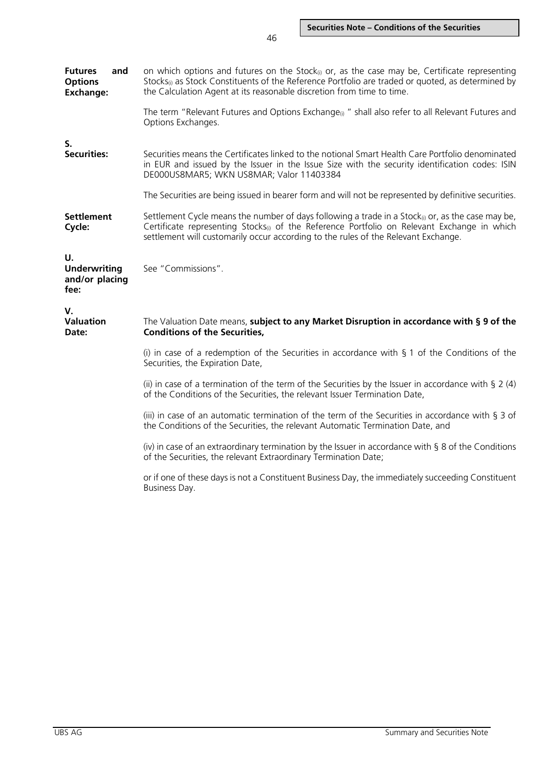**Futures and Options Exchange:** on which options and futures on the Stock<sub>(i)</sub> or, as the case may be, Certificate representing Stocks $<sub>0</sub>$  as Stock Constituents of the Reference Portfolio are traded or quoted, as determined by</sub> the Calculation Agent at its reasonable discretion from time to time. The term "Relevant Futures and Options Exchange $_{0}$ " shall also refer to all Relevant Futures and Options Exchanges. **S. Securities:** Securities means the Certificates linked to the notional Smart Health Care Portfolio denominated in EUR and issued by the Issuer in the Issue Size with the security identification codes: ISIN DE000US8MAR5; WKN US8MAR; Valor 11403384 The Securities are being issued in bearer form and will not be represented by definitive securities. **Settlement Cycle:** Settlement Cycle means the number of days following a trade in a Stock $_{0}$  or, as the case may be, Certificate representing Stocks<sub>(i)</sub> of the Reference Portfolio on Relevant Exchange in which settlement will customarily occur according to the rules of the Relevant Exchange. **U. Underwriting and/or placing fee:** See "Commissions". **V. Valuation Date:** The Valuation Date means, **subject to any Market Disruption in accordance with § 9 of the Conditions of the Securities,** (i) in case of a redemption of the Securities in accordance with  $\S$  1 of the Conditions of the Securities, the Expiration Date, (ii) in case of a termination of the term of the Securities by the Issuer in accordance with  $\S 2(4)$ of the Conditions of the Securities, the relevant Issuer Termination Date, (iii) in case of an automatic termination of the term of the Securities in accordance with § 3 of the Conditions of the Securities, the relevant Automatic Termination Date, and (iv) in case of an extraordinary termination by the Issuer in accordance with § 8 of the Conditions of the Securities, the relevant Extraordinary Termination Date; or if one of these days is not a Constituent Business Day, the immediately succeeding Constituent Business Day.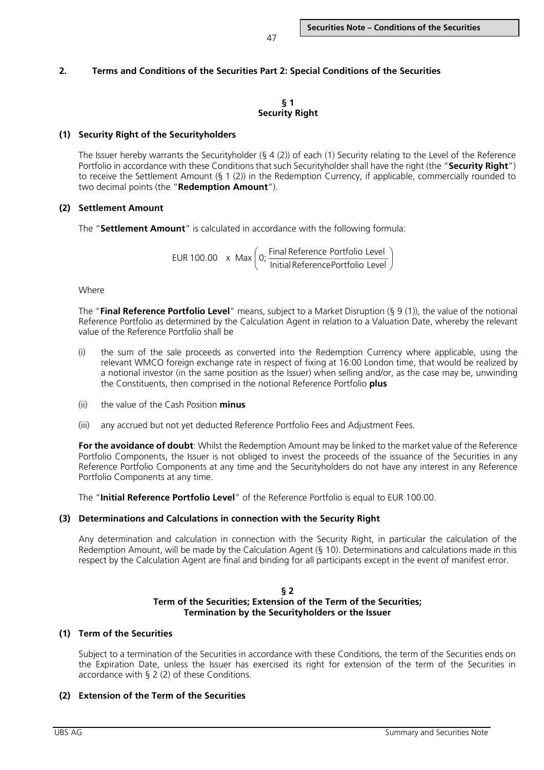# **2. Terms and Conditions of the Securities Part 2: Special Conditions of the Securities**

## **§ 1 Security Right**

# **(1) Security Right of the Securityholders**

The Issuer hereby warrants the Securityholder ( $\S 4$  (2)) of each (1) Security relating to the Level of the Reference Portfolio in accordance with these Conditions that such Securityholder shall have the right (the "**Security Right**") to receive the Settlement Amount (§ 1 (2)) in the Redemption Currency, if applicable, commercially rounded to two decimal points (the "**Redemption Amount**").

# **(2) Settlement Amount**

The "**Settlement Amount**" is calculated in accordance with the following formula:

 $EUR 100.00 x Max (o;  $\frac{Final \, Reference \, Portfolio \, Level}{Initial \, Reference \, Portfolio \, Level})$$  $\bigg)$  $\Big($  0;  $\frac{\text{Final Reference Portfolio Level}}{\text{TotalING}} \Big)$  $\overline{\phantom{0}}$ ſ

Where

The "**Final Reference Portfolio Level**" means, subject to a Market Disruption (§ 9 (1)), the value of the notional Reference Portfolio as determined by the Calculation Agent in relation to a Valuation Date, whereby the relevant value of the Reference Portfolio shall be

- (i) the sum of the sale proceeds as converted into the Redemption Currency where applicable, using the relevant WMCO foreign exchange rate in respect of fixing at 16:00 London time, that would be realized by a notional investor (in the same position as the Issuer) when selling and/or, as the case may be, unwinding the Constituents, then comprised in the notional Reference Portfolio **plus**
- (ii) the value of the Cash Position **minus**
- (iii) any accrued but not yet deducted Reference Portfolio Fees and Adjustment Fees.

**For the avoidance of doubt**: Whilst the Redemption Amount may be linked to the market value of the Reference Portfolio Components, the Issuer is not obliged to invest the proceeds of the issuance of the Securities in any Reference Portfolio Components at any time and the Securityholders do not have any interest in any Reference Portfolio Components at any time.

The "**Initial Reference Portfolio Level**" of the Reference Portfolio is equal to EUR 100.00.

# **(3) Determinations and Calculations in connection with the Security Right**

Any determination and calculation in connection with the Security Right, in particular the calculation of the Redemption Amount, will be made by the Calculation Agent (§ 10). Determinations and calculations made in this respect by the Calculation Agent are final and binding for all participants except in the event of manifest error.

#### **§ 2 Term of the Securities; Extension of the Term of the Securities; Termination by the Securityholders or the Issuer**

## **(1) Term of the Securities**

Subject to a termination of the Securities in accordance with these Conditions, the term of the Securities ends on the Expiration Date, unless the Issuer has exercised its right for extension of the term of the Securities in accordance with § 2 (2) of these Conditions.

# **(2) Extension of the Term of the Securities**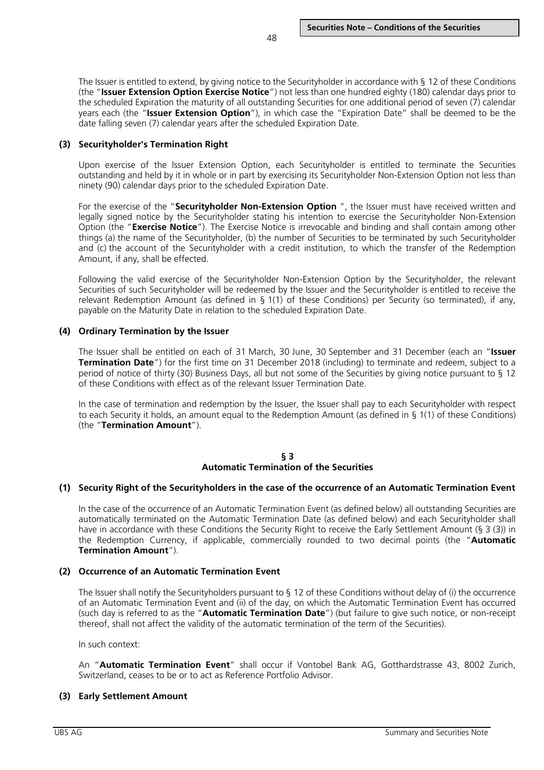The Issuer is entitled to extend, by giving notice to the Securityholder in accordance with § 12 of these Conditions (the "**Issuer Extension Option Exercise Notice**") not less than one hundred eighty (180) calendar days prior to the scheduled Expiration the maturity of all outstanding Securities for one additional period of seven (7) calendar years each (the "**Issuer Extension Option**"), in which case the "Expiration Date" shall be deemed to be the date falling seven (7) calendar years after the scheduled Expiration Date.

# **(3) Securityholder's Termination Right**

Upon exercise of the Issuer Extension Option, each Securityholder is entitled to terminate the Securities outstanding and held by it in whole or in part by exercising its Securityholder Non-Extension Option not less than ninety (90) calendar days prior to the scheduled Expiration Date.

For the exercise of the "**Securityholder Non-Extension Option** ", the Issuer must have received written and legally signed notice by the Securityholder stating his intention to exercise the Securityholder Non-Extension Option (the "**Exercise Notice**"). The Exercise Notice is irrevocable and binding and shall contain among other things (a) the name of the Securityholder, (b) the number of Securities to be terminated by such Securityholder and (c) the account of the Securityholder with a credit institution, to which the transfer of the Redemption Amount, if any, shall be effected.

Following the valid exercise of the Securityholder Non-Extension Option by the Securityholder, the relevant Securities of such Securityholder will be redeemed by the Issuer and the Securityholder is entitled to receive the relevant Redemption Amount (as defined in § 1(1) of these Conditions) per Security (so terminated), if any, payable on the Maturity Date in relation to the scheduled Expiration Date.

# **(4) Ordinary Termination by the Issuer**

The Issuer shall be entitled on each of 31 March, 30 June, 30 September and 31 December (each an "**Issuer Termination Date**") for the first time on 31 December 2018 (including) to terminate and redeem, subject to a period of notice of thirty (30) Business Days, all but not some of the Securities by giving notice pursuant to § 12 of these Conditions with effect as of the relevant Issuer Termination Date.

In the case of termination and redemption by the Issuer, the Issuer shall pay to each Securityholder with respect to each Security it holds, an amount equal to the Redemption Amount (as defined in § 1(1) of these Conditions) (the "**Termination Amount**").

# **§ 3 Automatic Termination of the Securities**

# **(1) Security Right of the Securityholders in the case of the occurrence of an Automatic Termination Event**

In the case of the occurrence of an Automatic Termination Event (as defined below) all outstanding Securities are automatically terminated on the Automatic Termination Date (as defined below) and each Securityholder shall have in accordance with these Conditions the Security Right to receive the Early Settlement Amount (§ 3 (3)) in the Redemption Currency, if applicable, commercially rounded to two decimal points (the "**Automatic Termination Amount**").

# **(2) Occurrence of an Automatic Termination Event**

The Issuer shall notify the Securityholders pursuant to § 12 of these Conditions without delay of (i) the occurrence of an Automatic Termination Event and (ii) of the day, on which the Automatic Termination Event has occurred (such day is referred to as the "**Automatic Termination Date**") (but failure to give such notice, or non-receipt thereof, shall not affect the validity of the automatic termination of the term of the Securities).

In such context:

An "**Automatic Termination Event**" shall occur if Vontobel Bank AG, Gotthardstrasse 43, 8002 Zurich, Switzerland, ceases to be or to act as Reference Portfolio Advisor.

# **(3) Early Settlement Amount**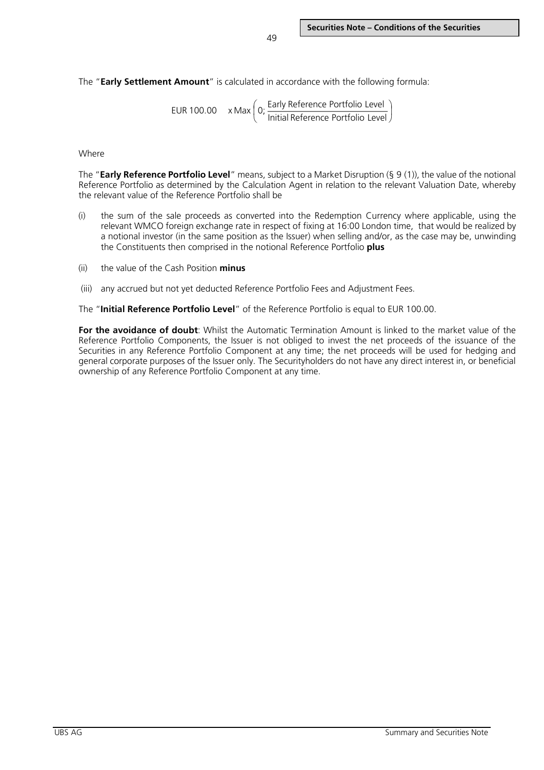The "**Early Settlement Amount**" is calculated in accordance with the following formula:

EUR 100.00 
$$
x \text{ Max} \left( 0; \frac{\text{Early Reference Portfolio Level}}{\text{Initial Reference Portfolio Level}} \right)
$$

#### Where

The "**Early Reference Portfolio Level**" means, subject to a Market Disruption (§ 9 (1)), the value of the notional Reference Portfolio as determined by the Calculation Agent in relation to the relevant Valuation Date, whereby the relevant value of the Reference Portfolio shall be

- (i) the sum of the sale proceeds as converted into the Redemption Currency where applicable, using the relevant WMCO foreign exchange rate in respect of fixing at 16:00 London time, that would be realized by a notional investor (in the same position as the Issuer) when selling and/or, as the case may be, unwinding the Constituents then comprised in the notional Reference Portfolio **plus**
- (ii) the value of the Cash Position **minus**
- (iii) any accrued but not yet deducted Reference Portfolio Fees and Adjustment Fees.

The "**Initial Reference Portfolio Level**" of the Reference Portfolio is equal to EUR 100.00.

**For the avoidance of doubt**: Whilst the Automatic Termination Amount is linked to the market value of the Reference Portfolio Components, the Issuer is not obliged to invest the net proceeds of the issuance of the Securities in any Reference Portfolio Component at any time; the net proceeds will be used for hedging and general corporate purposes of the Issuer only. The Securityholders do not have any direct interest in, or beneficial ownership of any Reference Portfolio Component at any time.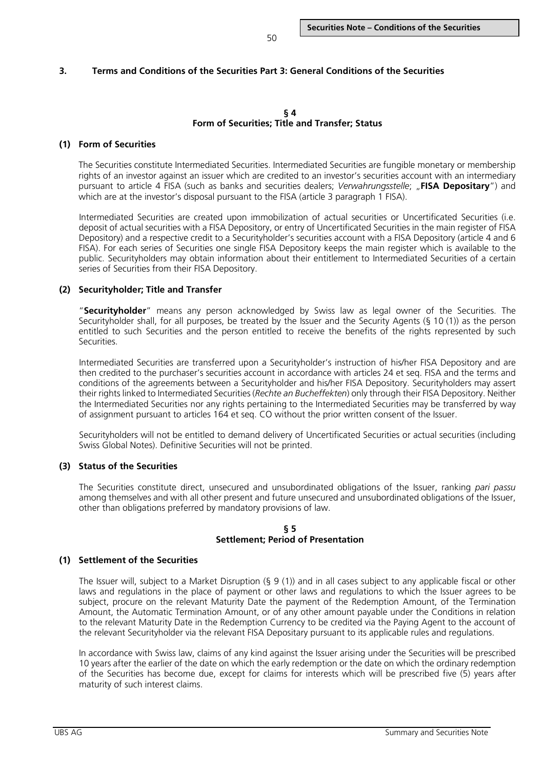## **3. Terms and Conditions of the Securities Part 3: General Conditions of the Securities**

#### **§ 4 Form of Securities; Title and Transfer; Status**

#### **(1) Form of Securities**

The Securities constitute Intermediated Securities. Intermediated Securities are fungible monetary or membership rights of an investor against an issuer which are credited to an investor's securities account with an intermediary pursuant to article 4 FISA (such as banks and securities dealers; *Verwahrungsstelle*; "**FISA Depositary**") and which are at the investor's disposal pursuant to the FISA (article 3 paragraph 1 FISA).

Intermediated Securities are created upon immobilization of actual securities or Uncertificated Securities (i.e. deposit of actual securities with a FISA Depository, or entry of Uncertificated Securities in the main register of FISA Depository) and a respective credit to a Securityholder's securities account with a FISA Depository (article 4 and 6 FISA). For each series of Securities one single FISA Depository keeps the main register which is available to the public. Securityholders may obtain information about their entitlement to Intermediated Securities of a certain series of Securities from their FISA Depository.

#### **(2) Securityholder; Title and Transfer**

"**Securityholder**" means any person acknowledged by Swiss law as legal owner of the Securities. The Securityholder shall, for all purposes, be treated by the Issuer and the Security Agents (§ 10 (1)) as the person entitled to such Securities and the person entitled to receive the benefits of the rights represented by such Securities.

Intermediated Securities are transferred upon a Securityholder's instruction of his/her FISA Depository and are then credited to the purchaser's securities account in accordance with articles 24 et seq. FISA and the terms and conditions of the agreements between a Securityholder and his/her FISA Depository. Securityholders may assert their rights linked to Intermediated Securities (*Rechte an Bucheffekten*) only through their FISA Depository. Neither the Intermediated Securities nor any rights pertaining to the Intermediated Securities may be transferred by way of assignment pursuant to articles 164 et seq. CO without the prior written consent of the Issuer.

Securityholders will not be entitled to demand delivery of Uncertificated Securities or actual securities (including Swiss Global Notes). Definitive Securities will not be printed.

#### **(3) Status of the Securities**

The Securities constitute direct, unsecured and unsubordinated obligations of the Issuer, ranking *pari passu* among themselves and with all other present and future unsecured and unsubordinated obligations of the Issuer, other than obligations preferred by mandatory provisions of law.

#### **§ 5 Settlement; Period of Presentation**

#### **(1) Settlement of the Securities**

The Issuer will, subject to a Market Disruption (§ 9 (1)) and in all cases subject to any applicable fiscal or other laws and regulations in the place of payment or other laws and regulations to which the Issuer agrees to be subject, procure on the relevant Maturity Date the payment of the Redemption Amount, of the Termination Amount, the Automatic Termination Amount, or of any other amount payable under the Conditions in relation to the relevant Maturity Date in the Redemption Currency to be credited via the Paying Agent to the account of the relevant Securityholder via the relevant FISA Depositary pursuant to its applicable rules and regulations.

In accordance with Swiss law, claims of any kind against the Issuer arising under the Securities will be prescribed 10 years after the earlier of the date on which the early redemption or the date on which the ordinary redemption of the Securities has become due, except for claims for interests which will be prescribed five (5) years after maturity of such interest claims.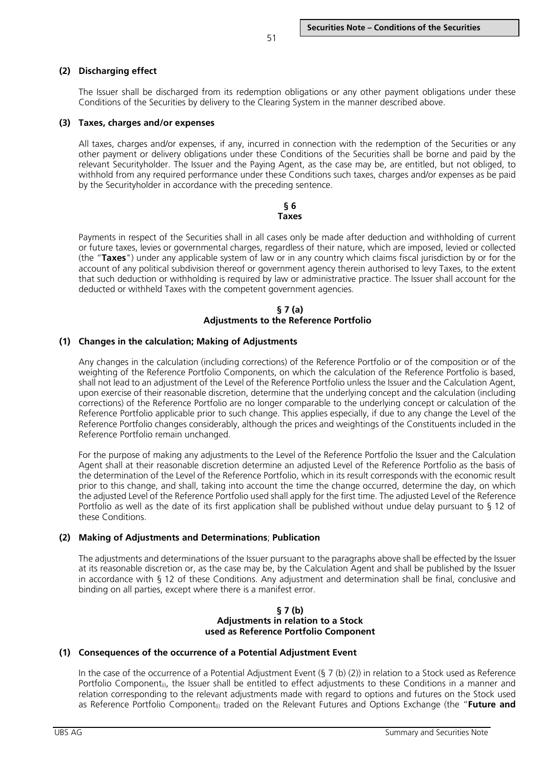## **(2) Discharging effect**

The Issuer shall be discharged from its redemption obligations or any other payment obligations under these Conditions of the Securities by delivery to the Clearing System in the manner described above.

#### **(3) Taxes, charges and/or expenses**

All taxes, charges and/or expenses, if any, incurred in connection with the redemption of the Securities or any other payment or delivery obligations under these Conditions of the Securities shall be borne and paid by the relevant Securityholder. The Issuer and the Paying Agent, as the case may be, are entitled, but not obliged, to withhold from any required performance under these Conditions such taxes, charges and/or expenses as be paid by the Securityholder in accordance with the preceding sentence.

> **§ 6 Taxes**

Payments in respect of the Securities shall in all cases only be made after deduction and withholding of current or future taxes, levies or governmental charges, regardless of their nature, which are imposed, levied or collected (the "**Taxes**") under any applicable system of law or in any country which claims fiscal jurisdiction by or for the account of any political subdivision thereof or government agency therein authorised to levy Taxes, to the extent that such deduction or withholding is required by law or administrative practice. The Issuer shall account for the deducted or withheld Taxes with the competent government agencies.

#### **§ 7 (a) Adjustments to the Reference Portfolio**

#### **(1) Changes in the calculation; Making of Adjustments**

Any changes in the calculation (including corrections) of the Reference Portfolio or of the composition or of the weighting of the Reference Portfolio Components, on which the calculation of the Reference Portfolio is based, shall not lead to an adjustment of the Level of the Reference Portfolio unless the Issuer and the Calculation Agent, upon exercise of their reasonable discretion, determine that the underlying concept and the calculation (including corrections) of the Reference Portfolio are no longer comparable to the underlying concept or calculation of the Reference Portfolio applicable prior to such change. This applies especially, if due to any change the Level of the Reference Portfolio changes considerably, although the prices and weightings of the Constituents included in the Reference Portfolio remain unchanged.

For the purpose of making any adjustments to the Level of the Reference Portfolio the Issuer and the Calculation Agent shall at their reasonable discretion determine an adjusted Level of the Reference Portfolio as the basis of the determination of the Level of the Reference Portfolio, which in its result corresponds with the economic result prior to this change, and shall, taking into account the time the change occurred, determine the day, on which the adjusted Level of the Reference Portfolio used shall apply for the first time. The adjusted Level of the Reference Portfolio as well as the date of its first application shall be published without undue delay pursuant to § 12 of these Conditions.

#### **(2) Making of Adjustments and Determinations**; **Publication**

The adjustments and determinations of the Issuer pursuant to the paragraphs above shall be effected by the Issuer at its reasonable discretion or, as the case may be, by the Calculation Agent and shall be published by the Issuer in accordance with § 12 of these Conditions. Any adjustment and determination shall be final, conclusive and binding on all parties, except where there is a manifest error.

#### **§ 7 (b) Adjustments in relation to a Stock used as Reference Portfolio Component**

#### **(1) Consequences of the occurrence of a Potential Adjustment Event**

In the case of the occurrence of a Potential Adjustment Event  $(S 7 (b) (2))$  in relation to a Stock used as Reference Portfolio Component<sub>®</sub>, the Issuer shall be entitled to effect adjustments to these Conditions in a manner and relation corresponding to the relevant adjustments made with regard to options and futures on the Stock used as Reference Portfolio Component<sub>(i)</sub> traded on the Relevant Futures and Options Exchange (the "Future and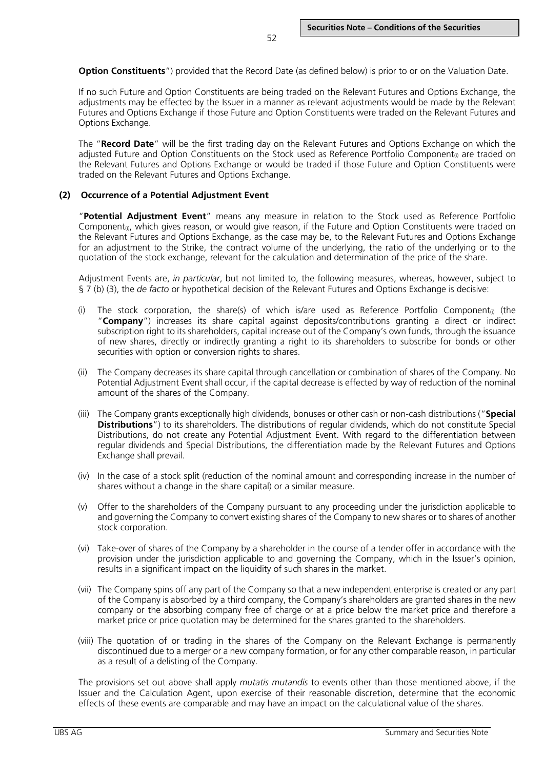**Option Constituents**") provided that the Record Date (as defined below) is prior to or on the Valuation Date.

If no such Future and Option Constituents are being traded on the Relevant Futures and Options Exchange, the adjustments may be effected by the Issuer in a manner as relevant adjustments would be made by the Relevant Futures and Options Exchange if those Future and Option Constituents were traded on the Relevant Futures and Options Exchange.

The "**Record Date**" will be the first trading day on the Relevant Futures and Options Exchange on which the adjusted Future and Option Constituents on the Stock used as Reference Portfolio Component<sub>(i)</sub> are traded on the Relevant Futures and Options Exchange or would be traded if those Future and Option Constituents were traded on the Relevant Futures and Options Exchange.

#### **(2) Occurrence of a Potential Adjustment Event**

"**Potential Adjustment Event**" means any measure in relation to the Stock used as Reference Portfolio Component<sub>0</sub>, which gives reason, or would give reason, if the Future and Option Constituents were traded on the Relevant Futures and Options Exchange, as the case may be, to the Relevant Futures and Options Exchange for an adjustment to the Strike, the contract volume of the underlying, the ratio of the underlying or to the quotation of the stock exchange, relevant for the calculation and determination of the price of the share.

Adjustment Events are, *in particular*, but not limited to, the following measures, whereas, however, subject to § 7 (b) (3), the *de facto* or hypothetical decision of the Relevant Futures and Options Exchange is decisive:

- (i) The stock corporation, the share(s) of which is/are used as Reference Portfolio Component<sub>(i)</sub> (the "**Company**") increases its share capital against deposits/contributions granting a direct or indirect subscription right to its shareholders, capital increase out of the Company's own funds, through the issuance of new shares, directly or indirectly granting a right to its shareholders to subscribe for bonds or other securities with option or conversion rights to shares.
- (ii) The Company decreases its share capital through cancellation or combination of shares of the Company. No Potential Adjustment Event shall occur, if the capital decrease is effected by way of reduction of the nominal amount of the shares of the Company.
- (iii) The Company grants exceptionally high dividends, bonuses or other cash or non-cash distributions ("**Special Distributions**") to its shareholders. The distributions of regular dividends, which do not constitute Special Distributions, do not create any Potential Adjustment Event. With regard to the differentiation between regular dividends and Special Distributions, the differentiation made by the Relevant Futures and Options Exchange shall prevail.
- (iv) In the case of a stock split (reduction of the nominal amount and corresponding increase in the number of shares without a change in the share capital) or a similar measure.
- (v) Offer to the shareholders of the Company pursuant to any proceeding under the jurisdiction applicable to and governing the Company to convert existing shares of the Company to new shares or to shares of another stock corporation.
- (vi) Take-over of shares of the Company by a shareholder in the course of a tender offer in accordance with the provision under the jurisdiction applicable to and governing the Company, which in the Issuer's opinion, results in a significant impact on the liquidity of such shares in the market.
- (vii) The Company spins off any part of the Company so that a new independent enterprise is created or any part of the Company is absorbed by a third company, the Company's shareholders are granted shares in the new company or the absorbing company free of charge or at a price below the market price and therefore a market price or price quotation may be determined for the shares granted to the shareholders.
- (viii) The quotation of or trading in the shares of the Company on the Relevant Exchange is permanently discontinued due to a merger or a new company formation, or for any other comparable reason, in particular as a result of a delisting of the Company.

The provisions set out above shall apply *mutatis mutandis* to events other than those mentioned above, if the Issuer and the Calculation Agent, upon exercise of their reasonable discretion, determine that the economic effects of these events are comparable and may have an impact on the calculational value of the shares.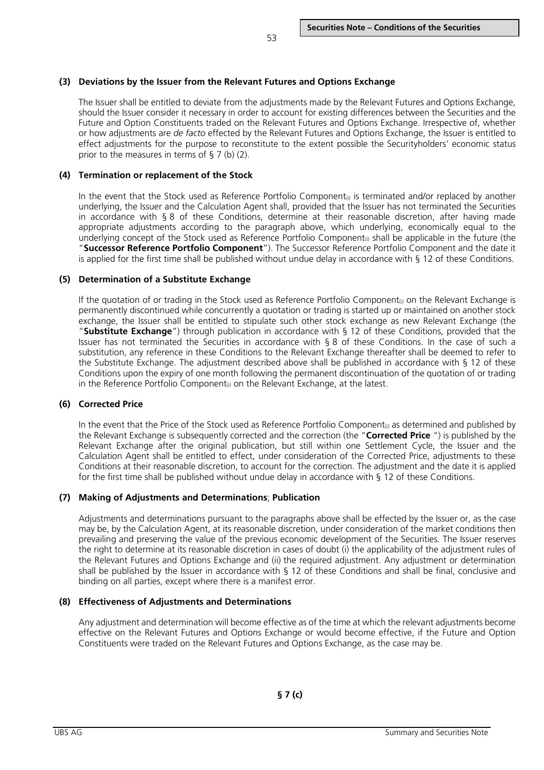## **(3) Deviations by the Issuer from the Relevant Futures and Options Exchange**

The Issuer shall be entitled to deviate from the adjustments made by the Relevant Futures and Options Exchange, should the Issuer consider it necessary in order to account for existing differences between the Securities and the Future and Option Constituents traded on the Relevant Futures and Options Exchange. Irrespective of, whether or how adjustments are *de facto* effected by the Relevant Futures and Options Exchange, the Issuer is entitled to effect adjustments for the purpose to reconstitute to the extent possible the Securityholders' economic status prior to the measures in terms of § 7 (b) (2).

## **(4) Termination or replacement of the Stock**

In the event that the Stock used as Reference Portfolio Component<sub> $0$ </sub> is terminated and/or replaced by another underlying, the Issuer and the Calculation Agent shall, provided that the Issuer has not terminated the Securities in accordance with § 8 of these Conditions, determine at their reasonable discretion, after having made appropriate adjustments according to the paragraph above, which underlying, economically equal to the underlying concept of the Stock used as Reference Portfolio Component<sub>(i)</sub> shall be applicable in the future (the "**Successor Reference Portfolio Component**"). The Successor Reference Portfolio Component and the date it is applied for the first time shall be published without undue delay in accordance with § 12 of these Conditions.

## **(5) Determination of a Substitute Exchange**

If the quotation of or trading in the Stock used as Reference Portfolio Component<sub>(i)</sub> on the Relevant Exchange is permanently discontinued while concurrently a quotation or trading is started up or maintained on another stock exchange, the Issuer shall be entitled to stipulate such other stock exchange as new Relevant Exchange (the "**Substitute Exchange**") through publication in accordance with § 12 of these Conditions, provided that the Issuer has not terminated the Securities in accordance with § 8 of these Conditions. In the case of such a substitution, any reference in these Conditions to the Relevant Exchange thereafter shall be deemed to refer to the Substitute Exchange. The adjustment described above shall be published in accordance with § 12 of these Conditions upon the expiry of one month following the permanent discontinuation of the quotation of or trading in the Reference Portfolio Component<sub>(i)</sub> on the Relevant Exchange, at the latest.

## **(6) Corrected Price**

In the event that the Price of the Stock used as Reference Portfolio Component<sub>0</sub> as determined and published by the Relevant Exchange is subsequently corrected and the correction (the "**Corrected Price** ") is published by the Relevant Exchange after the original publication, but still within one Settlement Cycle, the Issuer and the Calculation Agent shall be entitled to effect, under consideration of the Corrected Price, adjustments to these Conditions at their reasonable discretion, to account for the correction. The adjustment and the date it is applied for the first time shall be published without undue delay in accordance with § 12 of these Conditions.

## **(7) Making of Adjustments and Determinations**; **Publication**

Adjustments and determinations pursuant to the paragraphs above shall be effected by the Issuer or, as the case may be, by the Calculation Agent, at its reasonable discretion, under consideration of the market conditions then prevailing and preserving the value of the previous economic development of the Securities. The Issuer reserves the right to determine at its reasonable discretion in cases of doubt (i) the applicability of the adjustment rules of the Relevant Futures and Options Exchange and (ii) the required adjustment. Any adjustment or determination shall be published by the Issuer in accordance with § 12 of these Conditions and shall be final, conclusive and binding on all parties, except where there is a manifest error.

## **(8) Effectiveness of Adjustments and Determinations**

Any adjustment and determination will become effective as of the time at which the relevant adjustments become effective on the Relevant Futures and Options Exchange or would become effective, if the Future and Option Constituents were traded on the Relevant Futures and Options Exchange, as the case may be.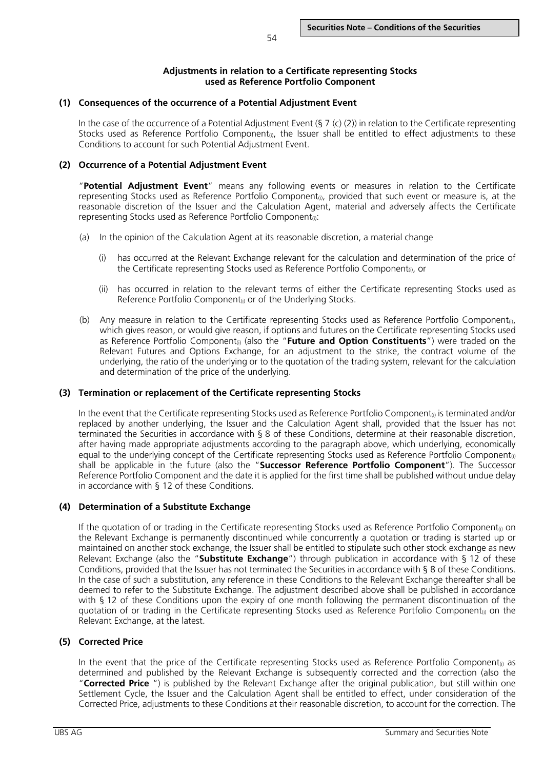## **Adjustments in relation to a Certificate representing Stocks used as Reference Portfolio Component**

## **(1) Consequences of the occurrence of a Potential Adjustment Event**

In the case of the occurrence of a Potential Adjustment Event (§ 7 (c) (2)) in relation to the Certificate representing Stocks used as Reference Portfolio Component<sub>0</sub>, the Issuer shall be entitled to effect adjustments to these Conditions to account for such Potential Adjustment Event.

## **(2) Occurrence of a Potential Adjustment Event**

"**Potential Adjustment Event**" means any following events or measures in relation to the Certificate representing Stocks used as Reference Portfolio Component<sub>(i)</sub>, provided that such event or measure is, at the reasonable discretion of the Issuer and the Calculation Agent, material and adversely affects the Certificate representing Stocks used as Reference Portfolio Component<sub>(i)</sub>:

- (a) In the opinion of the Calculation Agent at its reasonable discretion, a material change
	- (i) has occurred at the Relevant Exchange relevant for the calculation and determination of the price of the Certificate representing Stocks used as Reference Portfolio Component<sub>(i)</sub>, or
	- (ii) has occurred in relation to the relevant terms of either the Certificate representing Stocks used as Reference Portfolio Component<sub>(i)</sub> or of the Underlying Stocks.
- (b) Any measure in relation to the Certificate representing Stocks used as Reference Portfolio Component<sub>(i)</sub>, which gives reason, or would give reason, if options and futures on the Certificate representing Stocks used as Reference Portfolio Component<sub>(i)</sub> (also the "**Future and Option Constituents**") were traded on the Relevant Futures and Options Exchange, for an adjustment to the strike, the contract volume of the underlying, the ratio of the underlying or to the quotation of the trading system, relevant for the calculation and determination of the price of the underlying.

## **(3) Termination or replacement of the Certificate representing Stocks**

In the event that the Certificate representing Stocks used as Reference Portfolio Component<sub> $\hat{u}$ </sub> is terminated and/or replaced by another underlying, the Issuer and the Calculation Agent shall, provided that the Issuer has not terminated the Securities in accordance with § 8 of these Conditions, determine at their reasonable discretion, after having made appropriate adjustments according to the paragraph above, which underlying, economically equal to the underlying concept of the Certificate representing Stocks used as Reference Portfolio Component<sub>(i)</sub> shall be applicable in the future (also the "**Successor Reference Portfolio Component**"). The Successor Reference Portfolio Component and the date it is applied for the first time shall be published without undue delay in accordance with § 12 of these Conditions.

## **(4) Determination of a Substitute Exchange**

If the quotation of or trading in the Certificate representing Stocks used as Reference Portfolio Component<sub>(i)</sub> on the Relevant Exchange is permanently discontinued while concurrently a quotation or trading is started up or maintained on another stock exchange, the Issuer shall be entitled to stipulate such other stock exchange as new Relevant Exchange (also the "**Substitute Exchange**") through publication in accordance with § 12 of these Conditions, provided that the Issuer has not terminated the Securities in accordance with § 8 of these Conditions. In the case of such a substitution, any reference in these Conditions to the Relevant Exchange thereafter shall be deemed to refer to the Substitute Exchange. The adjustment described above shall be published in accordance with § 12 of these Conditions upon the expiry of one month following the permanent discontinuation of the quotation of or trading in the Certificate representing Stocks used as Reference Portfolio Component<sub>®</sub> on the Relevant Exchange, at the latest.

## **(5) Corrected Price**

In the event that the price of the Certificate representing Stocks used as Reference Portfolio Component<sub>(i)</sub> as determined and published by the Relevant Exchange is subsequently corrected and the correction (also the "**Corrected Price** ") is published by the Relevant Exchange after the original publication, but still within one Settlement Cycle, the Issuer and the Calculation Agent shall be entitled to effect, under consideration of the Corrected Price, adjustments to these Conditions at their reasonable discretion, to account for the correction. The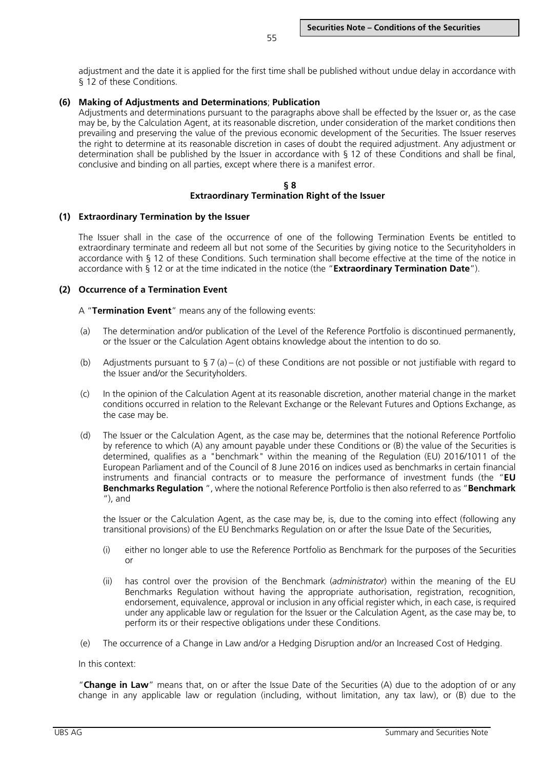adjustment and the date it is applied for the first time shall be published without undue delay in accordance with § 12 of these Conditions.

# **(6) Making of Adjustments and Determinations**; **Publication**

Adjustments and determinations pursuant to the paragraphs above shall be effected by the Issuer or, as the case may be, by the Calculation Agent, at its reasonable discretion, under consideration of the market conditions then prevailing and preserving the value of the previous economic development of the Securities. The Issuer reserves the right to determine at its reasonable discretion in cases of doubt the required adjustment. Any adjustment or determination shall be published by the Issuer in accordance with § 12 of these Conditions and shall be final, conclusive and binding on all parties, except where there is a manifest error.

#### **§ 8 Extraordinary Termination Right of the Issuer**

# **(1) Extraordinary Termination by the Issuer**

The Issuer shall in the case of the occurrence of one of the following Termination Events be entitled to extraordinary terminate and redeem all but not some of the Securities by giving notice to the Securityholders in accordance with § 12 of these Conditions. Such termination shall become effective at the time of the notice in accordance with § 12 or at the time indicated in the notice (the "**Extraordinary Termination Date**").

# **(2) Occurrence of a Termination Event**

A "**Termination Event**" means any of the following events:

- (a) The determination and/or publication of the Level of the Reference Portfolio is discontinued permanently, or the Issuer or the Calculation Agent obtains knowledge about the intention to do so.
- (b) Adjustments pursuant to  $\frac{1}{2}$  7 (a) (c) of these Conditions are not possible or not justifiable with regard to the Issuer and/or the Securityholders.
- (c) In the opinion of the Calculation Agent at its reasonable discretion, another material change in the market conditions occurred in relation to the Relevant Exchange or the Relevant Futures and Options Exchange, as the case may be.
- (d) The Issuer or the Calculation Agent, as the case may be, determines that the notional Reference Portfolio by reference to which (A) any amount payable under these Conditions or (B) the value of the Securities is determined, qualifies as a "benchmark" within the meaning of the Regulation (EU) 2016/1011 of the European Parliament and of the Council of 8 June 2016 on indices used as benchmarks in certain financial instruments and financial contracts or to measure the performance of investment funds (the "**EU Benchmarks Regulation** ", where the notional Reference Portfolio is then also referred to as "**Benchmark**  $'$ ), and

the Issuer or the Calculation Agent, as the case may be, is, due to the coming into effect (following any transitional provisions) of the EU Benchmarks Regulation on or after the Issue Date of the Securities,

- (i) either no longer able to use the Reference Portfolio as Benchmark for the purposes of the Securities or
- (ii) has control over the provision of the Benchmark (*administrator*) within the meaning of the EU Benchmarks Regulation without having the appropriate authorisation, registration, recognition, endorsement, equivalence, approval or inclusion in any official register which, in each case, is required under any applicable law or regulation for the Issuer or the Calculation Agent, as the case may be, to perform its or their respective obligations under these Conditions.
- (e) The occurrence of a Change in Law and/or a Hedging Disruption and/or an Increased Cost of Hedging.

In this context:

"**Change in Law**" means that, on or after the Issue Date of the Securities (A) due to the adoption of or any change in any applicable law or regulation (including, without limitation, any tax law), or (B) due to the

55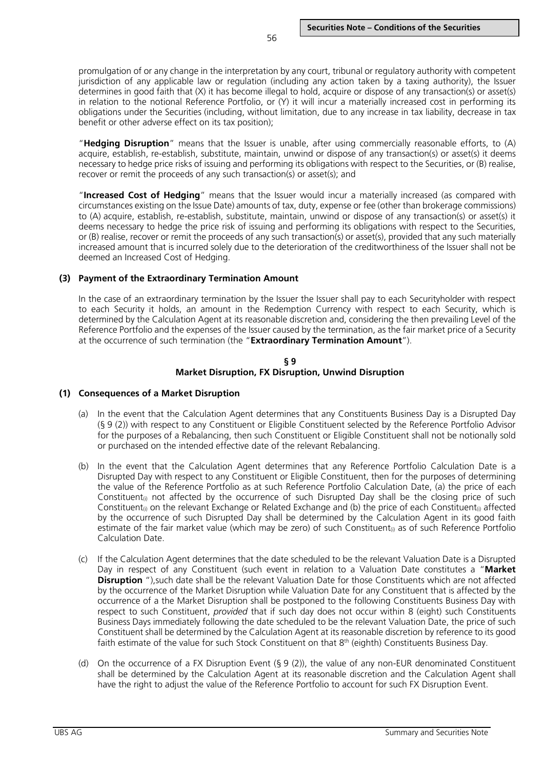promulgation of or any change in the interpretation by any court, tribunal or regulatory authority with competent jurisdiction of any applicable law or regulation (including any action taken by a taxing authority), the Issuer determines in good faith that (X) it has become illegal to hold, acquire or dispose of any transaction(s) or asset(s) in relation to the notional Reference Portfolio, or (Y) it will incur a materially increased cost in performing its obligations under the Securities (including, without limitation, due to any increase in tax liability, decrease in tax benefit or other adverse effect on its tax position);

"**Hedging Disruption**" means that the Issuer is unable, after using commercially reasonable efforts, to (A) acquire, establish, re-establish, substitute, maintain, unwind or dispose of any transaction(s) or asset(s) it deems necessary to hedge price risks of issuing and performing its obligations with respect to the Securities, or (B) realise, recover or remit the proceeds of any such transaction(s) or asset(s); and

"**Increased Cost of Hedging**" means that the Issuer would incur a materially increased (as compared with circumstances existing on the Issue Date) amounts of tax, duty, expense or fee (other than brokerage commissions) to (A) acquire, establish, re-establish, substitute, maintain, unwind or dispose of any transaction(s) or asset(s) it deems necessary to hedge the price risk of issuing and performing its obligations with respect to the Securities, or (B) realise, recover or remit the proceeds of any such transaction(s) or asset(s), provided that any such materially increased amount that is incurred solely due to the deterioration of the creditworthiness of the Issuer shall not be deemed an Increased Cost of Hedging.

## **(3) Payment of the Extraordinary Termination Amount**

In the case of an extraordinary termination by the Issuer the Issuer shall pay to each Securityholder with respect to each Security it holds, an amount in the Redemption Currency with respect to each Security, which is determined by the Calculation Agent at its reasonable discretion and, considering the then prevailing Level of the Reference Portfolio and the expenses of the Issuer caused by the termination, as the fair market price of a Security at the occurrence of such termination (the "**Extraordinary Termination Amount**").

#### **§ 9 Market Disruption, FX Disruption, Unwind Disruption**

## **(1) Consequences of a Market Disruption**

- (a) In the event that the Calculation Agent determines that any Constituents Business Day is a Disrupted Day (§ 9 (2)) with respect to any Constituent or Eligible Constituent selected by the Reference Portfolio Advisor for the purposes of a Rebalancing, then such Constituent or Eligible Constituent shall not be notionally sold or purchased on the intended effective date of the relevant Rebalancing.
- (b) In the event that the Calculation Agent determines that any Reference Portfolio Calculation Date is a Disrupted Day with respect to any Constituent or Eligible Constituent, then for the purposes of determining the value of the Reference Portfolio as at such Reference Portfolio Calculation Date, (a) the price of each Constituent<sub>0</sub> not affected by the occurrence of such Disrupted Day shall be the closing price of such Constituent<sub>0</sub> on the relevant Exchange or Related Exchange and (b) the price of each Constituent<sub>0</sub> affected by the occurrence of such Disrupted Day shall be determined by the Calculation Agent in its good faith estimate of the fair market value (which may be zero) of such Constituent<sub>®</sub> as of such Reference Portfolio Calculation Date.
- (c) If the Calculation Agent determines that the date scheduled to be the relevant Valuation Date is a Disrupted Day in respect of any Constituent (such event in relation to a Valuation Date constitutes a "**Market Disruption** "), such date shall be the relevant Valuation Date for those Constituents which are not affected by the occurrence of the Market Disruption while Valuation Date for any Constituent that is affected by the occurrence of a the Market Disruption shall be postponed to the following Constituents Business Day with respect to such Constituent, *provided* that if such day does not occur within 8 (eight) such Constituents Business Days immediately following the date scheduled to be the relevant Valuation Date, the price of such Constituent shall be determined by the Calculation Agent at its reasonable discretion by reference to its good faith estimate of the value for such Stock Constituent on that 8<sup>th</sup> (eighth) Constituents Business Day.
- (d) On the occurrence of a FX Disruption Event (§ 9 (2)), the value of any non-EUR denominated Constituent shall be determined by the Calculation Agent at its reasonable discretion and the Calculation Agent shall have the right to adjust the value of the Reference Portfolio to account for such FX Disruption Event.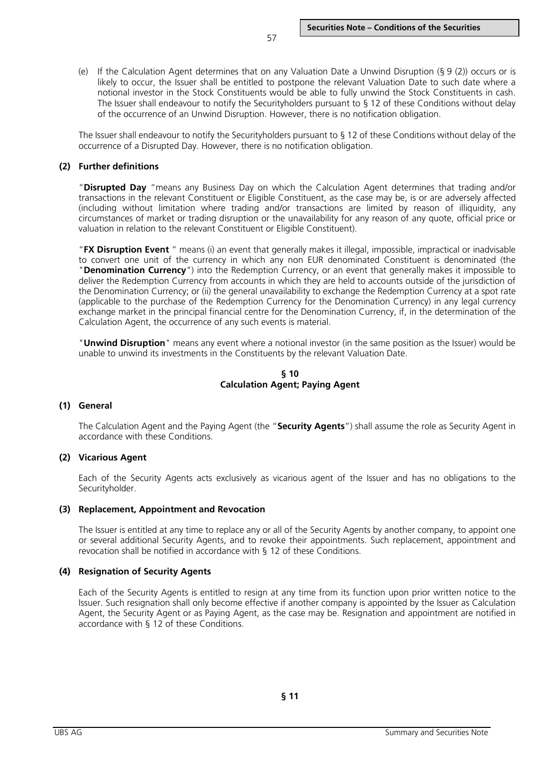(e) If the Calculation Agent determines that on any Valuation Date a Unwind Disruption (§ 9 (2)) occurs or is likely to occur, the Issuer shall be entitled to postpone the relevant Valuation Date to such date where a notional investor in the Stock Constituents would be able to fully unwind the Stock Constituents in cash. The Issuer shall endeavour to notify the Securityholders pursuant to § 12 of these Conditions without delay of the occurrence of an Unwind Disruption. However, there is no notification obligation.

The Issuer shall endeavour to notify the Securityholders pursuant to § 12 of these Conditions without delay of the occurrence of a Disrupted Day. However, there is no notification obligation.

#### **(2) Further definitions**

"**Disrupted Day** "means any Business Day on which the Calculation Agent determines that trading and/or transactions in the relevant Constituent or Eligible Constituent, as the case may be, is or are adversely affected (including without limitation where trading and/or transactions are limited by reason of illiquidity, any circumstances of market or trading disruption or the unavailability for any reason of any quote, official price or valuation in relation to the relevant Constituent or Eligible Constituent).

"**FX Disruption Event** " means (i) an event that generally makes it illegal, impossible, impractical or inadvisable to convert one unit of the currency in which any non EUR denominated Constituent is denominated (the "**Denomination Currency**") into the Redemption Currency, or an event that generally makes it impossible to deliver the Redemption Currency from accounts in which they are held to accounts outside of the jurisdiction of the Denomination Currency; or (ii) the general unavailability to exchange the Redemption Currency at a spot rate (applicable to the purchase of the Redemption Currency for the Denomination Currency) in any legal currency exchange market in the principal financial centre for the Denomination Currency, if, in the determination of the Calculation Agent, the occurrence of any such events is material.

"**Unwind Disruption**" means any event where a notional investor (in the same position as the Issuer) would be unable to unwind its investments in the Constituents by the relevant Valuation Date.

#### **§ 10 Calculation Agent; Paying Agent**

#### **(1) General**

The Calculation Agent and the Paying Agent (the "**Security Agents**") shall assume the role as Security Agent in accordance with these Conditions.

#### **(2) Vicarious Agent**

Each of the Security Agents acts exclusively as vicarious agent of the Issuer and has no obligations to the Securityholder.

#### **(3) Replacement, Appointment and Revocation**

The Issuer is entitled at any time to replace any or all of the Security Agents by another company, to appoint one or several additional Security Agents, and to revoke their appointments. Such replacement, appointment and revocation shall be notified in accordance with § 12 of these Conditions.

#### **(4) Resignation of Security Agents**

Each of the Security Agents is entitled to resign at any time from its function upon prior written notice to the Issuer. Such resignation shall only become effective if another company is appointed by the Issuer as Calculation Agent, the Security Agent or as Paying Agent, as the case may be. Resignation and appointment are notified in accordance with § 12 of these Conditions.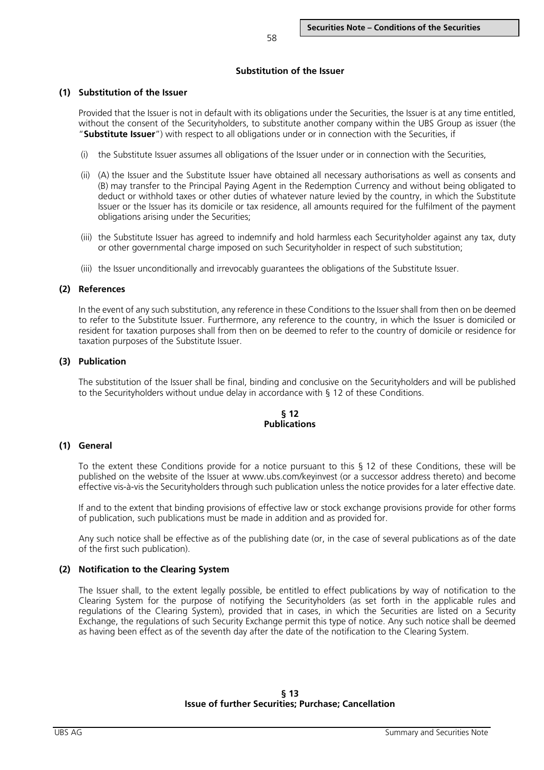## **Substitution of the Issuer**

## **(1) Substitution of the Issuer**

Provided that the Issuer is not in default with its obligations under the Securities, the Issuer is at any time entitled, without the consent of the Securityholders, to substitute another company within the UBS Group as issuer (the "**Substitute Issuer**") with respect to all obligations under or in connection with the Securities, if

- (i) the Substitute Issuer assumes all obligations of the Issuer under or in connection with the Securities,
- (ii) (A) the Issuer and the Substitute Issuer have obtained all necessary authorisations as well as consents and (B) may transfer to the Principal Paying Agent in the Redemption Currency and without being obligated to deduct or withhold taxes or other duties of whatever nature levied by the country, in which the Substitute Issuer or the Issuer has its domicile or tax residence, all amounts required for the fulfilment of the payment obligations arising under the Securities;
- (iii) the Substitute Issuer has agreed to indemnify and hold harmless each Securityholder against any tax, duty or other governmental charge imposed on such Securityholder in respect of such substitution;
- (iii) the Issuer unconditionally and irrevocably guarantees the obligations of the Substitute Issuer.

## **(2) References**

In the event of any such substitution, any reference in these Conditions to the Issuer shall from then on be deemed to refer to the Substitute Issuer. Furthermore, any reference to the country, in which the Issuer is domiciled or resident for taxation purposes shall from then on be deemed to refer to the country of domicile or residence for taxation purposes of the Substitute Issuer.

# **(3) Publication**

The substitution of the Issuer shall be final, binding and conclusive on the Securityholders and will be published to the Securityholders without undue delay in accordance with § 12 of these Conditions.

## **§ 12 Publications**

## **(1) General**

To the extent these Conditions provide for a notice pursuant to this § 12 of these Conditions, these will be published on the website of the Issuer at www.ubs.com/keyinvest (or a successor address thereto) and become effective vis-à-vis the Securityholders through such publication unless the notice provides for a later effective date.

If and to the extent that binding provisions of effective law or stock exchange provisions provide for other forms of publication, such publications must be made in addition and as provided for.

Any such notice shall be effective as of the publishing date (or, in the case of several publications as of the date of the first such publication).

# **(2) Notification to the Clearing System**

The Issuer shall, to the extent legally possible, be entitled to effect publications by way of notification to the Clearing System for the purpose of notifying the Securityholders (as set forth in the applicable rules and regulations of the Clearing System), provided that in cases, in which the Securities are listed on a Security Exchange, the regulations of such Security Exchange permit this type of notice. Any such notice shall be deemed as having been effect as of the seventh day after the date of the notification to the Clearing System.

# **§ 13 Issue of further Securities; Purchase; Cancellation**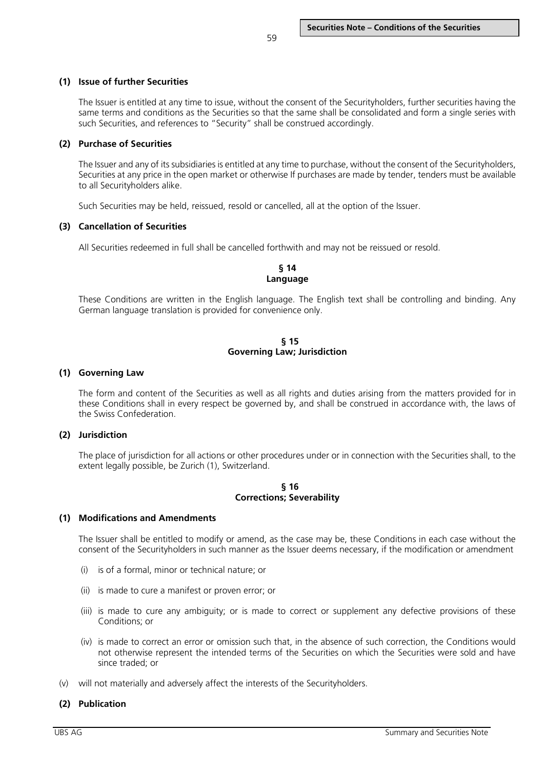# **(1) Issue of further Securities**

The Issuer is entitled at any time to issue, without the consent of the Securityholders, further securities having the same terms and conditions as the Securities so that the same shall be consolidated and form a single series with such Securities, and references to "Security" shall be construed accordingly.

# **(2) Purchase of Securities**

The Issuer and any of its subsidiaries is entitled at any time to purchase, without the consent of the Securityholders, Securities at any price in the open market or otherwise If purchases are made by tender, tenders must be available to all Securityholders alike.

Such Securities may be held, reissued, resold or cancelled, all at the option of the Issuer.

# **(3) Cancellation of Securities**

All Securities redeemed in full shall be cancelled forthwith and may not be reissued or resold.

# **§ 14 Language**

These Conditions are written in the English language. The English text shall be controlling and binding. Any German language translation is provided for convenience only.

#### **§ 15 Governing Law; Jurisdiction**

#### **(1) Governing Law**

The form and content of the Securities as well as all rights and duties arising from the matters provided for in these Conditions shall in every respect be governed by, and shall be construed in accordance with, the laws of the Swiss Confederation.

## **(2) Jurisdiction**

The place of jurisdiction for all actions or other procedures under or in connection with the Securities shall, to the extent legally possible, be Zurich (1), Switzerland.

#### **§ 16 Corrections; Severability**

## **(1) Modifications and Amendments**

The Issuer shall be entitled to modify or amend, as the case may be, these Conditions in each case without the consent of the Securityholders in such manner as the Issuer deems necessary, if the modification or amendment

- (i) is of a formal, minor or technical nature; or
- (ii) is made to cure a manifest or proven error; or
- (iii) is made to cure any ambiguity; or is made to correct or supplement any defective provisions of these Conditions; or
- (iv) is made to correct an error or omission such that, in the absence of such correction, the Conditions would not otherwise represent the intended terms of the Securities on which the Securities were sold and have since traded; or
- (v) will not materially and adversely affect the interests of the Securityholders.

## **(2) Publication**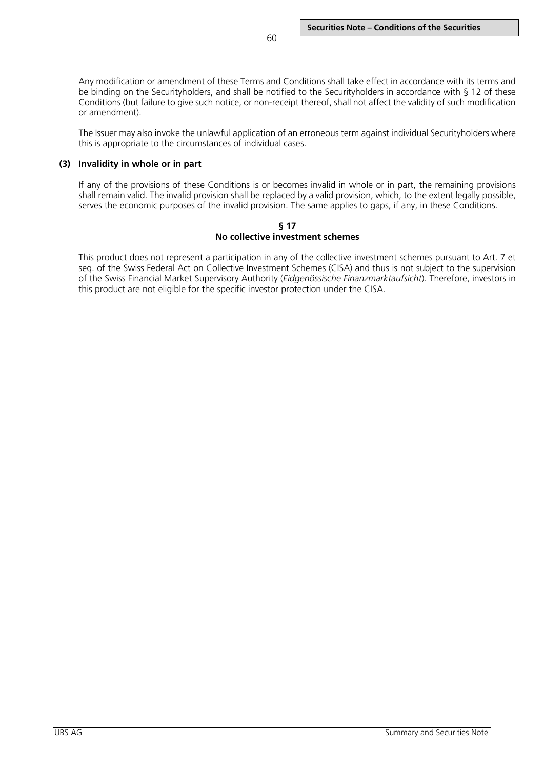Any modification or amendment of these Terms and Conditions shall take effect in accordance with its terms and be binding on the Securityholders, and shall be notified to the Securityholders in accordance with § 12 of these Conditions (but failure to give such notice, or non-receipt thereof, shall not affect the validity of such modification or amendment).

The Issuer may also invoke the unlawful application of an erroneous term against individual Securityholders where this is appropriate to the circumstances of individual cases.

#### **(3) Invalidity in whole or in part**

If any of the provisions of these Conditions is or becomes invalid in whole or in part, the remaining provisions shall remain valid. The invalid provision shall be replaced by a valid provision, which, to the extent legally possible, serves the economic purposes of the invalid provision. The same applies to gaps, if any, in these Conditions.

#### **§ 17 No collective investment schemes**

This product does not represent a participation in any of the collective investment schemes pursuant to Art. 7 et seq. of the Swiss Federal Act on Collective Investment Schemes (CISA) and thus is not subject to the supervision of the Swiss Financial Market Supervisory Authority (*Eidgenössische Finanzmarktaufsicht*). Therefore, investors in this product are not eligible for the specific investor protection under the CISA.

UBS AG Summary and Securities Note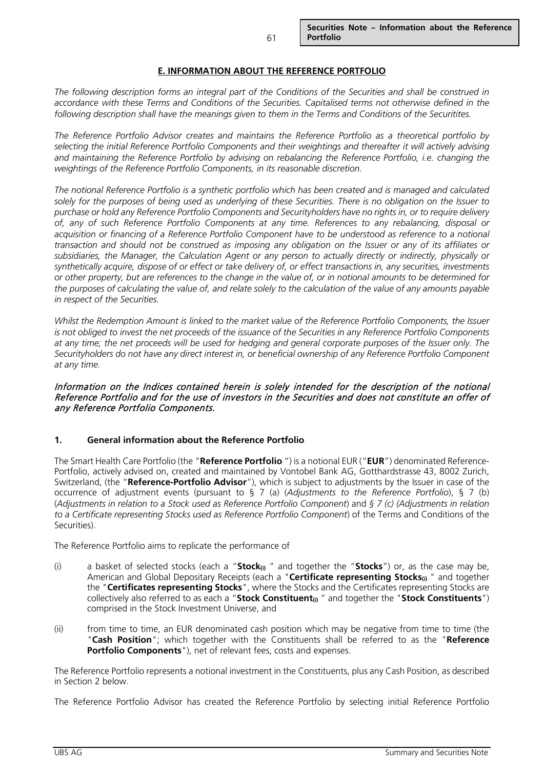## **E. INFORMATION ABOUT THE REFERENCE PORTFOLIO**

*The following description forms an integral part of the Conditions of the Securities and shall be construed in accordance with these Terms and Conditions of the Securities. Capitalised terms not otherwise defined in the following description shall have the meanings given to them in the Terms and Conditions of the Securitites.*

*The Reference Portfolio Advisor creates and maintains the Reference Portfolio as a theoretical portfolio by selecting the initial Reference Portfolio Components and their weightings and thereafter it will actively advising and maintaining the Reference Portfolio by advising on rebalancing the Reference Portfolio, i.e. changing the weightings of the Reference Portfolio Components, in its reasonable discretion.* 

*The notional Reference Portfolio is a synthetic portfolio which has been created and is managed and calculated solely for the purposes of being used as underlying of these Securities. There is no obligation on the Issuer to purchase or hold any Reference Portfolio Components and Securityholders have no rights in, or to require delivery of, any of such Reference Portfolio Components at any time. References to any rebalancing, disposal or acquisition or financing of a Reference Portfolio Component have to be understood as reference to a notional transaction and should not be construed as imposing any obligation on the Issuer or any of its affiliates or*  subsidiaries, the Manager, the Calculation Agent or any person to actually directly or indirectly, physically or *synthetically acquire, dispose of or effect or take delivery of, or effect transactions in, any securities, investments or other property, but are references to the change in the value of, or in notional amounts to be determined for the purposes of calculating the value of, and relate solely to the calculation of the value of any amounts payable in respect of the Securities.* 

*Whilst the Redemption Amount is linked to the market value of the Reference Portfolio Components, the Issuer is not obliged to invest the net proceeds of the issuance of the Securities in any Reference Portfolio Components at any time; the net proceeds will be used for hedging and general corporate purposes of the Issuer only. The Securityholders do not have any direct interest in, or beneficial ownership of any Reference Portfolio Component at any time.* 

## Information on the Indices contained herein is solely intended for the description of the notional Reference Portfolio and for the use of investors in the Securities and does not constitute an offer of any Reference Portfolio Components.

## **1. General information about the Reference Portfolio**

The Smart Health Care Portfolio (the "**Reference Portfolio** ") is a notional EUR ("**EUR**") denominated Reference-Portfolio, actively advised on, created and maintained by Vontobel Bank AG, Gotthardstrasse 43, 8002 Zurich, Switzerland, (the "**Reference-Portfolio Advisor**"), which is subject to adjustments by the Issuer in case of the occurrence of adjustment events (pursuant to § 7 (a) (*Adjustments to the Reference Portfolio*), § 7 (b) (*Adjustments in relation to a Stock used as Reference Portfolio Component*) and *§ 7 (c) (Adjustments in relation to a Certificate representing Stocks used as Reference Portfolio Component*) of the Terms and Conditions of the Securities).

The Reference Portfolio aims to replicate the performance of

- (i) a basket of selected stocks (each a "**Stock(i)** " and together the "**Stocks**") or, as the case may be, American and Global Depositary Receipts (each a "**Certificate representing Stocks**<sub>(i)</sub> " and together the "**Certificates representing Stocks**", where the Stocks and the Certificates representing Stocks are collectively also referred to as each a "**Stock Constituent(i)** " and together the "**Stock Constituents**") comprised in the Stock Investment Universe, and
- (ii) from time to time, an EUR denominated cash position which may be negative from time to time (the "**Cash Position**"; which together with the Constituents shall be referred to as the "**Reference Portfolio Components**"), net of relevant fees, costs and expenses.

The Reference Portfolio represents a notional investment in the Constituents, plus any Cash Position, as described in Section 2 below.

The Reference Portfolio Advisor has created the Reference Portfolio by selecting initial Reference Portfolio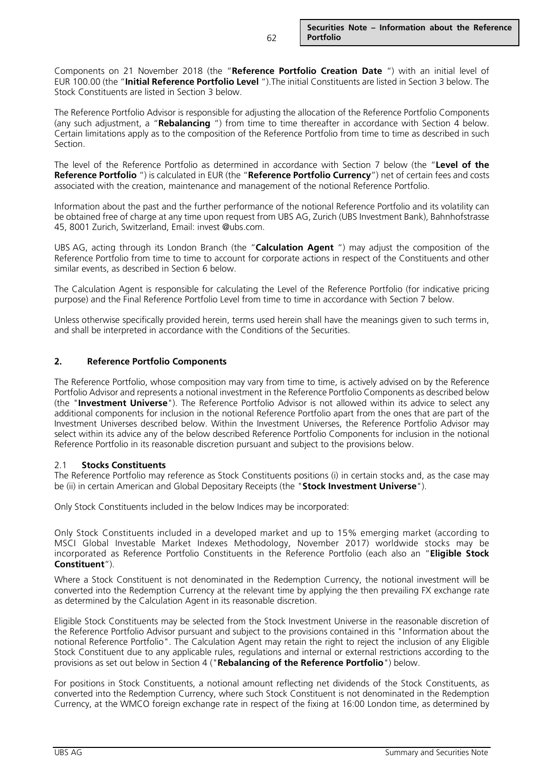Components on 21 November 2018 (the "**Reference Portfolio Creation Date** ") with an initial level of EUR 100.00 (the "**Initial Reference Portfolio Level** ").The initial Constituents are listed in Section 3 below. The Stock Constituents are listed in Section 3 below.

The Reference Portfolio Advisor is responsible for adjusting the allocation of the Reference Portfolio Components (any such adjustment, a "**Rebalancing** ") from time to time thereafter in accordance with Section 4 below. Certain limitations apply as to the composition of the Reference Portfolio from time to time as described in such Section.

The level of the Reference Portfolio as determined in accordance with Section 7 below (the "**Level of the Reference Portfolio** ") is calculated in EUR (the "**Reference Portfolio Currency**") net of certain fees and costs associated with the creation, maintenance and management of the notional Reference Portfolio.

Information about the past and the further performance of the notional Reference Portfolio and its volatility can be obtained free of charge at any time upon request from UBS AG, Zurich (UBS Investment Bank), Bahnhofstrasse 45, 8001 Zurich, Switzerland, Email: invest @ubs.com.

UBS AG, acting through its London Branch (the "**Calculation Agent** ") may adjust the composition of the Reference Portfolio from time to time to account for corporate actions in respect of the Constituents and other similar events, as described in Section 6 below.

The Calculation Agent is responsible for calculating the Level of the Reference Portfolio (for indicative pricing purpose) and the Final Reference Portfolio Level from time to time in accordance with Section 7 below.

Unless otherwise specifically provided herein, terms used herein shall have the meanings given to such terms in, and shall be interpreted in accordance with the Conditions of the Securities.

# **2. Reference Portfolio Components**

The Reference Portfolio, whose composition may vary from time to time, is actively advised on by the Reference Portfolio Advisor and represents a notional investment in the Reference Portfolio Components as described below (the "**Investment Universe**"). The Reference Portfolio Advisor is not allowed within its advice to select any additional components for inclusion in the notional Reference Portfolio apart from the ones that are part of the Investment Universes described below. Within the Investment Universes, the Reference Portfolio Advisor may select within its advice any of the below described Reference Portfolio Components for inclusion in the notional Reference Portfolio in its reasonable discretion pursuant and subject to the provisions below.

## 2.1 **Stocks Constituents**

The Reference Portfolio may reference as Stock Constituents positions (i) in certain stocks and, as the case may be (ii) in certain American and Global Depositary Receipts (the "**Stock Investment Universe**").

Only Stock Constituents included in the below Indices may be incorporated:

Only Stock Constituents included in a developed market and up to 15% emerging market (according to MSCI Global Investable Market Indexes Methodology, November 2017) worldwide stocks may be incorporated as Reference Portfolio Constituents in the Reference Portfolio (each also an "**Eligible Stock Constituent**").

Where a Stock Constituent is not denominated in the Redemption Currency, the notional investment will be converted into the Redemption Currency at the relevant time by applying the then prevailing FX exchange rate as determined by the Calculation Agent in its reasonable discretion.

Eligible Stock Constituents may be selected from the Stock Investment Universe in the reasonable discretion of the Reference Portfolio Advisor pursuant and subject to the provisions contained in this "Information about the notional Reference Portfolio". The Calculation Agent may retain the right to reject the inclusion of any Eligible Stock Constituent due to any applicable rules, regulations and internal or external restrictions according to the provisions as set out below in Section 4 ("**Rebalancing of the Reference Portfolio**") below.

For positions in Stock Constituents, a notional amount reflecting net dividends of the Stock Constituents, as converted into the Redemption Currency, where such Stock Constituent is not denominated in the Redemption Currency, at the WMCO foreign exchange rate in respect of the fixing at 16:00 London time, as determined by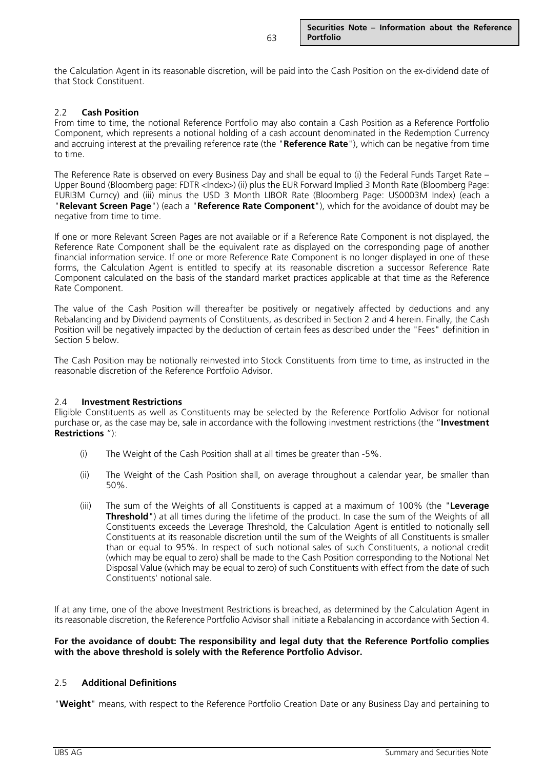the Calculation Agent in its reasonable discretion, will be paid into the Cash Position on the ex-dividend date of that Stock Constituent.

## 2.2 **Cash Position**

From time to time, the notional Reference Portfolio may also contain a Cash Position as a Reference Portfolio Component, which represents a notional holding of a cash account denominated in the Redemption Currency and accruing interest at the prevailing reference rate (the "**Reference Rate**"), which can be negative from time to time.

The Reference Rate is observed on every Business Day and shall be equal to (i) the Federal Funds Target Rate – Upper Bound (Bloomberg page: FDTR <Index>) (ii) plus the EUR Forward Implied 3 Month Rate (Bloomberg Page: EURI3M Curncy) and (iii) minus the USD 3 Month LIBOR Rate (Bloomberg Page: US0003M Index) (each a "**Relevant Screen Page**") (each a "**Reference Rate Component**"), which for the avoidance of doubt may be negative from time to time.

If one or more Relevant Screen Pages are not available or if a Reference Rate Component is not displayed, the Reference Rate Component shall be the equivalent rate as displayed on the corresponding page of another financial information service. If one or more Reference Rate Component is no longer displayed in one of these forms, the Calculation Agent is entitled to specify at its reasonable discretion a successor Reference Rate Component calculated on the basis of the standard market practices applicable at that time as the Reference Rate Component.

The value of the Cash Position will thereafter be positively or negatively affected by deductions and any Rebalancing and by Dividend payments of Constituents, as described in Section 2 and 4 herein. Finally, the Cash Position will be negatively impacted by the deduction of certain fees as described under the "Fees" definition in Section 5 below.

The Cash Position may be notionally reinvested into Stock Constituents from time to time, as instructed in the reasonable discretion of the Reference Portfolio Advisor.

## 2.4 **Investment Restrictions**

Eligible Constituents as well as Constituents may be selected by the Reference Portfolio Advisor for notional purchase or, as the case may be, sale in accordance with the following investment restrictions (the "**Investment Restrictions** "):

- (i) The Weight of the Cash Position shall at all times be greater than -5%.
- (ii) The Weight of the Cash Position shall, on average throughout a calendar year, be smaller than 50%.
- (iii) The sum of the Weights of all Constituents is capped at a maximum of 100% (the "**Leverage Threshold**") at all times during the lifetime of the product. In case the sum of the Weights of all Constituents exceeds the Leverage Threshold, the Calculation Agent is entitled to notionally sell Constituents at its reasonable discretion until the sum of the Weights of all Constituents is smaller than or equal to 95%. In respect of such notional sales of such Constituents, a notional credit (which may be equal to zero) shall be made to the Cash Position corresponding to the Notional Net Disposal Value (which may be equal to zero) of such Constituents with effect from the date of such Constituents' notional sale.

If at any time, one of the above Investment Restrictions is breached, as determined by the Calculation Agent in its reasonable discretion, the Reference Portfolio Advisor shall initiate a Rebalancing in accordance with Section 4.

#### **For the avoidance of doubt: The responsibility and legal duty that the Reference Portfolio complies with the above threshold is solely with the Reference Portfolio Advisor.**

## 2.5 **Additional Definitions**

"**Weight**" means, with respect to the Reference Portfolio Creation Date or any Business Day and pertaining to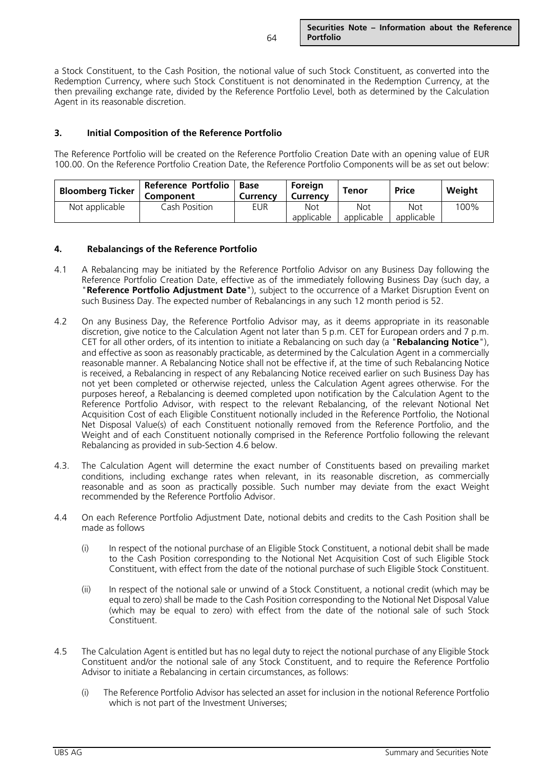a Stock Constituent, to the Cash Position, the notional value of such Stock Constituent, as converted into the Redemption Currency, where such Stock Constituent is not denominated in the Redemption Currency, at the then prevailing exchange rate, divided by the Reference Portfolio Level, both as determined by the Calculation Agent in its reasonable discretion.

# **3. Initial Composition of the Reference Portfolio**

The Reference Portfolio will be created on the Reference Portfolio Creation Date with an opening value of EUR 100.00. On the Reference Portfolio Creation Date, the Reference Portfolio Components will be as set out below:

| <b>Bloomberg Ticker</b> | <b>Reference Portfolio</b><br>Component | Base<br><b>Currency</b> | Foreign<br>Currency      | Tenor             | <b>Price</b>      | Weight |
|-------------------------|-----------------------------------------|-------------------------|--------------------------|-------------------|-------------------|--------|
| Not applicable          | Cash Position                           | eur                     | <b>Not</b><br>applicable | Not<br>applicable | Not<br>applicable | 100%   |

## **4. Rebalancings of the Reference Portfolio**

- 4.1 A Rebalancing may be initiated by the Reference Portfolio Advisor on any Business Day following the Reference Portfolio Creation Date, effective as of the immediately following Business Day (such day, a "**Reference Portfolio Adjustment Date**"), subject to the occurrence of a Market Disruption Event on such Business Day. The expected number of Rebalancings in any such 12 month period is 52.
- 4.2 On any Business Day, the Reference Portfolio Advisor may, as it deems appropriate in its reasonable discretion, give notice to the Calculation Agent not later than 5 p.m. CET for European orders and 7 p.m. CET for all other orders, of its intention to initiate a Rebalancing on such day (a "**Rebalancing Notice**"), and effective as soon as reasonably practicable, as determined by the Calculation Agent in a commercially reasonable manner. A Rebalancing Notice shall not be effective if, at the time of such Rebalancing Notice is received, a Rebalancing in respect of any Rebalancing Notice received earlier on such Business Day has not yet been completed or otherwise rejected, unless the Calculation Agent agrees otherwise. For the purposes hereof, a Rebalancing is deemed completed upon notification by the Calculation Agent to the Reference Portfolio Advisor, with respect to the relevant Rebalancing, of the relevant Notional Net Acquisition Cost of each Eligible Constituent notionally included in the Reference Portfolio, the Notional Net Disposal Value(s) of each Constituent notionally removed from the Reference Portfolio, and the Weight and of each Constituent notionally comprised in the Reference Portfolio following the relevant Rebalancing as provided in sub-Section 4.6 below.
- 4.3. The Calculation Agent will determine the exact number of Constituents based on prevailing market conditions, including exchange rates when relevant, in its reasonable discretion, as commercially reasonable and as soon as practically possible. Such number may deviate from the exact Weight recommended by the Reference Portfolio Advisor.
- 4.4 On each Reference Portfolio Adjustment Date, notional debits and credits to the Cash Position shall be made as follows
	- (i) In respect of the notional purchase of an Eligible Stock Constituent, a notional debit shall be made to the Cash Position corresponding to the Notional Net Acquisition Cost of such Eligible Stock Constituent, with effect from the date of the notional purchase of such Eligible Stock Constituent.
	- (ii) In respect of the notional sale or unwind of a Stock Constituent, a notional credit (which may be equal to zero) shall be made to the Cash Position corresponding to the Notional Net Disposal Value (which may be equal to zero) with effect from the date of the notional sale of such Stock Constituent.
- 4.5 The Calculation Agent is entitled but has no legal duty to reject the notional purchase of any Eligible Stock Constituent and/or the notional sale of any Stock Constituent, and to require the Reference Portfolio Advisor to initiate a Rebalancing in certain circumstances, as follows:
	- (i) The Reference Portfolio Advisor has selected an asset for inclusion in the notional Reference Portfolio which is not part of the Investment Universes;

64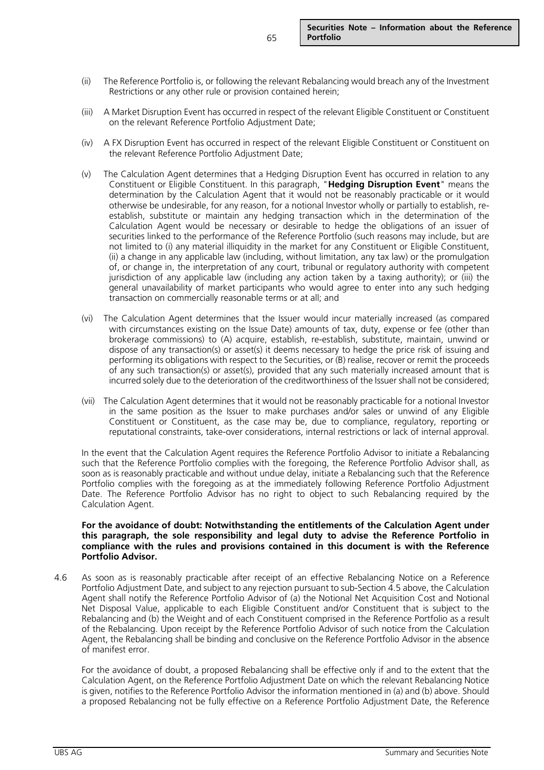- (ii) The Reference Portfolio is, or following the relevant Rebalancing would breach any of the Investment Restrictions or any other rule or provision contained herein;
- (iii) A Market Disruption Event has occurred in respect of the relevant Eligible Constituent or Constituent on the relevant Reference Portfolio Adjustment Date;
- (iv) A FX Disruption Event has occurred in respect of the relevant Eligible Constituent or Constituent on the relevant Reference Portfolio Adjustment Date;
- (v) The Calculation Agent determines that a Hedging Disruption Event has occurred in relation to any Constituent or Eligible Constituent. In this paragraph, "**Hedging Disruption Event**" means the determination by the Calculation Agent that it would not be reasonably practicable or it would otherwise be undesirable, for any reason, for a notional Investor wholly or partially to establish, reestablish, substitute or maintain any hedging transaction which in the determination of the Calculation Agent would be necessary or desirable to hedge the obligations of an issuer of securities linked to the performance of the Reference Portfolio (such reasons may include, but are not limited to (i) any material illiquidity in the market for any Constituent or Eligible Constituent, (ii) a change in any applicable law (including, without limitation, any tax law) or the promulgation of, or change in, the interpretation of any court, tribunal or regulatory authority with competent jurisdiction of any applicable law (including any action taken by a taxing authority); or (iii) the general unavailability of market participants who would agree to enter into any such hedging transaction on commercially reasonable terms or at all; and
- (vi) The Calculation Agent determines that the Issuer would incur materially increased (as compared with circumstances existing on the Issue Date) amounts of tax, duty, expense or fee (other than brokerage commissions) to (A) acquire, establish, re-establish, substitute, maintain, unwind or dispose of any transaction(s) or asset(s) it deems necessary to hedge the price risk of issuing and performing its obligations with respect to the Securities, or (B) realise, recover or remit the proceeds of any such transaction(s) or asset(s), provided that any such materially increased amount that is incurred solely due to the deterioration of the creditworthiness of the Issuer shall not be considered;
- (vii) The Calculation Agent determines that it would not be reasonably practicable for a notional Investor in the same position as the Issuer to make purchases and/or sales or unwind of any Eligible Constituent or Constituent, as the case may be, due to compliance, regulatory, reporting or reputational constraints, take-over considerations, internal restrictions or lack of internal approval.

In the event that the Calculation Agent requires the Reference Portfolio Advisor to initiate a Rebalancing such that the Reference Portfolio complies with the foregoing, the Reference Portfolio Advisor shall, as soon as is reasonably practicable and without undue delay, initiate a Rebalancing such that the Reference Portfolio complies with the foregoing as at the immediately following Reference Portfolio Adjustment Date. The Reference Portfolio Advisor has no right to object to such Rebalancing required by the Calculation Agent.

#### **For the avoidance of doubt: Notwithstanding the entitlements of the Calculation Agent under this paragraph, the sole responsibility and legal duty to advise the Reference Portfolio in compliance with the rules and provisions contained in this document is with the Reference Portfolio Advisor.**

4.6 As soon as is reasonably practicable after receipt of an effective Rebalancing Notice on a Reference Portfolio Adjustment Date, and subject to any rejection pursuant to sub-Section 4.5 above, the Calculation Agent shall notify the Reference Portfolio Advisor of (a) the Notional Net Acquisition Cost and Notional Net Disposal Value, applicable to each Eligible Constituent and/or Constituent that is subject to the Rebalancing and (b) the Weight and of each Constituent comprised in the Reference Portfolio as a result of the Rebalancing. Upon receipt by the Reference Portfolio Advisor of such notice from the Calculation Agent, the Rebalancing shall be binding and conclusive on the Reference Portfolio Advisor in the absence of manifest error.

For the avoidance of doubt, a proposed Rebalancing shall be effective only if and to the extent that the Calculation Agent, on the Reference Portfolio Adjustment Date on which the relevant Rebalancing Notice is given, notifies to the Reference Portfolio Advisor the information mentioned in (a) and (b) above. Should a proposed Rebalancing not be fully effective on a Reference Portfolio Adjustment Date, the Reference

65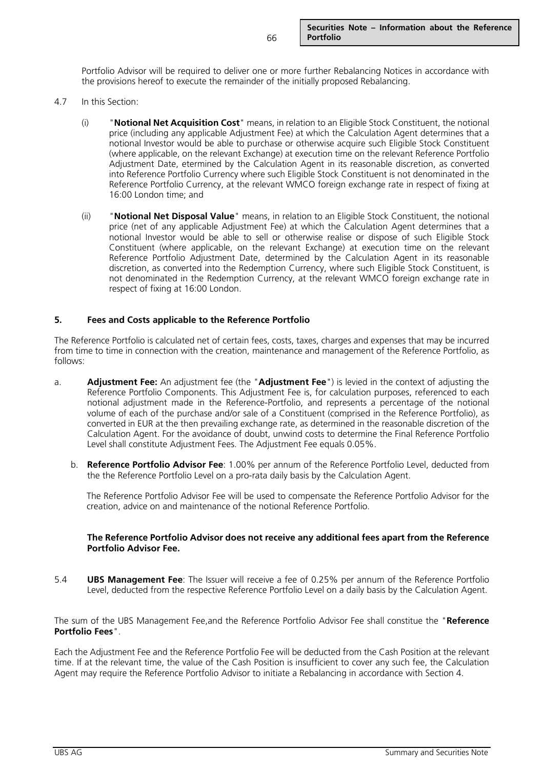Portfolio Advisor will be required to deliver one or more further Rebalancing Notices in accordance with the provisions hereof to execute the remainder of the initially proposed Rebalancing.

- 4.7 In this Section:
	- (i) "**Notional Net Acquisition Cost**" means, in relation to an Eligible Stock Constituent, the notional price (including any applicable Adjustment Fee) at which the Calculation Agent determines that a notional Investor would be able to purchase or otherwise acquire such Eligible Stock Constituent (where applicable, on the relevant Exchange) at execution time on the relevant Reference Portfolio Adjustment Date, etermined by the Calculation Agent in its reasonable discretion, as converted into Reference Portfolio Currency where such Eligible Stock Constituent is not denominated in the Reference Portfolio Currency, at the relevant WMCO foreign exchange rate in respect of fixing at 16:00 London time; and
	- (ii) "**Notional Net Disposal Value**" means, in relation to an Eligible Stock Constituent, the notional price (net of any applicable Adjustment Fee) at which the Calculation Agent determines that a notional Investor would be able to sell or otherwise realise or dispose of such Eligible Stock Constituent (where applicable, on the relevant Exchange) at execution time on the relevant Reference Portfolio Adjustment Date, determined by the Calculation Agent in its reasonable discretion, as converted into the Redemption Currency, where such Eligible Stock Constituent, is not denominated in the Redemption Currency, at the relevant WMCO foreign exchange rate in respect of fixing at 16:00 London.

# **5. Fees and Costs applicable to the Reference Portfolio**

The Reference Portfolio is calculated net of certain fees, costs, taxes, charges and expenses that may be incurred from time to time in connection with the creation, maintenance and management of the Reference Portfolio, as follows:

- a. **Adjustment Fee:** An adjustment fee (the "**Adjustment Fee**") is levied in the context of adjusting the Reference Portfolio Components. This Adjustment Fee is, for calculation purposes, referenced to each notional adjustment made in the Reference-Portfolio, and represents a percentage of the notional volume of each of the purchase and/or sale of a Constituent (comprised in the Reference Portfolio), as converted in EUR at the then prevailing exchange rate, as determined in the reasonable discretion of the Calculation Agent. For the avoidance of doubt, unwind costs to determine the Final Reference Portfolio Level shall constitute Adjustment Fees. The Adjustment Fee equals 0.05%.
	- b. **Reference Portfolio Advisor Fee**: 1.00% per annum of the Reference Portfolio Level, deducted from the the Reference Portfolio Level on a pro-rata daily basis by the Calculation Agent.

The Reference Portfolio Advisor Fee will be used to compensate the Reference Portfolio Advisor for the creation, advice on and maintenance of the notional Reference Portfolio.

#### **The Reference Portfolio Advisor does not receive any additional fees apart from the Reference Portfolio Advisor Fee.**

5.4 **UBS Management Fee**: The Issuer will receive a fee of 0.25% per annum of the Reference Portfolio Level, deducted from the respective Reference Portfolio Level on a daily basis by the Calculation Agent.

The sum of the UBS Management Fee,and the Reference Portfolio Advisor Fee shall constitue the "**Reference Portfolio Fees**".

Each the Adjustment Fee and the Reference Portfolio Fee will be deducted from the Cash Position at the relevant time. If at the relevant time, the value of the Cash Position is insufficient to cover any such fee, the Calculation Agent may require the Reference Portfolio Advisor to initiate a Rebalancing in accordance with Section 4.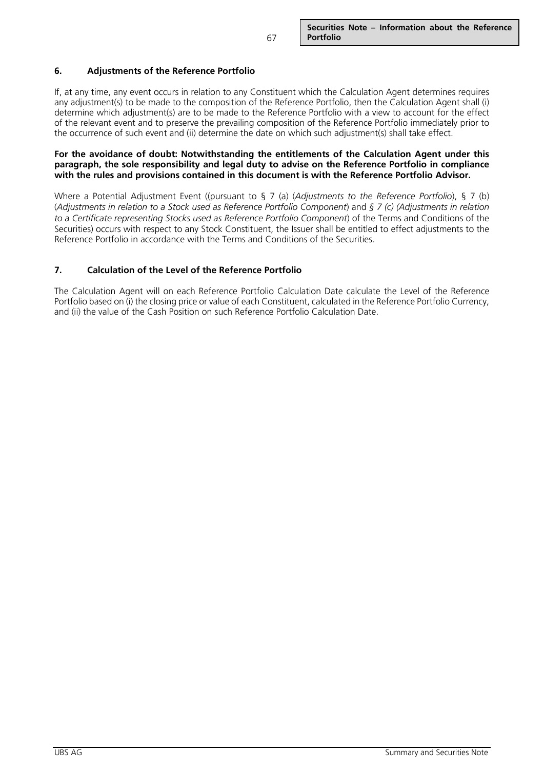# **6. Adjustments of the Reference Portfolio**

If, at any time, any event occurs in relation to any Constituent which the Calculation Agent determines requires any adjustment(s) to be made to the composition of the Reference Portfolio, then the Calculation Agent shall (i) determine which adjustment(s) are to be made to the Reference Portfolio with a view to account for the effect of the relevant event and to preserve the prevailing composition of the Reference Portfolio immediately prior to the occurrence of such event and (ii) determine the date on which such adjustment(s) shall take effect.

#### **For the avoidance of doubt: Notwithstanding the entitlements of the Calculation Agent under this paragraph, the sole responsibility and legal duty to advise on the Reference Portfolio in compliance with the rules and provisions contained in this document is with the Reference Portfolio Advisor.**

Where a Potential Adjustment Event ((pursuant to § 7 (a) (*Adjustments to the Reference Portfolio*), § 7 (b) (*Adjustments in relation to a Stock used as Reference Portfolio Component*) and *§ 7 (c) (Adjustments in relation to a Certificate representing Stocks used as Reference Portfolio Component*) of the Terms and Conditions of the Securities) occurs with respect to any Stock Constituent, the Issuer shall be entitled to effect adjustments to the Reference Portfolio in accordance with the Terms and Conditions of the Securities.

# **7. Calculation of the Level of the Reference Portfolio**

The Calculation Agent will on each Reference Portfolio Calculation Date calculate the Level of the Reference Portfolio based on (i) the closing price or value of each Constituent, calculated in the Reference Portfolio Currency, and (ii) the value of the Cash Position on such Reference Portfolio Calculation Date.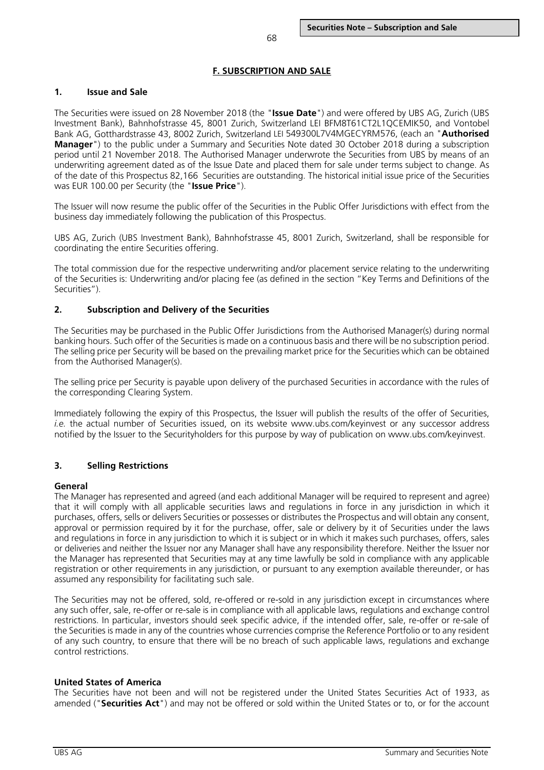# **F. SUBSCRIPTION AND SALE**

# **1. Issue and Sale**

The Securities were issued on 28 November 2018 (the "**Issue Date**") and were offered by UBS AG, Zurich (UBS Investment Bank), Bahnhofstrasse 45, 8001 Zurich, Switzerland LEI BFM8T61CT2L1QCEMIK50, and Vontobel Bank AG, Gotthardstrasse 43, 8002 Zurich, Switzerland LEI 549300L7V4MGECYRM576, (each an "**Authorised Manager**") to the public under a Summary and Securities Note dated 30 October 2018 during a subscription period until 21 November 2018. The Authorised Manager underwrote the Securities from UBS by means of an underwriting agreement dated as of the Issue Date and placed them for sale under terms subject to change. As of the date of this Prospectus 82,166 Securities are outstanding. The historical initial issue price of the Securities was EUR 100.00 per Security (the "**Issue Price**").

The Issuer will now resume the public offer of the Securities in the Public Offer Jurisdictions with effect from the business day immediately following the publication of this Prospectus.

UBS AG, Zurich (UBS Investment Bank), Bahnhofstrasse 45, 8001 Zurich, Switzerland, shall be responsible for coordinating the entire Securities offering.

The total commission due for the respective underwriting and/or placement service relating to the underwriting of the Securities is: Underwriting and/or placing fee (as defined in the section "Key Terms and Definitions of the Securities").

# **2. Subscription and Delivery of the Securities**

The Securities may be purchased in the Public Offer Jurisdictions from the Authorised Manager(s) during normal banking hours. Such offer of the Securities is made on a continuous basis and there will be no subscription period. The selling price per Security will be based on the prevailing market price for the Securities which can be obtained from the Authorised Manager(s).

The selling price per Security is payable upon delivery of the purchased Securities in accordance with the rules of the corresponding Clearing System.

Immediately following the expiry of this Prospectus, the Issuer will publish the results of the offer of Securities, *i.e.* the actual number of Securities issued, on its website [www.ubs.com/keyinvest](http://www.ubs.com/keyinvest) or any successor address notified by the Issuer to the Securityholders for this purpose by way of publication on www.ubs.com/keyinvest.

# **3. Selling Restrictions**

## **General**

The Manager has represented and agreed (and each additional Manager will be required to represent and agree) that it will comply with all applicable securities laws and regulations in force in any jurisdiction in which it purchases, offers, sells or delivers Securities or possesses or distributes the Prospectus and will obtain any consent, approval or permission required by it for the purchase, offer, sale or delivery by it of Securities under the laws and regulations in force in any jurisdiction to which it is subject or in which it makes such purchases, offers, sales or deliveries and neither the Issuer nor any Manager shall have any responsibility therefore. Neither the Issuer nor the Manager has represented that Securities may at any time lawfully be sold in compliance with any applicable registration or other requirements in any jurisdiction, or pursuant to any exemption available thereunder, or has assumed any responsibility for facilitating such sale.

The Securities may not be offered, sold, re-offered or re-sold in any jurisdiction except in circumstances where any such offer, sale, re-offer or re-sale is in compliance with all applicable laws, regulations and exchange control restrictions. In particular, investors should seek specific advice, if the intended offer, sale, re-offer or re-sale of the Securities is made in any of the countries whose currencies comprise the Reference Portfolio or to any resident of any such country, to ensure that there will be no breach of such applicable laws, regulations and exchange control restrictions.

## **United States of America**

The Securities have not been and will not be registered under the United States Securities Act of 1933, as amended ("**Securities Act**") and may not be offered or sold within the United States or to, or for the account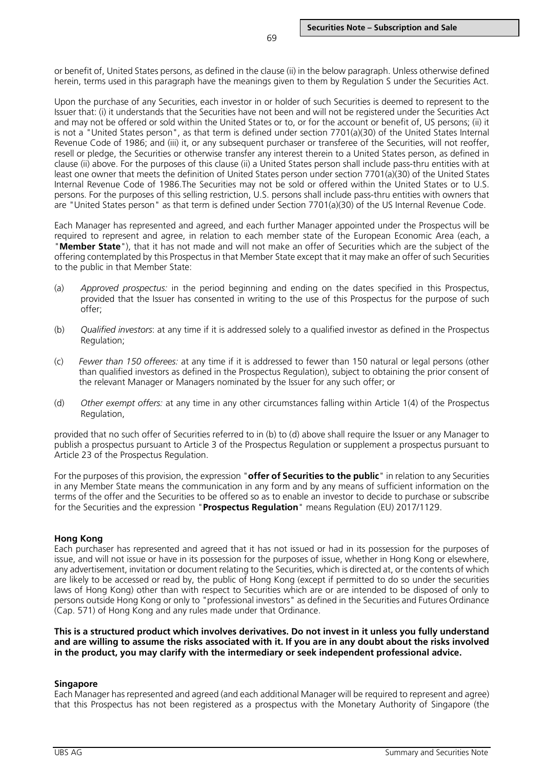or benefit of, United States persons, as defined in the clause (ii) in the below paragraph. Unless otherwise defined herein, terms used in this paragraph have the meanings given to them by Regulation S under the Securities Act.

Upon the purchase of any Securities, each investor in or holder of such Securities is deemed to represent to the Issuer that: (i) it understands that the Securities have not been and will not be registered under the Securities Act and may not be offered or sold within the United States or to, or for the account or benefit of, US persons; (ii) it is not a "United States person", as that term is defined under section 7701(a)(30) of the United States Internal Revenue Code of 1986; and (iii) it, or any subsequent purchaser or transferee of the Securities, will not reoffer, resell or pledge, the Securities or otherwise transfer any interest therein to a United States person, as defined in clause (ii) above. For the purposes of this clause (ii) a United States person shall include pass-thru entities with at least one owner that meets the definition of United States person under section 7701(a)(30) of the United States Internal Revenue Code of 1986.The Securities may not be sold or offered within the United States or to U.S. persons. For the purposes of this selling restriction, U.S. persons shall include pass-thru entities with owners that are "United States person" as that term is defined under Section 7701(a)(30) of the US Internal Revenue Code.

Each Manager has represented and agreed, and each further Manager appointed under the Prospectus will be required to represent and agree, in relation to each member state of the European Economic Area (each, a "**Member State**"), that it has not made and will not make an offer of Securities which are the subject of the offering contemplated by this Prospectus in that Member State except that it may make an offer of such Securities to the public in that Member State:

- (a) *Approved prospectus:* in the period beginning and ending on the dates specified in this Prospectus, provided that the Issuer has consented in writing to the use of this Prospectus for the purpose of such offer;
- (b) *Qualified investors*: at any time if it is addressed solely to a qualified investor as defined in the Prospectus Regulation;
- (c) *Fewer than 150 offerees:* at any time if it is addressed to fewer than 150 natural or legal persons (other than qualified investors as defined in the Prospectus Regulation), subject to obtaining the prior consent of the relevant Manager or Managers nominated by the Issuer for any such offer; or
- (d) *Other exempt offers:* at any time in any other circumstances falling within Article 1(4) of the Prospectus Regulation,

provided that no such offer of Securities referred to in (b) to (d) above shall require the Issuer or any Manager to publish a prospectus pursuant to Article 3 of the Prospectus Regulation or supplement a prospectus pursuant to Article 23 of the Prospectus Regulation.

For the purposes of this provision, the expression "**offer of Securities to the public**" in relation to any Securities in any Member State means the communication in any form and by any means of sufficient information on the terms of the offer and the Securities to be offered so as to enable an investor to decide to purchase or subscribe for the Securities and the expression "**Prospectus Regulation**" means Regulation (EU) 2017/1129.

## **Hong Kong**

Each purchaser has represented and agreed that it has not issued or had in its possession for the purposes of issue, and will not issue or have in its possession for the purposes of issue, whether in Hong Kong or elsewhere, any advertisement, invitation or document relating to the Securities, which is directed at, or the contents of which are likely to be accessed or read by, the public of Hong Kong (except if permitted to do so under the securities laws of Hong Kong) other than with respect to Securities which are or are intended to be disposed of only to persons outside Hong Kong or only to "professional investors" as defined in the Securities and Futures Ordinance (Cap. 571) of Hong Kong and any rules made under that Ordinance.

**This is a structured product which involves derivatives. Do not invest in it unless you fully understand and are willing to assume the risks associated with it. If you are in any doubt about the risks involved in the product, you may clarify with the intermediary or seek independent professional advice.**

## **Singapore**

Each Manager has represented and agreed (and each additional Manager will be required to represent and agree) that this Prospectus has not been registered as a prospectus with the Monetary Authority of Singapore (the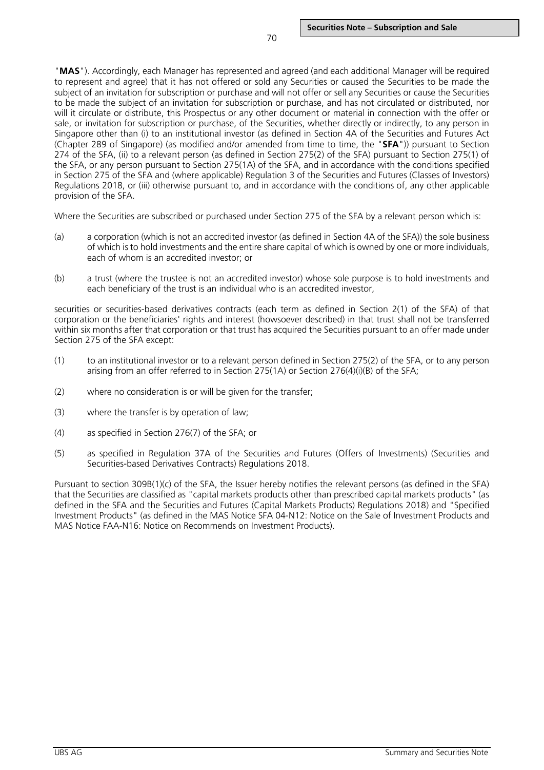"**MAS**"). Accordingly, each Manager has represented and agreed (and each additional Manager will be required to represent and agree) that it has not offered or sold any Securities or caused the Securities to be made the subject of an invitation for subscription or purchase and will not offer or sell any Securities or cause the Securities to be made the subject of an invitation for subscription or purchase, and has not circulated or distributed, nor will it circulate or distribute, this Prospectus or any other document or material in connection with the offer or sale, or invitation for subscription or purchase, of the Securities, whether directly or indirectly, to any person in Singapore other than (i) to an institutional investor (as defined in Section 4A of the Securities and Futures Act (Chapter 289 of Singapore) (as modified and/or amended from time to time, the "**SFA**")) pursuant to Section 274 of the SFA, (ii) to a relevant person (as defined in Section 275(2) of the SFA) pursuant to Section 275(1) of the SFA, or any person pursuant to Section 275(1A) of the SFA, and in accordance with the conditions specified in Section 275 of the SFA and (where applicable) Regulation 3 of the Securities and Futures (Classes of Investors) Regulations 2018, or (iii) otherwise pursuant to, and in accordance with the conditions of, any other applicable provision of the SFA.

Where the Securities are subscribed or purchased under Section 275 of the SFA by a relevant person which is:

- (a) a corporation (which is not an accredited investor (as defined in Section 4A of the SFA)) the sole business of which is to hold investments and the entire share capital of which is owned by one or more individuals, each of whom is an accredited investor; or
- (b) a trust (where the trustee is not an accredited investor) whose sole purpose is to hold investments and each beneficiary of the trust is an individual who is an accredited investor,

securities or securities-based derivatives contracts (each term as defined in Section 2(1) of the SFA) of that corporation or the beneficiaries' rights and interest (howsoever described) in that trust shall not be transferred within six months after that corporation or that trust has acquired the Securities pursuant to an offer made under Section 275 of the SFA except:

- (1) to an institutional investor or to a relevant person defined in Section 275(2) of the SFA, or to any person arising from an offer referred to in Section 275(1A) or Section 276(4)(i)(B) of the SFA;
- (2) where no consideration is or will be given for the transfer;
- (3) where the transfer is by operation of law;
- (4) as specified in Section 276(7) of the SFA; or
- (5) as specified in Regulation 37A of the Securities and Futures (Offers of Investments) (Securities and Securities-based Derivatives Contracts) Regulations 2018.

Pursuant to section 309B(1)(c) of the SFA, the Issuer hereby notifies the relevant persons (as defined in the SFA) that the Securities are classified as "capital markets products other than prescribed capital markets products" (as defined in the SFA and the Securities and Futures (Capital Markets Products) Regulations 2018) and "Specified Investment Products" (as defined in the MAS Notice SFA 04-N12: Notice on the Sale of Investment Products and MAS Notice FAA-N16: Notice on Recommends on Investment Products).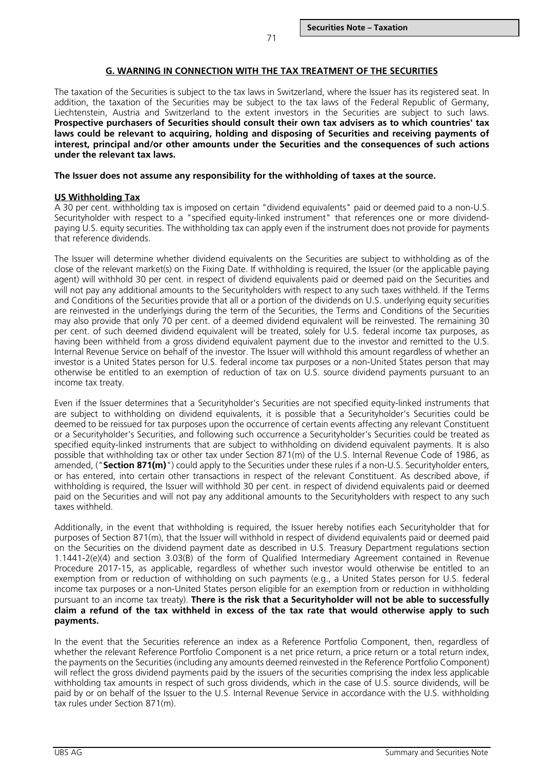#### **G. WARNING IN CONNECTION WITH THE TAX TREATMENT OF THE SECURITIES**

The taxation of the Securities is subject to the tax laws in Switzerland, where the Issuer has its registered seat. In addition, the taxation of the Securities may be subject to the tax laws of the Federal Republic of Germany, Liechtenstein, Austria and Switzerland to the extent investors in the Securities are subject to such laws. **Prospective purchasers of Securities should consult their own tax advisers as to which countries' tax laws could be relevant to acquiring, holding and disposing of Securities and receiving payments of interest, principal and/or other amounts under the Securities and the consequences of such actions under the relevant tax laws.**

#### **The Issuer does not assume any responsibility for the withholding of taxes at the source.**

#### **US Withholding Tax**

A 30 per cent. withholding tax is imposed on certain "dividend equivalents" paid or deemed paid to a non-U.S. Securityholder with respect to a "specified equity-linked instrument" that references one or more dividendpaying U.S. equity securities. The withholding tax can apply even if the instrument does not provide for payments that reference dividends.

The Issuer will determine whether dividend equivalents on the Securities are subject to withholding as of the close of the relevant market(s) on the Fixing Date. If withholding is required, the Issuer (or the applicable paying agent) will withhold 30 per cent. in respect of dividend equivalents paid or deemed paid on the Securities and will not pay any additional amounts to the Securityholders with respect to any such taxes withheld. If the Terms and Conditions of the Securities provide that all or a portion of the dividends on U.S. underlying equity securities are reinvested in the underlyings during the term of the Securities, the Terms and Conditions of the Securities may also provide that only 70 per cent. of a deemed dividend equivalent will be reinvested. The remaining 30 per cent. of such deemed dividend equivalent will be treated, solely for U.S. federal income tax purposes, as having been withheld from a gross dividend equivalent payment due to the investor and remitted to the U.S. Internal Revenue Service on behalf of the investor. The Issuer will withhold this amount regardless of whether an investor is a United States person for U.S. federal income tax purposes or a non-United States person that may otherwise be entitled to an exemption of reduction of tax on U.S. source dividend payments pursuant to an income tax treaty.

Even if the Issuer determines that a Securityholder's Securities are not specified equity-linked instruments that are subject to withholding on dividend equivalents, it is possible that a Securityholder's Securities could be deemed to be reissued for tax purposes upon the occurrence of certain events affecting any relevant Constituent or a Securityholder's Securities, and following such occurrence a Securityholder's Securities could be treated as specified equity-linked instruments that are subject to withholding on dividend equivalent payments. It is also possible that withholding tax or other tax under Section 871(m) of the U.S. Internal Revenue Code of 1986, as amended, ("**Section 871(m)**") could apply to the Securities under these rules if a non-U.S. Securityholder enters, or has entered, into certain other transactions in respect of the relevant Constituent. As described above, if withholding is required, the Issuer will withhold 30 per cent. in respect of dividend equivalents paid or deemed paid on the Securities and will not pay any additional amounts to the Securityholders with respect to any such taxes withheld.

Additionally, in the event that withholding is required, the Issuer hereby notifies each Securityholder that for purposes of Section 871(m), that the Issuer will withhold in respect of dividend equivalents paid or deemed paid on the Securities on the dividend payment date as described in U.S. Treasury Department regulations section 1.1441-2(e)(4) and section 3.03(B) of the form of Qualified Intermediary Agreement contained in Revenue Procedure 2017-15, as applicable, regardless of whether such investor would otherwise be entitled to an exemption from or reduction of withholding on such payments (e.g., a United States person for U.S. federal income tax purposes or a non-United States person eligible for an exemption from or reduction in withholding pursuant to an income tax treaty). **There is the risk that a Securityholder will not be able to successfully claim a refund of the tax withheld in excess of the tax rate that would otherwise apply to such payments.**

In the event that the Securities reference an index as a Reference Portfolio Component, then, regardless of whether the relevant Reference Portfolio Component is a net price return, a price return or a total return index, the payments on the Securities (including any amounts deemed reinvested in the Reference Portfolio Component) will reflect the gross dividend payments paid by the issuers of the securities comprising the index less applicable withholding tax amounts in respect of such gross dividends, which in the case of U.S. source dividends, will be paid by or on behalf of the Issuer to the U.S. Internal Revenue Service in accordance with the U.S. withholding tax rules under Section 871(m).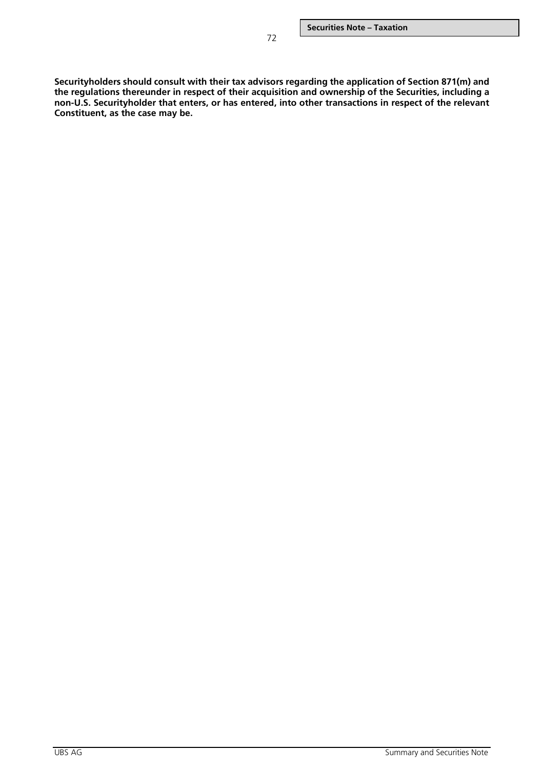**Securityholders should consult with their tax advisors regarding the application of Section 871(m) and the regulations thereunder in respect of their acquisition and ownership of the Securities, including a non-U.S. Securityholder that enters, or has entered, into other transactions in respect of the relevant Constituent, as the case may be.**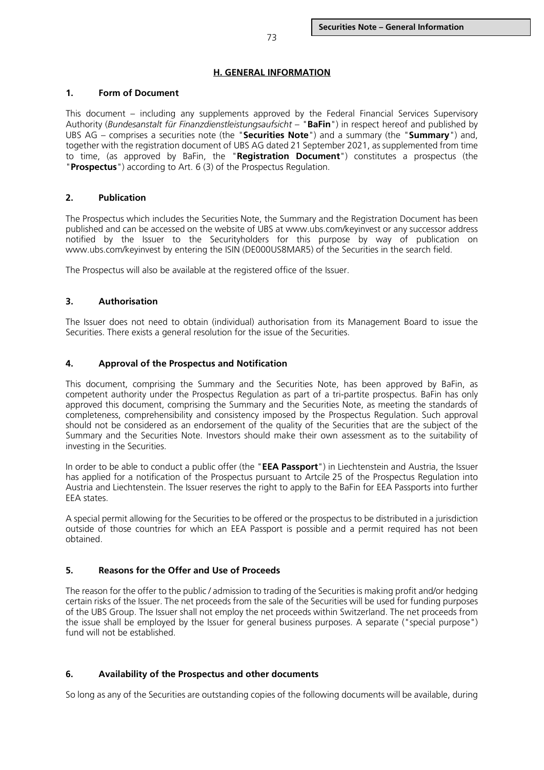## **H. GENERAL INFORMATION**

#### **1. Form of Document**

This document – including any supplements approved by the Federal Financial Services Supervisory Authority (*Bundesanstalt für Finanzdienstleistungsaufsicht* – "**BaFin**") in respect hereof and published by UBS AG – comprises a securities note (the "**Securities Note**") and a summary (the "**Summary**") and, together with the registration document of UBS AG dated 21 September 2021, as supplemented from time to time, (as approved by BaFin, the "**Registration Document**") constitutes a prospectus (the "**Prospectus**") according to Art. 6 (3) of the Prospectus Regulation.

## **2. Publication**

The Prospectus which includes the Securities Note, the Summary and the Registration Document has been published and can be accessed on the website of UBS at www.ubs.com/keyinvest or any successor address notified by the Issuer to the Securityholders for this purpose by way of publication on www.ubs.com/keyinvest by entering the ISIN (DE000US8MAR5) of the Securities in the search field.

The Prospectus will also be available at the registered office of the Issuer.

# **3. Authorisation**

The Issuer does not need to obtain (individual) authorisation from its Management Board to issue the Securities. There exists a general resolution for the issue of the Securities.

## **4. Approval of the Prospectus and Notification**

This document, comprising the Summary and the Securities Note, has been approved by BaFin, as competent authority under the Prospectus Regulation as part of a tri-partite prospectus. BaFin has only approved this document, comprising the Summary and the Securities Note, as meeting the standards of completeness, comprehensibility and consistency imposed by the Prospectus Regulation. Such approval should not be considered as an endorsement of the quality of the Securities that are the subject of the Summary and the Securities Note. Investors should make their own assessment as to the suitability of investing in the Securities.

In order to be able to conduct a public offer (the "**EEA Passport**") in Liechtenstein and Austria, the Issuer has applied for a notification of the Prospectus pursuant to Artcile 25 of the Prospectus Regulation into Austria and Liechtenstein. The Issuer reserves the right to apply to the BaFin for EEA Passports into further EEA states.

A special permit allowing for the Securities to be offered or the prospectus to be distributed in a jurisdiction outside of those countries for which an EEA Passport is possible and a permit required has not been obtained.

# **5. Reasons for the Offer and Use of Proceeds**

The reason for the offer to the public / admission to trading of the Securities is making profit and/or hedging certain risks of the Issuer. The net proceeds from the sale of the Securities will be used for funding purposes of the UBS Group. The Issuer shall not employ the net proceeds within Switzerland. The net proceeds from the issue shall be employed by the Issuer for general business purposes. A separate ("special purpose") fund will not be established.

# **6. Availability of the Prospectus and other documents**

So long as any of the Securities are outstanding copies of the following documents will be available, during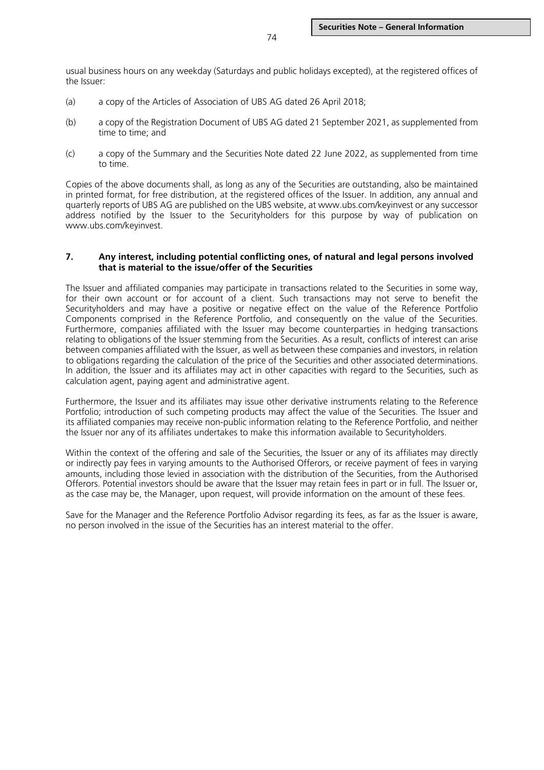usual business hours on any weekday (Saturdays and public holidays excepted), at the registered offices of the Issuer:

- (a) a copy of the Articles of Association of UBS AG dated 26 April 2018;
- (b) a copy of the Registration Document of UBS AG dated 21 September 2021, as supplemented from time to time; and
- (c) a copy of the Summary and the Securities Note dated 22 June 2022, as supplemented from time to time.

Copies of the above documents shall, as long as any of the Securities are outstanding, also be maintained in printed format, for free distribution, at the registered offices of the Issuer. In addition, any annual and quarterly reports of UBS AG are published on the UBS website, at www.ubs.com/keyinvest or any successor address notified by the Issuer to the Securityholders for this purpose by way of publication on www.ubs.com/keyinvest.

#### **7. Any interest, including potential conflicting ones, of natural and legal persons involved that is material to the issue/offer of the Securities**

The Issuer and affiliated companies may participate in transactions related to the Securities in some way, for their own account or for account of a client. Such transactions may not serve to benefit the Securityholders and may have a positive or negative effect on the value of the Reference Portfolio Components comprised in the Reference Portfolio, and consequently on the value of the Securities. Furthermore, companies affiliated with the Issuer may become counterparties in hedging transactions relating to obligations of the Issuer stemming from the Securities. As a result, conflicts of interest can arise between companies affiliated with the Issuer, as well as between these companies and investors, in relation to obligations regarding the calculation of the price of the Securities and other associated determinations. In addition, the Issuer and its affiliates may act in other capacities with regard to the Securities, such as calculation agent, paying agent and administrative agent.

Furthermore, the Issuer and its affiliates may issue other derivative instruments relating to the Reference Portfolio; introduction of such competing products may affect the value of the Securities. The Issuer and its affiliated companies may receive non-public information relating to the Reference Portfolio, and neither the Issuer nor any of its affiliates undertakes to make this information available to Securityholders.

Within the context of the offering and sale of the Securities, the Issuer or any of its affiliates may directly or indirectly pay fees in varying amounts to the Authorised Offerors, or receive payment of fees in varying amounts, including those levied in association with the distribution of the Securities, from the Authorised Offerors. Potential investors should be aware that the Issuer may retain fees in part or in full. The Issuer or, as the case may be, the Manager, upon request, will provide information on the amount of these fees.

Save for the Manager and the Reference Portfolio Advisor regarding its fees, as far as the Issuer is aware, no person involved in the issue of the Securities has an interest material to the offer.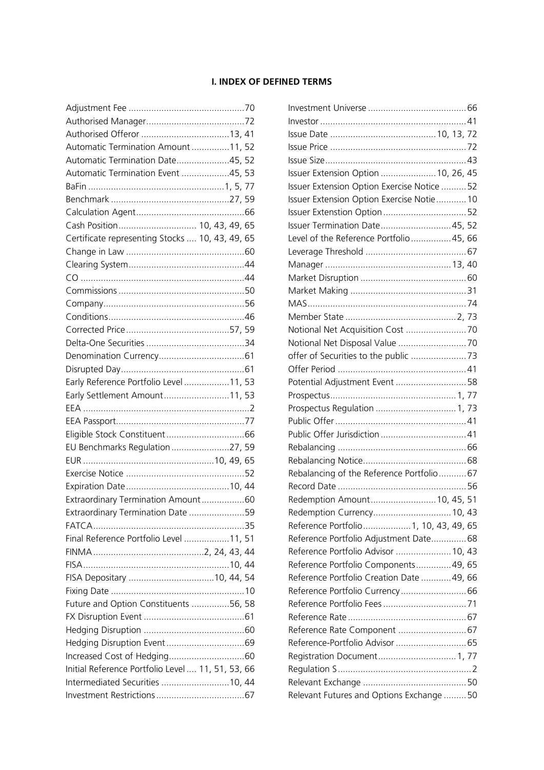# **I. INDEX OF DEFINED TERMS**

| Automatic Termination Amount 11, 52               |  |    |
|---------------------------------------------------|--|----|
| Automatic Termination Date45, 52                  |  |    |
| Automatic Termination Event 45, 53                |  |    |
|                                                   |  |    |
|                                                   |  |    |
|                                                   |  |    |
| Cash Position 10, 43, 49, 65                      |  |    |
| Certificate representing Stocks  10, 43, 49, 65   |  |    |
|                                                   |  |    |
|                                                   |  |    |
|                                                   |  |    |
|                                                   |  |    |
|                                                   |  |    |
|                                                   |  |    |
|                                                   |  |    |
|                                                   |  |    |
|                                                   |  |    |
|                                                   |  |    |
| Early Reference Portfolio Level 11, 53            |  |    |
| Early Settlement Amount11, 53                     |  |    |
|                                                   |  |    |
|                                                   |  |    |
|                                                   |  |    |
| EU Benchmarks Regulation27, 59                    |  |    |
|                                                   |  |    |
|                                                   |  |    |
|                                                   |  |    |
| Extraordinary Termination Amount60                |  |    |
| Extraordinary Termination Date                    |  | 59 |
|                                                   |  |    |
| Final Reference Portfolio Level 11, 51            |  |    |
|                                                   |  |    |
|                                                   |  |    |
|                                                   |  |    |
|                                                   |  |    |
| Future and Option Constituents 56, 58             |  |    |
|                                                   |  |    |
|                                                   |  |    |
|                                                   |  |    |
|                                                   |  |    |
| Initial Reference Portfolio Level  11, 51, 53, 66 |  |    |
| Intermediated Securities  10, 44                  |  |    |
|                                                   |  |    |
|                                                   |  |    |

| Issuer Extension Option  10, 26, 45         |  |  |
|---------------------------------------------|--|--|
| Issuer Extension Option Exercise Notice  52 |  |  |
| Issuer Extension Option Exercise Notie 10   |  |  |
|                                             |  |  |
| <b>Issuer Termination Date 45, 52</b>       |  |  |
| Level of the Reference Portfolio 45, 66     |  |  |
|                                             |  |  |
|                                             |  |  |
|                                             |  |  |
|                                             |  |  |
|                                             |  |  |
|                                             |  |  |
| Notional Net Acquisition Cost  70           |  |  |
|                                             |  |  |
|                                             |  |  |
|                                             |  |  |
| Potential Adjustment Event  58              |  |  |
|                                             |  |  |
| Prospectus Regulation  1, 73                |  |  |
|                                             |  |  |
|                                             |  |  |
|                                             |  |  |
|                                             |  |  |
| Rebalancing of the Reference Portfolio 67   |  |  |
|                                             |  |  |
| Redemption Amount 10, 45, 51                |  |  |
| Redemption Currency 10, 43                  |  |  |
| Reference Portfolio 1, 10, 43, 49, 65       |  |  |
| Reference Portfolio Adjustment Date 68      |  |  |
| Reference Portfolio Advisor  10, 43         |  |  |
| Reference Portfolio Components 49, 65       |  |  |
| Reference Portfolio Creation Date  49, 66   |  |  |
| Reference Portfolio Currency 66             |  |  |
|                                             |  |  |
|                                             |  |  |
|                                             |  |  |
|                                             |  |  |
| Registration Document 1, 77                 |  |  |
|                                             |  |  |
|                                             |  |  |
| Relevant Futures and Options Exchange  50   |  |  |
|                                             |  |  |